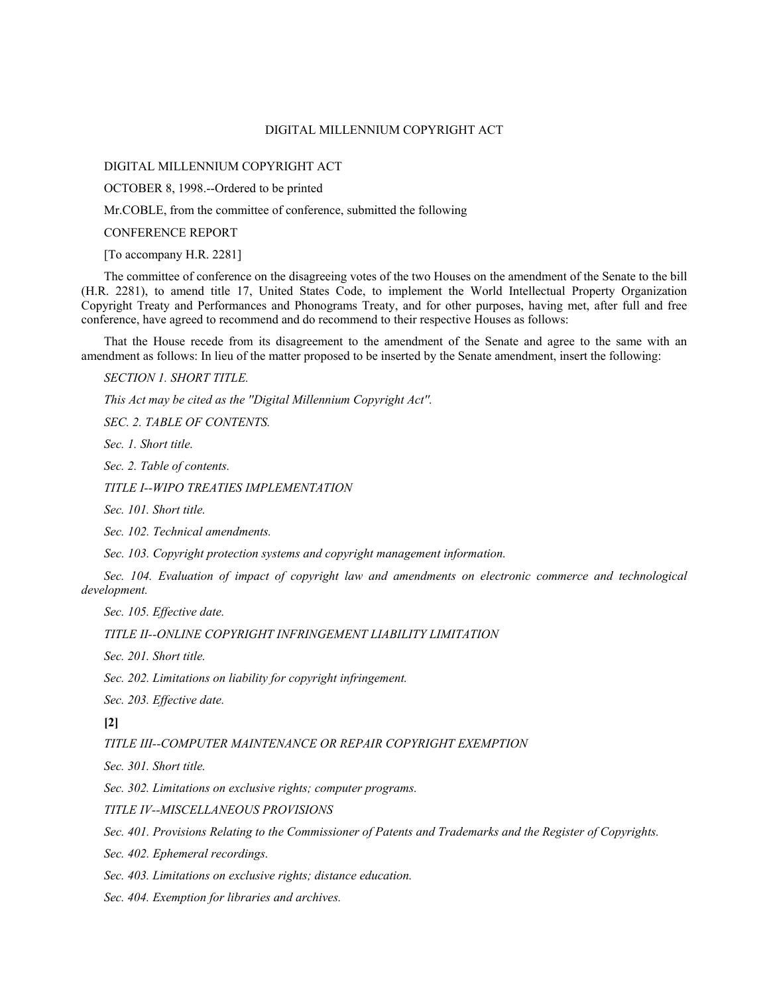#### DIGITAL MILLENNIUM COPYRIGHT ACT

DIGITAL MILLENNIUM COPYRIGHT ACT

OCTOBER 8, 1998.--Ordered to be printed

Mr.COBLE, from the committee of conference, submitted the following

CONFERENCE REPORT

[To accompany H.R. 2281]

The committee of conference on the disagreeing votes of the two Houses on the amendment of the Senate to the bill (H.R. 2281), to amend title 17, United States Code, to implement the World Intellectual Property Organization Copyright Treaty and Performances and Phonograms Treaty, and for other purposes, having met, after full and free conference, have agreed to recommend and do recommend to their respective Houses as follows:

That the House recede from its disagreement to the amendment of the Senate and agree to the same with an amendment as follows: In lieu of the matter proposed to be inserted by the Senate amendment, insert the following:

*SECTION 1. SHORT TITLE.*

*This Act may be cited as the ''Digital Millennium Copyright Act''.*

*SEC. 2. TABLE OF CONTENTS.*

*Sec. 1. Short title.*

*Sec. 2. Table of contents.*

*TITLE I--WIPO TREATIES IMPLEMENTATION*

*Sec. 101. Short title.*

*Sec. 102. Technical amendments.*

*Sec. 103. Copyright protection systems and copyright management information.*

*Sec. 104. Evaluation of impact of copyright law and amendments on electronic commerce and technological development.*

*Sec. 105. Effective date.*

*TITLE II--ONLINE COPYRIGHT INFRINGEMENT LIABILITY LIMITATION*

*Sec. 201. Short title.*

*Sec. 202. Limitations on liability for copyright infringement.*

*Sec. 203. Effective date.*

**[2]**

*TITLE III--COMPUTER MAINTENANCE OR REPAIR COPYRIGHT EXEMPTION*

*Sec. 301. Short title.*

*Sec. 302. Limitations on exclusive rights; computer programs.*

*TITLE IV--MISCELLANEOUS PROVISIONS*

*Sec. 401. Provisions Relating to the Commissioner of Patents and Trademarks and the Register of Copyrights.*

*Sec. 402. Ephemeral recordings.*

*Sec. 403. Limitations on exclusive rights; distance education.*

*Sec. 404. Exemption for libraries and archives.*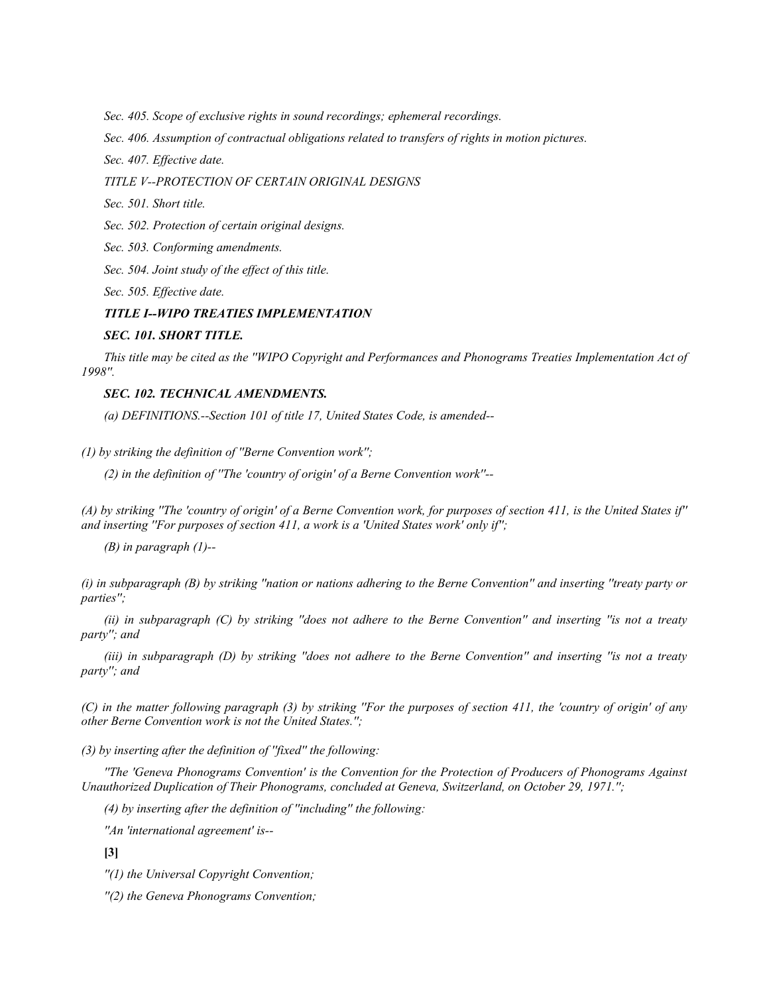*Sec. 405. Scope of exclusive rights in sound recordings; ephemeral recordings.*

*Sec. 406. Assumption of contractual obligations related to transfers of rights in motion pictures.*

*Sec. 407. Effective date.*

*TITLE V--PROTECTION OF CERTAIN ORIGINAL DESIGNS*

*Sec. 501. Short title.*

*Sec. 502. Protection of certain original designs.*

*Sec. 503. Conforming amendments.*

*Sec. 504. Joint study of the effect of this title.*

*Sec. 505. Effective date.*

#### *TITLE I--WIPO TREATIES IMPLEMENTATION*

#### *SEC. 101. SHORT TITLE.*

*This title may be cited as the ''WIPO Copyright and Performances and Phonograms Treaties Implementation Act of 1998''.* 

### *SEC. 102. TECHNICAL AMENDMENTS.*

*(a) DEFINITIONS.--Section 101 of title 17, United States Code, is amended--*

*(1) by striking the definition of ''Berne Convention work'';*

*(2) in the definition of ''The 'country of origin' of a Berne Convention work''--*

*(A) by striking ''The 'country of origin' of a Berne Convention work, for purposes of section 411, is the United States if'' and inserting ''For purposes of section 411, a work is a 'United States work' only if'';*

*(B) in paragraph (1)--*

*(i) in subparagraph (B) by striking ''nation or nations adhering to the Berne Convention'' and inserting ''treaty party or parties'';*

*(ii) in subparagraph (C) by striking ''does not adhere to the Berne Convention'' and inserting ''is not a treaty party''; and*

*(iii) in subparagraph (D) by striking ''does not adhere to the Berne Convention'' and inserting ''is not a treaty party''; and*

*(C) in the matter following paragraph (3) by striking ''For the purposes of section 411, the 'country of origin' of any other Berne Convention work is not the United States.'';*

*(3) by inserting after the definition of ''fixed'' the following:*

*''The 'Geneva Phonograms Convention' is the Convention for the Protection of Producers of Phonograms Against Unauthorized Duplication of Their Phonograms, concluded at Geneva, Switzerland, on October 29, 1971.'';*

*(4) by inserting after the definition of ''including'' the following:*

*''An 'international agreement' is--*

**[3]**

*''(1) the Universal Copyright Convention;*

*''(2) the Geneva Phonograms Convention;*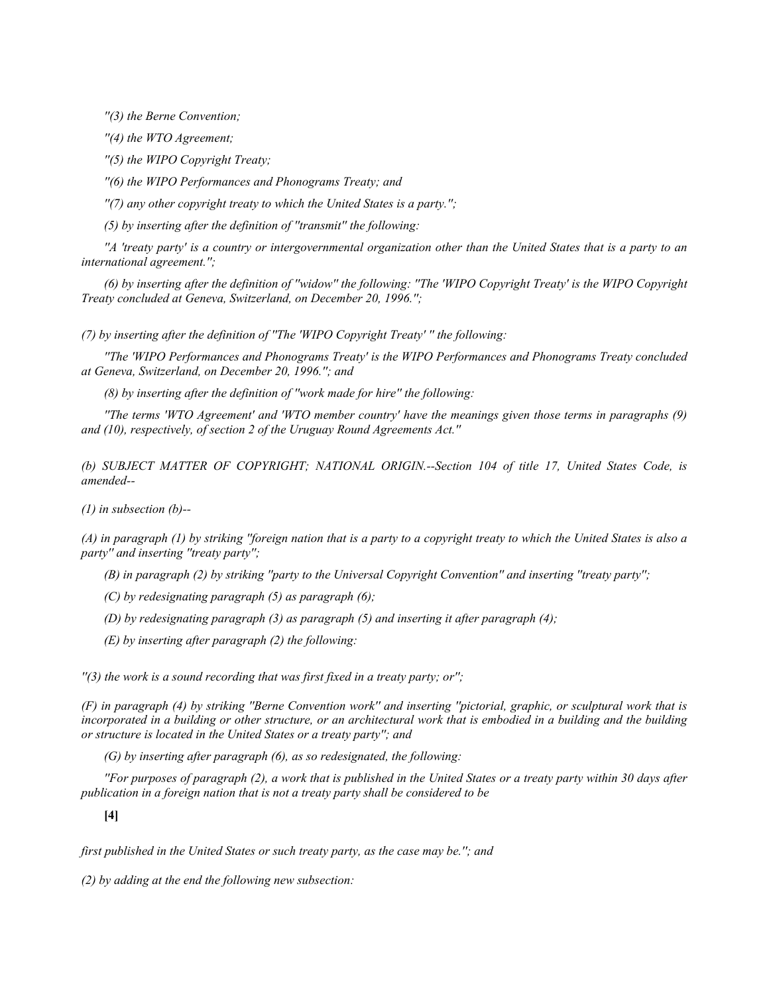*''(3) the Berne Convention;*

*''(4) the WTO Agreement;*

*''(5) the WIPO Copyright Treaty;*

*''(6) the WIPO Performances and Phonograms Treaty; and*

*''(7) any other copyright treaty to which the United States is a party.'';*

*(5) by inserting after the definition of ''transmit'' the following:*

*''A 'treaty party' is a country or intergovernmental organization other than the United States that is a party to an international agreement.'';*

*(6) by inserting after the definition of ''widow'' the following: ''The 'WIPO Copyright Treaty' is the WIPO Copyright Treaty concluded at Geneva, Switzerland, on December 20, 1996.'';*

*(7) by inserting after the definition of ''The 'WIPO Copyright Treaty' '' the following:*

*''The 'WIPO Performances and Phonograms Treaty' is the WIPO Performances and Phonograms Treaty concluded at Geneva, Switzerland, on December 20, 1996.''; and*

*(8) by inserting after the definition of ''work made for hire'' the following:*

*''The terms 'WTO Agreement' and 'WTO member country' have the meanings given those terms in paragraphs (9) and (10), respectively, of section 2 of the Uruguay Round Agreements Act.''*

*(b) SUBJECT MATTER OF COPYRIGHT; NATIONAL ORIGIN.--Section 104 of title 17, United States Code, is amended--*

*(1) in subsection (b)--*

*(A) in paragraph (1) by striking ''foreign nation that is a party to a copyright treaty to which the United States is also a party'' and inserting ''treaty party'';*

*(B) in paragraph (2) by striking ''party to the Universal Copyright Convention'' and inserting ''treaty party'';*

*(C) by redesignating paragraph (5) as paragraph (6);*

*(D) by redesignating paragraph (3) as paragraph (5) and inserting it after paragraph (4);*

*(E) by inserting after paragraph (2) the following:*

*''(3) the work is a sound recording that was first fixed in a treaty party; or'';*

*(F) in paragraph (4) by striking ''Berne Convention work'' and inserting ''pictorial, graphic, or sculptural work that is incorporated in a building or other structure, or an architectural work that is embodied in a building and the building or structure is located in the United States or a treaty party''; and*

*(G) by inserting after paragraph (6), as so redesignated, the following:*

*''For purposes of paragraph (2), a work that is published in the United States or a treaty party within 30 days after publication in a foreign nation that is not a treaty party shall be considered to be*

**[4]**

*first published in the United States or such treaty party, as the case may be.''; and*

*(2) by adding at the end the following new subsection:*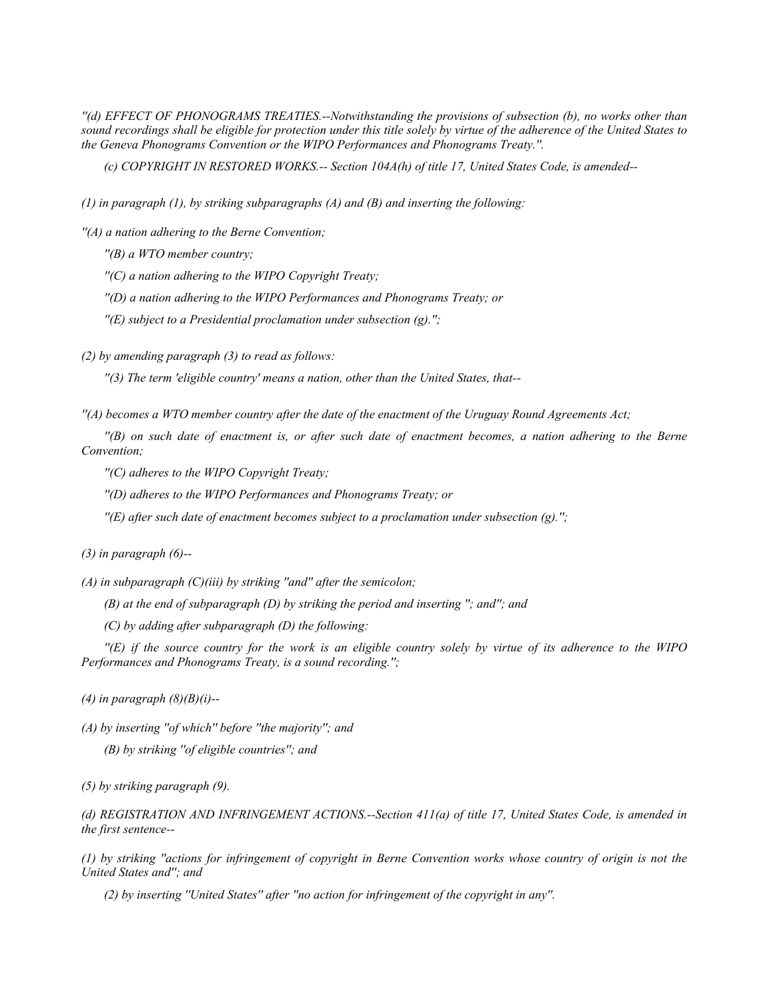*''(d) EFFECT OF PHONOGRAMS TREATIES.--Notwithstanding the provisions of subsection (b), no works other than sound recordings shall be eligible for protection under this title solely by virtue of the adherence of the United States to the Geneva Phonograms Convention or the WIPO Performances and Phonograms Treaty.''.*

*(c) COPYRIGHT IN RESTORED WORKS.-- Section 104A(h) of title 17, United States Code, is amended--*

*(1) in paragraph (1), by striking subparagraphs (A) and (B) and inserting the following:*

*''(A) a nation adhering to the Berne Convention;*

*''(B) a WTO member country;*

*''(C) a nation adhering to the WIPO Copyright Treaty;*

*''(D) a nation adhering to the WIPO Performances and Phonograms Treaty; or*

*''(E) subject to a Presidential proclamation under subsection (g).'';*

*(2) by amending paragraph (3) to read as follows:*

*''(3) The term 'eligible country' means a nation, other than the United States, that--*

*''(A) becomes a WTO member country after the date of the enactment of the Uruguay Round Agreements Act;*

*''(B) on such date of enactment is, or after such date of enactment becomes, a nation adhering to the Berne Convention;*

*''(C) adheres to the WIPO Copyright Treaty;*

*''(D) adheres to the WIPO Performances and Phonograms Treaty; or*

*''(E) after such date of enactment becomes subject to a proclamation under subsection (g).'';*

*(3) in paragraph (6)--*

*(A) in subparagraph (C)(iii) by striking ''and'' after the semicolon;*

*(B) at the end of subparagraph (D) by striking the period and inserting ''; and''; and*

*(C) by adding after subparagraph (D) the following:*

*''(E) if the source country for the work is an eligible country solely by virtue of its adherence to the WIPO Performances and Phonograms Treaty, is a sound recording.'';*

*(4) in paragraph (8)(B)(i)--*

*(A) by inserting ''of which'' before ''the majority''; and*

*(B) by striking ''of eligible countries''; and*

*(5) by striking paragraph (9).*

*(d) REGISTRATION AND INFRINGEMENT ACTIONS.--Section 411(a) of title 17, United States Code, is amended in the first sentence--*

*(1) by striking ''actions for infringement of copyright in Berne Convention works whose country of origin is not the United States and''; and*

*(2) by inserting ''United States'' after ''no action for infringement of the copyright in any''.*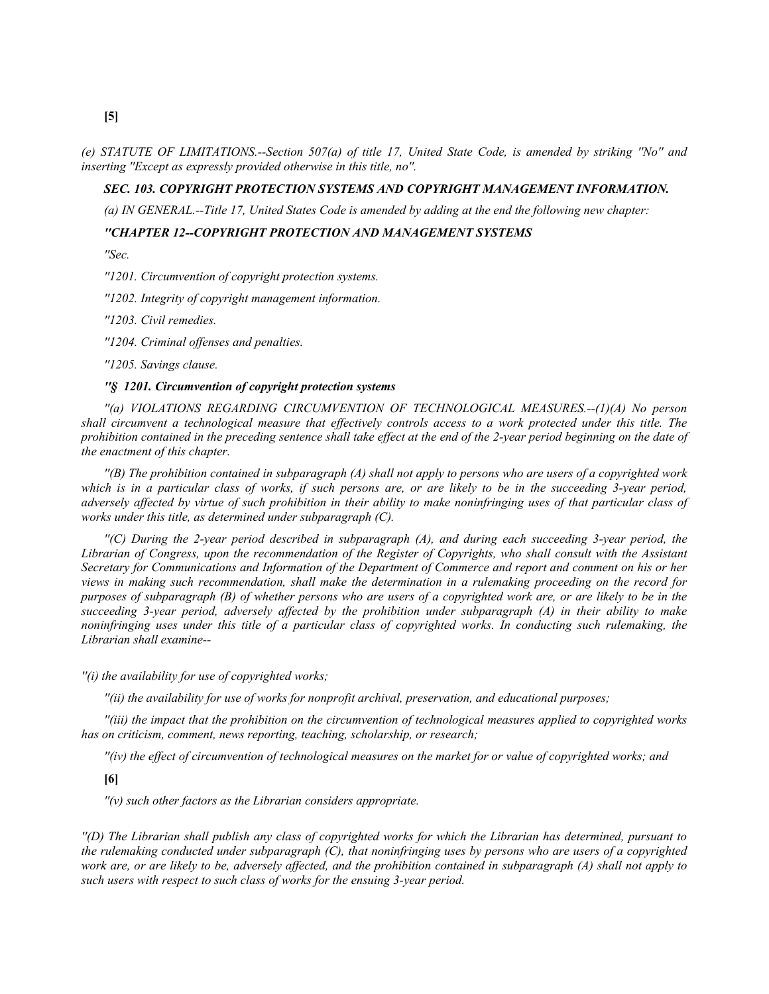*(e) STATUTE OF LIMITATIONS.--Section 507(a) of title 17, United State Code, is amended by striking ''No'' and inserting ''Except as expressly provided otherwise in this title, no''.*

### *SEC. 103. COPYRIGHT PROTECTION SYSTEMS AND COPYRIGHT MANAGEMENT INFORMATION.*

*(a) IN GENERAL.--Title 17, United States Code is amended by adding at the end the following new chapter:*

### *''CHAPTER 12--COPYRIGHT PROTECTION AND MANAGEMENT SYSTEMS*

*''Sec.*

*''1201. Circumvention of copyright protection systems.*

*''1202. Integrity of copyright management information.*

*''1203. Civil remedies.*

*''1204. Criminal offenses and penalties.*

*''1205. Savings clause.*

### *''§ 1201. Circumvention of copyright protection systems*

*''(a) VIOLATIONS REGARDING CIRCUMVENTION OF TECHNOLOGICAL MEASURES.--(1)(A) No person shall circumvent a technological measure that effectively controls access to a work protected under this title. The prohibition contained in the preceding sentence shall take effect at the end of the 2-year period beginning on the date of the enactment of this chapter.*

*''(B) The prohibition contained in subparagraph (A) shall not apply to persons who are users of a copyrighted work which is in a particular class of works, if such persons are, or are likely to be in the succeeding 3-year period, adversely affected by virtue of such prohibition in their ability to make noninfringing uses of that particular class of works under this title, as determined under subparagraph (C).*

*''(C) During the 2-year period described in subparagraph (A), and during each succeeding 3-year period, the Librarian of Congress, upon the recommendation of the Register of Copyrights, who shall consult with the Assistant Secretary for Communications and Information of the Department of Commerce and report and comment on his or her views in making such recommendation, shall make the determination in a rulemaking proceeding on the record for purposes of subparagraph (B) of whether persons who are users of a copyrighted work are, or are likely to be in the succeeding 3-year period, adversely affected by the prohibition under subparagraph (A) in their ability to make noninfringing uses under this title of a particular class of copyrighted works. In conducting such rulemaking, the Librarian shall examine--*

*''(i) the availability for use of copyrighted works;*

*''(ii) the availability for use of works for nonprofit archival, preservation, and educational purposes;*

*''(iii) the impact that the prohibition on the circumvention of technological measures applied to copyrighted works has on criticism, comment, news reporting, teaching, scholarship, or research;*

*''(iv) the effect of circumvention of technological measures on the market for or value of copyrighted works; and*

**[6]**

*''(v) such other factors as the Librarian considers appropriate.*

*''(D) The Librarian shall publish any class of copyrighted works for which the Librarian has determined, pursuant to the rulemaking conducted under subparagraph (C), that noninfringing uses by persons who are users of a copyrighted work are, or are likely to be, adversely affected, and the prohibition contained in subparagraph (A) shall not apply to such users with respect to such class of works for the ensuing 3-year period.*

**[5]**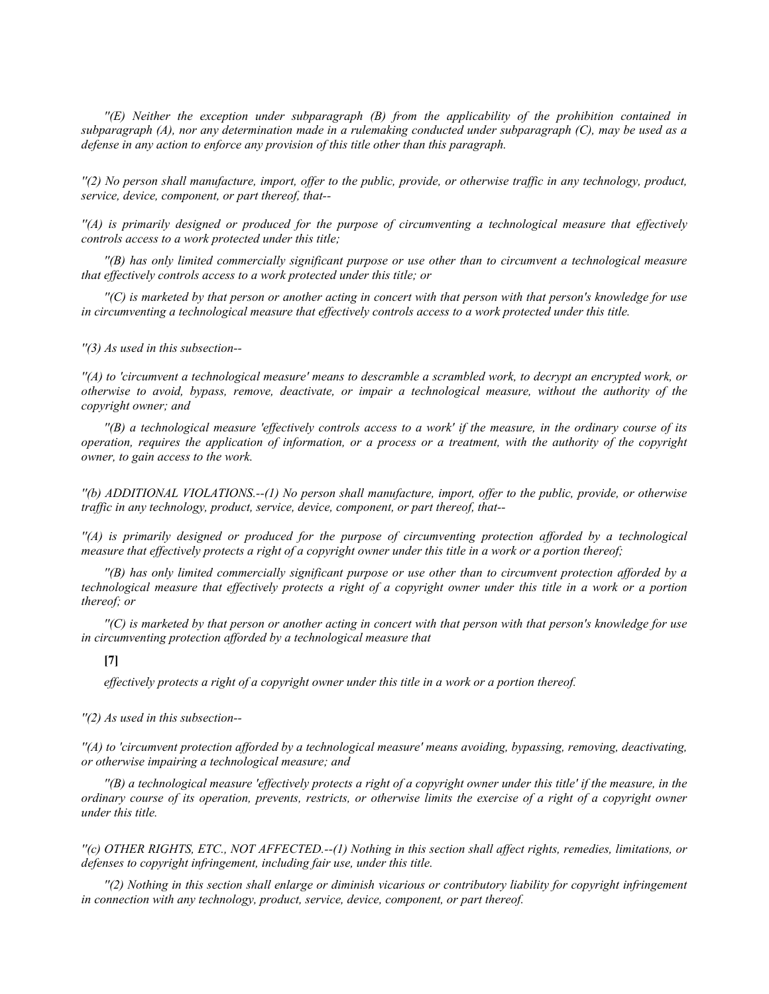*''(E) Neither the exception under subparagraph (B) from the applicability of the prohibition contained in subparagraph (A), nor any determination made in a rulemaking conducted under subparagraph (C), may be used as a defense in any action to enforce any provision of this title other than this paragraph.*

*''(2) No person shall manufacture, import, offer to the public, provide, or otherwise traffic in any technology, product, service, device, component, or part thereof, that--*

*''(A) is primarily designed or produced for the purpose of circumventing a technological measure that effectively controls access to a work protected under this title;*

*''(B) has only limited commercially significant purpose or use other than to circumvent a technological measure that effectively controls access to a work protected under this title; or*

*''(C) is marketed by that person or another acting in concert with that person with that person's knowledge for use in circumventing a technological measure that effectively controls access to a work protected under this title.*

*''(3) As used in this subsection--*

*''(A) to 'circumvent a technological measure' means to descramble a scrambled work, to decrypt an encrypted work, or otherwise to avoid, bypass, remove, deactivate, or impair a technological measure, without the authority of the copyright owner; and*

*''(B) a technological measure 'effectively controls access to a work' if the measure, in the ordinary course of its operation, requires the application of information, or a process or a treatment, with the authority of the copyright owner, to gain access to the work.*

*''(b) ADDITIONAL VIOLATIONS.--(1) No person shall manufacture, import, offer to the public, provide, or otherwise traffic in any technology, product, service, device, component, or part thereof, that--*

*''(A) is primarily designed or produced for the purpose of circumventing protection afforded by a technological measure that effectively protects a right of a copyright owner under this title in a work or a portion thereof;*

*''(B) has only limited commercially significant purpose or use other than to circumvent protection afforded by a technological measure that effectively protects a right of a copyright owner under this title in a work or a portion thereof; or*

*''(C) is marketed by that person or another acting in concert with that person with that person's knowledge for use in circumventing protection afforded by a technological measure that*

### **[7]**

*effectively protects a right of a copyright owner under this title in a work or a portion thereof.*

#### *''(2) As used in this subsection--*

*''(A) to 'circumvent protection afforded by a technological measure' means avoiding, bypassing, removing, deactivating, or otherwise impairing a technological measure; and*

*''(B) a technological measure 'effectively protects a right of a copyright owner under this title' if the measure, in the ordinary course of its operation, prevents, restricts, or otherwise limits the exercise of a right of a copyright owner under this title.*

*''(c) OTHER RIGHTS, ETC., NOT AFFECTED.--(1) Nothing in this section shall affect rights, remedies, limitations, or defenses to copyright infringement, including fair use, under this title.*

*''(2) Nothing in this section shall enlarge or diminish vicarious or contributory liability for copyright infringement in connection with any technology, product, service, device, component, or part thereof.*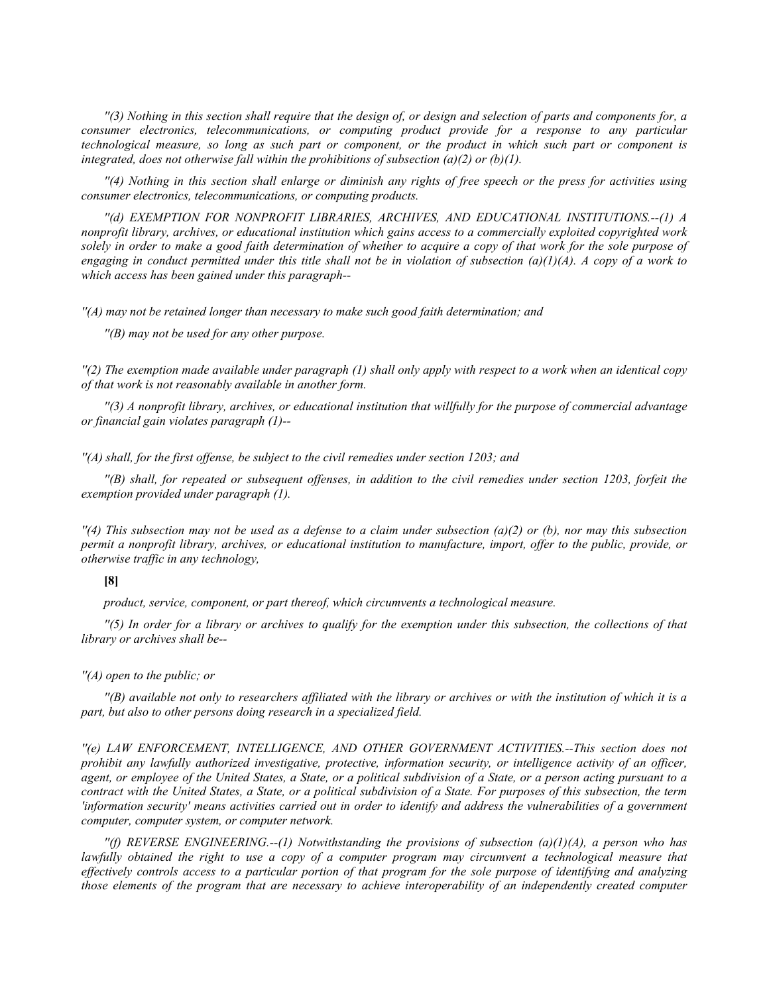*''(3) Nothing in this section shall require that the design of, or design and selection of parts and components for, a consumer electronics, telecommunications, or computing product provide for a response to any particular technological measure, so long as such part or component, or the product in which such part or component is integrated, does not otherwise fall within the prohibitions of subsection (a)(2) or (b)(1).*

*''(4) Nothing in this section shall enlarge or diminish any rights of free speech or the press for activities using consumer electronics, telecommunications, or computing products.*

*''(d) EXEMPTION FOR NONPROFIT LIBRARIES, ARCHIVES, AND EDUCATIONAL INSTITUTIONS.--(1) A nonprofit library, archives, or educational institution which gains access to a commercially exploited copyrighted work*  solely in order to make a good faith determination of whether to acquire a copy of that work for the sole purpose of engaging in conduct permitted under this title shall not be in violation of subsection  $(a)(1)(A)$ . A copy of a work to *which access has been gained under this paragraph--*

*''(A) may not be retained longer than necessary to make such good faith determination; and*

*''(B) may not be used for any other purpose.*

*''(2) The exemption made available under paragraph (1) shall only apply with respect to a work when an identical copy of that work is not reasonably available in another form.*

*''(3) A nonprofit library, archives, or educational institution that willfully for the purpose of commercial advantage or financial gain violates paragraph (1)--*

*''(A) shall, for the first offense, be subject to the civil remedies under section 1203; and*

*''(B) shall, for repeated or subsequent offenses, in addition to the civil remedies under section 1203, forfeit the exemption provided under paragraph (1).*

*''(4) This subsection may not be used as a defense to a claim under subsection (a)(2) or (b), nor may this subsection permit a nonprofit library, archives, or educational institution to manufacture, import, offer to the public, provide, or otherwise traffic in any technology,*

## **[8]**

*product, service, component, or part thereof, which circumvents a technological measure.*

*''(5) In order for a library or archives to qualify for the exemption under this subsection, the collections of that library or archives shall be--*

#### *''(A) open to the public; or*

*''(B) available not only to researchers affiliated with the library or archives or with the institution of which it is a part, but also to other persons doing research in a specialized field.*

*''(e) LAW ENFORCEMENT, INTELLIGENCE, AND OTHER GOVERNMENT ACTIVITIES.--This section does not prohibit any lawfully authorized investigative, protective, information security, or intelligence activity of an officer, agent, or employee of the United States, a State, or a political subdivision of a State, or a person acting pursuant to a contract with the United States, a State, or a political subdivision of a State. For purposes of this subsection, the term 'information security' means activities carried out in order to identify and address the vulnerabilities of a government computer, computer system, or computer network.*

*''(f) REVERSE ENGINEERING.--(1) Notwithstanding the provisions of subsection (a)(1)(A), a person who has lawfully obtained the right to use a copy of a computer program may circumvent a technological measure that effectively controls access to a particular portion of that program for the sole purpose of identifying and analyzing those elements of the program that are necessary to achieve interoperability of an independently created computer*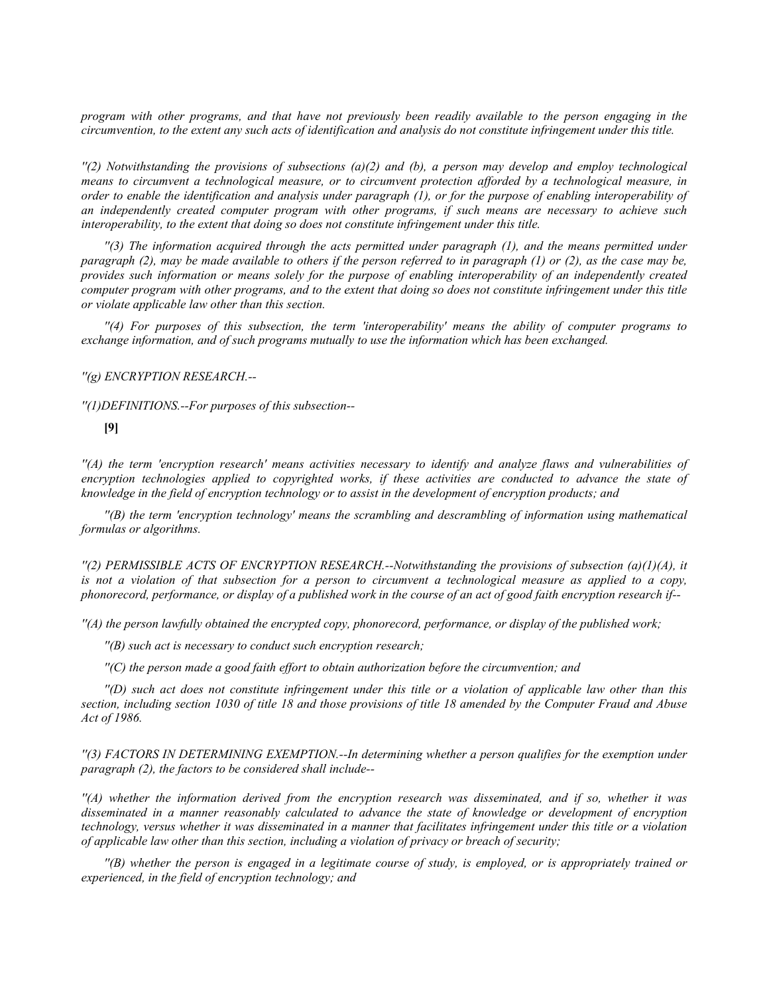*program with other programs, and that have not previously been readily available to the person engaging in the circumvention, to the extent any such acts of identification and analysis do not constitute infringement under this title.*

*''(2) Notwithstanding the provisions of subsections (a)(2) and (b), a person may develop and employ technological means to circumvent a technological measure, or to circumvent protection afforded by a technological measure, in order to enable the identification and analysis under paragraph (1), or for the purpose of enabling interoperability of an independently created computer program with other programs, if such means are necessary to achieve such interoperability, to the extent that doing so does not constitute infringement under this title.*

*''(3) The information acquired through the acts permitted under paragraph (1), and the means permitted under paragraph (2), may be made available to others if the person referred to in paragraph (1) or (2), as the case may be, provides such information or means solely for the purpose of enabling interoperability of an independently created computer program with other programs, and to the extent that doing so does not constitute infringement under this title or violate applicable law other than this section.*

*''(4) For purposes of this subsection, the term 'interoperability' means the ability of computer programs to exchange information, and of such programs mutually to use the information which has been exchanged.*

*''(g) ENCRYPTION RESEARCH.--*

*''(1)DEFINITIONS.--For purposes of this subsection--*

**[9]**

*''(A) the term 'encryption research' means activities necessary to identify and analyze flaws and vulnerabilities of*  encryption technologies applied to copyrighted works, if these activities are conducted to advance the state of *knowledge in the field of encryption technology or to assist in the development of encryption products; and*

*''(B) the term 'encryption technology' means the scrambling and descrambling of information using mathematical formulas or algorithms.*

*''(2) PERMISSIBLE ACTS OF ENCRYPTION RESEARCH.--Notwithstanding the provisions of subsection (a)(1)(A), it is not a violation of that subsection for a person to circumvent a technological measure as applied to a copy, phonorecord, performance, or display of a published work in the course of an act of good faith encryption research if--*

*''(A) the person lawfully obtained the encrypted copy, phonorecord, performance, or display of the published work;*

*''(B) such act is necessary to conduct such encryption research;*

*''(C) the person made a good faith effort to obtain authorization before the circumvention; and*

*''(D) such act does not constitute infringement under this title or a violation of applicable law other than this section, including section 1030 of title 18 and those provisions of title 18 amended by the Computer Fraud and Abuse Act of 1986.*

*''(3) FACTORS IN DETERMINING EXEMPTION.--In determining whether a person qualifies for the exemption under paragraph (2), the factors to be considered shall include--*

*''(A) whether the information derived from the encryption research was disseminated, and if so, whether it was disseminated in a manner reasonably calculated to advance the state of knowledge or development of encryption technology, versus whether it was disseminated in a manner that facilitates infringement under this title or a violation of applicable law other than this section, including a violation of privacy or breach of security;*

*''(B) whether the person is engaged in a legitimate course of study, is employed, or is appropriately trained or experienced, in the field of encryption technology; and*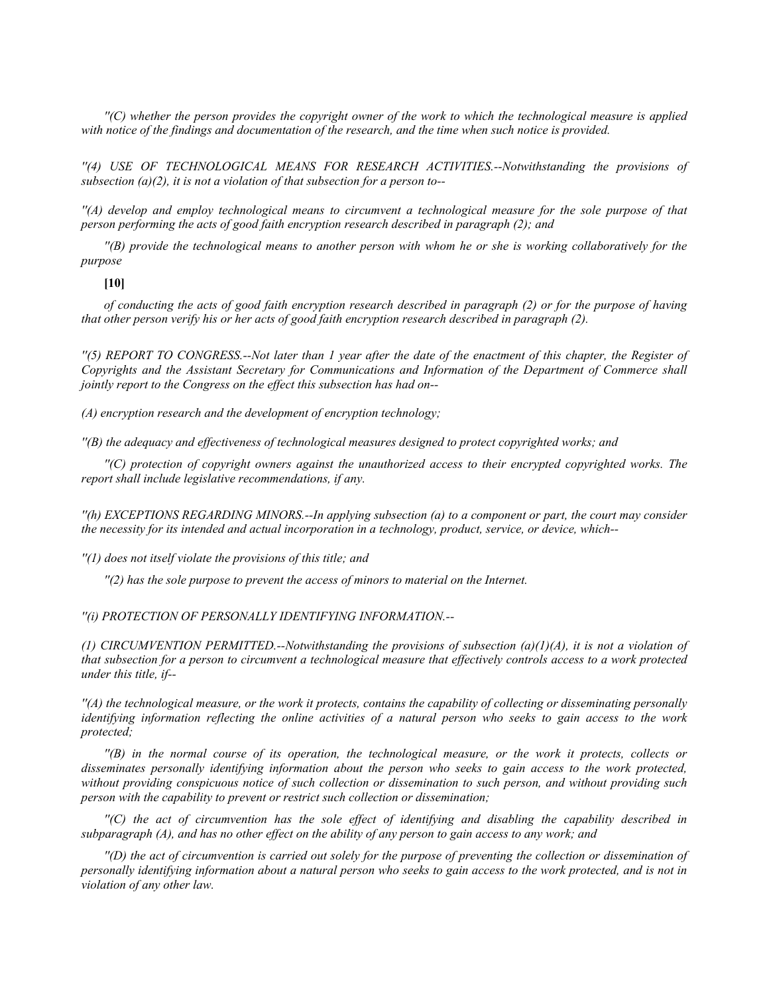*''(C) whether the person provides the copyright owner of the work to which the technological measure is applied with notice of the findings and documentation of the research, and the time when such notice is provided.*

*''(4) USE OF TECHNOLOGICAL MEANS FOR RESEARCH ACTIVITIES.--Notwithstanding the provisions of subsection (a)(2), it is not a violation of that subsection for a person to--*

*''(A) develop and employ technological means to circumvent a technological measure for the sole purpose of that person performing the acts of good faith encryption research described in paragraph (2); and*

*''(B) provide the technological means to another person with whom he or she is working collaboratively for the purpose*

**[10]**

*of conducting the acts of good faith encryption research described in paragraph (2) or for the purpose of having that other person verify his or her acts of good faith encryption research described in paragraph (2).*

*''(5) REPORT TO CONGRESS.--Not later than 1 year after the date of the enactment of this chapter, the Register of Copyrights and the Assistant Secretary for Communications and Information of the Department of Commerce shall jointly report to the Congress on the effect this subsection has had on--*

*(A) encryption research and the development of encryption technology;*

*''(B) the adequacy and effectiveness of technological measures designed to protect copyrighted works; and*

*''(C) protection of copyright owners against the unauthorized access to their encrypted copyrighted works. The report shall include legislative recommendations, if any.*

*''(h) EXCEPTIONS REGARDING MINORS.--In applying subsection (a) to a component or part, the court may consider the necessity for its intended and actual incorporation in a technology, product, service, or device, which--*

*''(1) does not itself violate the provisions of this title; and*

*''(2) has the sole purpose to prevent the access of minors to material on the Internet.*

*''(i) PROTECTION OF PERSONALLY IDENTIFYING INFORMATION.--*

*(1) CIRCUMVENTION PERMITTED.--Notwithstanding the provisions of subsection (a)(1)(A), it is not a violation of that subsection for a person to circumvent a technological measure that effectively controls access to a work protected under this title, if--*

*''(A) the technological measure, or the work it protects, contains the capability of collecting or disseminating personally identifying information reflecting the online activities of a natural person who seeks to gain access to the work protected;*

*''(B) in the normal course of its operation, the technological measure, or the work it protects, collects or disseminates personally identifying information about the person who seeks to gain access to the work protected, without providing conspicuous notice of such collection or dissemination to such person, and without providing such person with the capability to prevent or restrict such collection or dissemination;*

*''(C) the act of circumvention has the sole effect of identifying and disabling the capability described in subparagraph (A), and has no other effect on the ability of any person to gain access to any work; and*

*''(D) the act of circumvention is carried out solely for the purpose of preventing the collection or dissemination of personally identifying information about a natural person who seeks to gain access to the work protected, and is not in violation of any other law.*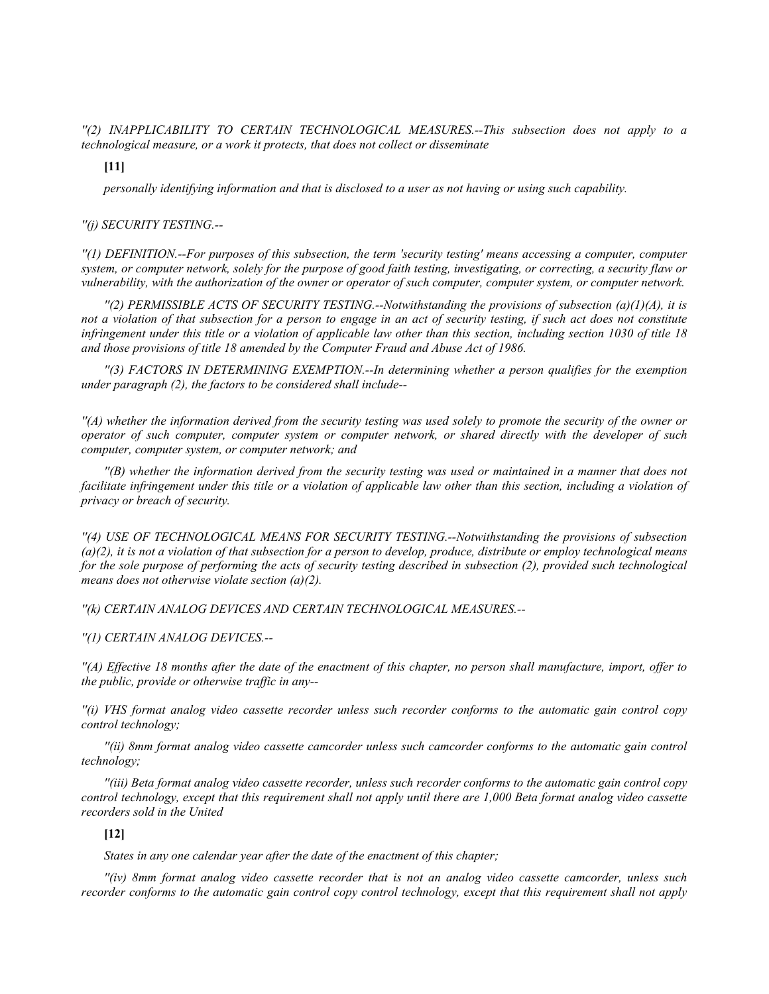*''(2) INAPPLICABILITY TO CERTAIN TECHNOLOGICAL MEASURES.--This subsection does not apply to a technological measure, or a work it protects, that does not collect or disseminate*

**[11]**

*personally identifying information and that is disclosed to a user as not having or using such capability.*

*''(j) SECURITY TESTING.--*

*''(1) DEFINITION.--For purposes of this subsection, the term 'security testing' means accessing a computer, computer system, or computer network, solely for the purpose of good faith testing, investigating, or correcting, a security flaw or vulnerability, with the authorization of the owner or operator of such computer, computer system, or computer network.*

*''(2) PERMISSIBLE ACTS OF SECURITY TESTING.--Notwithstanding the provisions of subsection (a)(1)(A), it is not a violation of that subsection for a person to engage in an act of security testing, if such act does not constitute infringement under this title or a violation of applicable law other than this section, including section 1030 of title 18 and those provisions of title 18 amended by the Computer Fraud and Abuse Act of 1986.*

*''(3) FACTORS IN DETERMINING EXEMPTION.--In determining whether a person qualifies for the exemption under paragraph (2), the factors to be considered shall include--*

*''(A) whether the information derived from the security testing was used solely to promote the security of the owner or operator of such computer, computer system or computer network, or shared directly with the developer of such computer, computer system, or computer network; and*

*''(B) whether the information derived from the security testing was used or maintained in a manner that does not facilitate infringement under this title or a violation of applicable law other than this section, including a violation of privacy or breach of security.*

*''(4) USE OF TECHNOLOGICAL MEANS FOR SECURITY TESTING.--Notwithstanding the provisions of subsection (a)(2), it is not a violation of that subsection for a person to develop, produce, distribute or employ technological means for the sole purpose of performing the acts of security testing described in subsection (2), provided such technological means does not otherwise violate section (a)(2).*

*''(k) CERTAIN ANALOG DEVICES AND CERTAIN TECHNOLOGICAL MEASURES.--*

*''(1) CERTAIN ANALOG DEVICES.--*

*''(A) Effective 18 months after the date of the enactment of this chapter, no person shall manufacture, import, offer to the public, provide or otherwise traffic in any--*

*''(i) VHS format analog video cassette recorder unless such recorder conforms to the automatic gain control copy control technology;*

*''(ii) 8mm format analog video cassette camcorder unless such camcorder conforms to the automatic gain control technology;*

*''(iii) Beta format analog video cassette recorder, unless such recorder conforms to the automatic gain control copy control technology, except that this requirement shall not apply until there are 1,000 Beta format analog video cassette recorders sold in the United*

**[12]**

*States in any one calendar year after the date of the enactment of this chapter;*

*''(iv) 8mm format analog video cassette recorder that is not an analog video cassette camcorder, unless such recorder conforms to the automatic gain control copy control technology, except that this requirement shall not apply*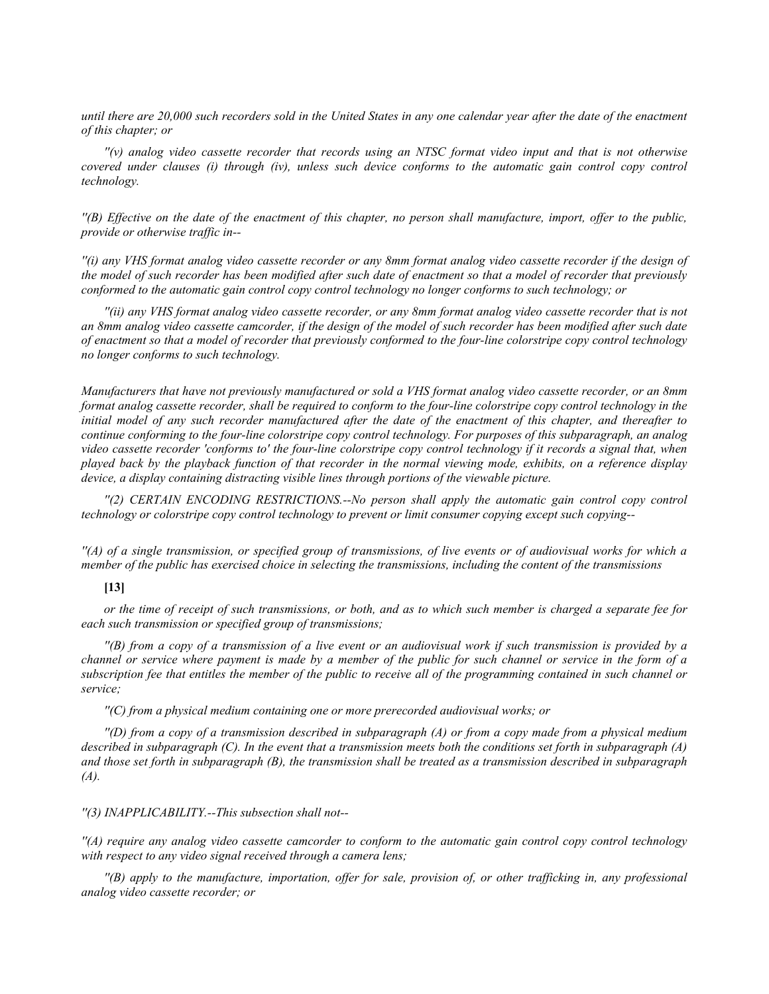*until there are 20,000 such recorders sold in the United States in any one calendar year after the date of the enactment of this chapter; or*

*''(v) analog video cassette recorder that records using an NTSC format video input and that is not otherwise covered under clauses (i) through (iv), unless such device conforms to the automatic gain control copy control technology.*

*''(B) Effective on the date of the enactment of this chapter, no person shall manufacture, import, offer to the public, provide or otherwise traffic in--*

*''(i) any VHS format analog video cassette recorder or any 8mm format analog video cassette recorder if the design of the model of such recorder has been modified after such date of enactment so that a model of recorder that previously conformed to the automatic gain control copy control technology no longer conforms to such technology; or*

*''(ii) any VHS format analog video cassette recorder, or any 8mm format analog video cassette recorder that is not an 8mm analog video cassette camcorder, if the design of the model of such recorder has been modified after such date of enactment so that a model of recorder that previously conformed to the four-line colorstripe copy control technology no longer conforms to such technology.*

*Manufacturers that have not previously manufactured or sold a VHS format analog video cassette recorder, or an 8mm format analog cassette recorder, shall be required to conform to the four-line colorstripe copy control technology in the initial model of any such recorder manufactured after the date of the enactment of this chapter, and thereafter to continue conforming to the four-line colorstripe copy control technology. For purposes of this subparagraph, an analog video cassette recorder 'conforms to' the four-line colorstripe copy control technology if it records a signal that, when played back by the playback function of that recorder in the normal viewing mode, exhibits, on a reference display device, a display containing distracting visible lines through portions of the viewable picture.*

*''(2) CERTAIN ENCODING RESTRICTIONS.--No person shall apply the automatic gain control copy control technology or colorstripe copy control technology to prevent or limit consumer copying except such copying--*

*''(A) of a single transmission, or specified group of transmissions, of live events or of audiovisual works for which a member of the public has exercised choice in selecting the transmissions, including the content of the transmissions*

## **[13]**

*or the time of receipt of such transmissions, or both, and as to which such member is charged a separate fee for each such transmission or specified group of transmissions;*

*''(B) from a copy of a transmission of a live event or an audiovisual work if such transmission is provided by a channel or service where payment is made by a member of the public for such channel or service in the form of a subscription fee that entitles the member of the public to receive all of the programming contained in such channel or service;*

*''(C) from a physical medium containing one or more prerecorded audiovisual works; or*

*''(D) from a copy of a transmission described in subparagraph (A) or from a copy made from a physical medium described in subparagraph (C). In the event that a transmission meets both the conditions set forth in subparagraph (A) and those set forth in subparagraph (B), the transmission shall be treated as a transmission described in subparagraph (A).*

#### *''(3) INAPPLICABILITY.--This subsection shall not--*

*''(A) require any analog video cassette camcorder to conform to the automatic gain control copy control technology with respect to any video signal received through a camera lens;*

*''(B) apply to the manufacture, importation, offer for sale, provision of, or other trafficking in, any professional analog video cassette recorder; or*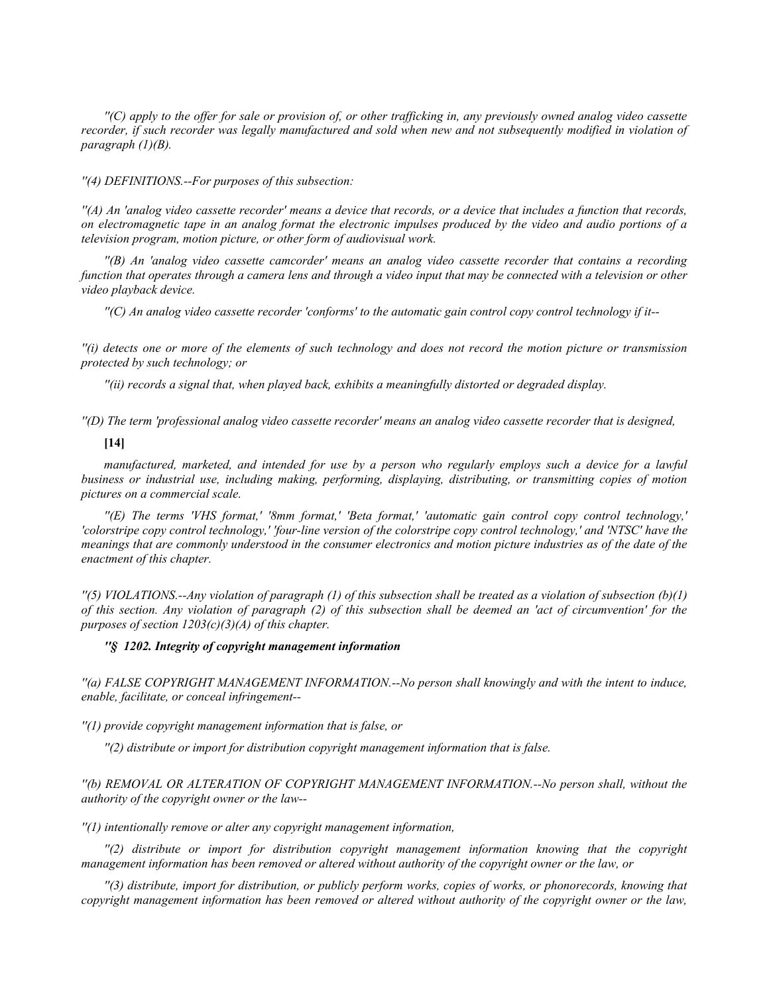*''(C) apply to the offer for sale or provision of, or other trafficking in, any previously owned analog video cassette recorder, if such recorder was legally manufactured and sold when new and not subsequently modified in violation of paragraph (1)(B).*

*''(4) DEFINITIONS.--For purposes of this subsection:*

*''(A) An 'analog video cassette recorder' means a device that records, or a device that includes a function that records, on electromagnetic tape in an analog format the electronic impulses produced by the video and audio portions of a television program, motion picture, or other form of audiovisual work.*

*''(B) An 'analog video cassette camcorder' means an analog video cassette recorder that contains a recording function that operates through a camera lens and through a video input that may be connected with a television or other video playback device.*

*''(C) An analog video cassette recorder 'conforms' to the automatic gain control copy control technology if it--*

*''(i) detects one or more of the elements of such technology and does not record the motion picture or transmission protected by such technology; or*

*''(ii) records a signal that, when played back, exhibits a meaningfully distorted or degraded display.*

*''(D) The term 'professional analog video cassette recorder' means an analog video cassette recorder that is designed,*

#### **[14]**

*manufactured, marketed, and intended for use by a person who regularly employs such a device for a lawful business or industrial use, including making, performing, displaying, distributing, or transmitting copies of motion pictures on a commercial scale.*

*''(E) The terms 'VHS format,' '8mm format,' 'Beta format,' 'automatic gain control copy control technology,' 'colorstripe copy control technology,' 'four-line version of the colorstripe copy control technology,' and 'NTSC' have the meanings that are commonly understood in the consumer electronics and motion picture industries as of the date of the enactment of this chapter.*

*''(5) VIOLATIONS.--Any violation of paragraph (1) of this subsection shall be treated as a violation of subsection (b)(1) of this section. Any violation of paragraph (2) of this subsection shall be deemed an 'act of circumvention' for the purposes of section 1203(c)(3)(A) of this chapter.*

#### *''§ 1202. Integrity of copyright management information*

*''(a) FALSE COPYRIGHT MANAGEMENT INFORMATION.--No person shall knowingly and with the intent to induce, enable, facilitate, or conceal infringement--*

*''(1) provide copyright management information that is false, or*

*''(2) distribute or import for distribution copyright management information that is false.*

*''(b) REMOVAL OR ALTERATION OF COPYRIGHT MANAGEMENT INFORMATION.--No person shall, without the authority of the copyright owner or the law--*

*''(1) intentionally remove or alter any copyright management information,*

*''(2) distribute or import for distribution copyright management information knowing that the copyright management information has been removed or altered without authority of the copyright owner or the law, or*

*''(3) distribute, import for distribution, or publicly perform works, copies of works, or phonorecords, knowing that copyright management information has been removed or altered without authority of the copyright owner or the law,*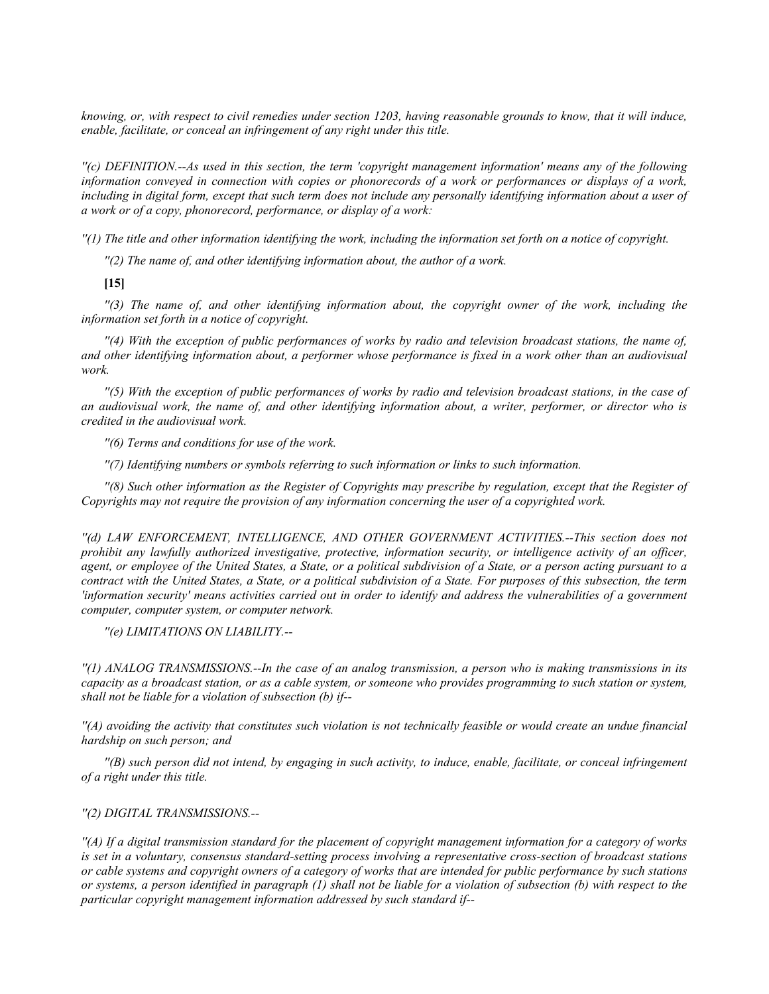*knowing, or, with respect to civil remedies under section 1203, having reasonable grounds to know, that it will induce, enable, facilitate, or conceal an infringement of any right under this title.*

*''(c) DEFINITION.--As used in this section, the term 'copyright management information' means any of the following information conveyed in connection with copies or phonorecords of a work or performances or displays of a work, including in digital form, except that such term does not include any personally identifying information about a user of a work or of a copy, phonorecord, performance, or display of a work:*

*''(1) The title and other information identifying the work, including the information set forth on a notice of copyright.*

*''(2) The name of, and other identifying information about, the author of a work.*

**[15]**

*''(3) The name of, and other identifying information about, the copyright owner of the work, including the information set forth in a notice of copyright.*

*''(4) With the exception of public performances of works by radio and television broadcast stations, the name of, and other identifying information about, a performer whose performance is fixed in a work other than an audiovisual work.*

*''(5) With the exception of public performances of works by radio and television broadcast stations, in the case of an audiovisual work, the name of, and other identifying information about, a writer, performer, or director who is credited in the audiovisual work.*

*''(6) Terms and conditions for use of the work.*

*''(7) Identifying numbers or symbols referring to such information or links to such information.*

*''(8) Such other information as the Register of Copyrights may prescribe by regulation, except that the Register of Copyrights may not require the provision of any information concerning the user of a copyrighted work.*

*''(d) LAW ENFORCEMENT, INTELLIGENCE, AND OTHER GOVERNMENT ACTIVITIES.--This section does not prohibit any lawfully authorized investigative, protective, information security, or intelligence activity of an officer, agent, or employee of the United States, a State, or a political subdivision of a State, or a person acting pursuant to a contract with the United States, a State, or a political subdivision of a State. For purposes of this subsection, the term 'information security' means activities carried out in order to identify and address the vulnerabilities of a government computer, computer system, or computer network.*

*''(e) LIMITATIONS ON LIABILITY.--*

*''(1) ANALOG TRANSMISSIONS.--In the case of an analog transmission, a person who is making transmissions in its capacity as a broadcast station, or as a cable system, or someone who provides programming to such station or system, shall not be liable for a violation of subsection (b) if--*

*''(A) avoiding the activity that constitutes such violation is not technically feasible or would create an undue financial hardship on such person; and*

*''(B) such person did not intend, by engaging in such activity, to induce, enable, facilitate, or conceal infringement of a right under this title.*

*''(2) DIGITAL TRANSMISSIONS.--*

*''(A) If a digital transmission standard for the placement of copyright management information for a category of works is set in a voluntary, consensus standard-setting process involving a representative cross-section of broadcast stations or cable systems and copyright owners of a category of works that are intended for public performance by such stations or systems, a person identified in paragraph (1) shall not be liable for a violation of subsection (b) with respect to the particular copyright management information addressed by such standard if--*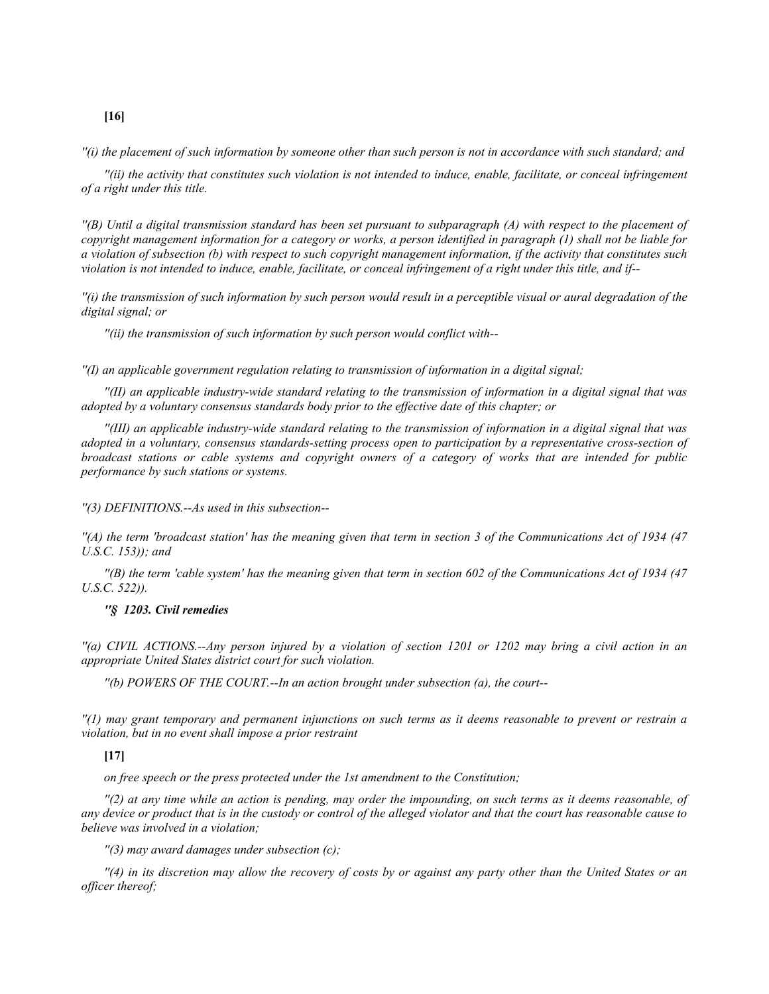*''(i) the placement of such information by someone other than such person is not in accordance with such standard; and*

*''(ii) the activity that constitutes such violation is not intended to induce, enable, facilitate, or conceal infringement of a right under this title.*

*''(B) Until a digital transmission standard has been set pursuant to subparagraph (A) with respect to the placement of copyright management information for a category or works, a person identified in paragraph (1) shall not be liable for a violation of subsection (b) with respect to such copyright management information, if the activity that constitutes such violation is not intended to induce, enable, facilitate, or conceal infringement of a right under this title, and if--* 

*''(i) the transmission of such information by such person would result in a perceptible visual or aural degradation of the digital signal; or*

*''(ii) the transmission of such information by such person would conflict with--*

*''(I) an applicable government regulation relating to transmission of information in a digital signal;*

*''(II) an applicable industry-wide standard relating to the transmission of information in a digital signal that was adopted by a voluntary consensus standards body prior to the effective date of this chapter; or*

*''(III) an applicable industry-wide standard relating to the transmission of information in a digital signal that was adopted in a voluntary, consensus standards-setting process open to participation by a representative cross-section of broadcast stations or cable systems and copyright owners of a category of works that are intended for public performance by such stations or systems.*

*''(3) DEFINITIONS.--As used in this subsection--*

*''(A) the term 'broadcast station' has the meaning given that term in section 3 of the Communications Act of 1934 (47 U.S.C. 153)); and*

*''(B) the term 'cable system' has the meaning given that term in section 602 of the Communications Act of 1934 (47 U.S.C. 522)).*

#### *''§ 1203. Civil remedies*

*''(a) CIVIL ACTIONS.--Any person injured by a violation of section 1201 or 1202 may bring a civil action in an appropriate United States district court for such violation.*

*''(b) POWERS OF THE COURT.--In an action brought under subsection (a), the court--*

*''(1) may grant temporary and permanent injunctions on such terms as it deems reasonable to prevent or restrain a violation, but in no event shall impose a prior restraint*

#### **[17]**

*on free speech or the press protected under the 1st amendment to the Constitution;*

*''(2) at any time while an action is pending, may order the impounding, on such terms as it deems reasonable, of any device or product that is in the custody or control of the alleged violator and that the court has reasonable cause to believe was involved in a violation;*

*''(3) may award damages under subsection (c);*

*''(4) in its discretion may allow the recovery of costs by or against any party other than the United States or an officer thereof;*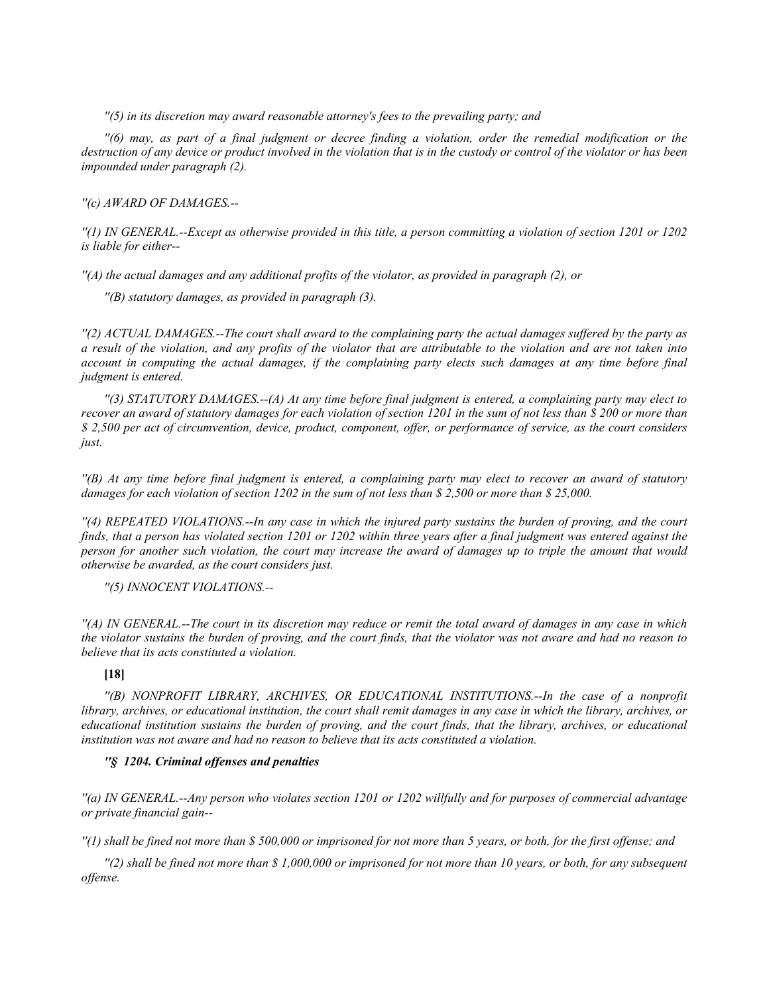*''(5) in its discretion may award reasonable attorney's fees to the prevailing party; and*

*''(6) may, as part of a final judgment or decree finding a violation, order the remedial modification or the destruction of any device or product involved in the violation that is in the custody or control of the violator or has been impounded under paragraph (2).*

*''(c) AWARD OF DAMAGES.--*

*''(1) IN GENERAL.--Except as otherwise provided in this title, a person committing a violation of section 1201 or 1202 is liable for either--*

*''(A) the actual damages and any additional profits of the violator, as provided in paragraph (2), or*

*''(B) statutory damages, as provided in paragraph (3).*

*''(2) ACTUAL DAMAGES.--The court shall award to the complaining party the actual damages suffered by the party as a result of the violation, and any profits of the violator that are attributable to the violation and are not taken into account in computing the actual damages, if the complaining party elects such damages at any time before final judgment is entered.*

*''(3) STATUTORY DAMAGES.--(A) At any time before final judgment is entered, a complaining party may elect to recover an award of statutory damages for each violation of section 1201 in the sum of not less than \$ 200 or more than \$ 2,500 per act of circumvention, device, product, component, offer, or performance of service, as the court considers just.*

*''(B) At any time before final judgment is entered, a complaining party may elect to recover an award of statutory damages for each violation of section 1202 in the sum of not less than \$ 2,500 or more than \$ 25,000.*

*''(4) REPEATED VIOLATIONS.--In any case in which the injured party sustains the burden of proving, and the court finds, that a person has violated section 1201 or 1202 within three years after a final judgment was entered against the person for another such violation, the court may increase the award of damages up to triple the amount that would otherwise be awarded, as the court considers just.*

*''(5) INNOCENT VIOLATIONS.--*

*''(A) IN GENERAL.--The court in its discretion may reduce or remit the total award of damages in any case in which the violator sustains the burden of proving, and the court finds, that the violator was not aware and had no reason to believe that its acts constituted a violation.*

## **[18]**

*''(B) NONPROFIT LIBRARY, ARCHIVES, OR EDUCATIONAL INSTITUTIONS.--In the case of a nonprofit library, archives, or educational institution, the court shall remit damages in any case in which the library, archives, or educational institution sustains the burden of proving, and the court finds, that the library, archives, or educational institution was not aware and had no reason to believe that its acts constituted a violation.*

### *''§ 1204. Criminal offenses and penalties*

*''(a) IN GENERAL.--Any person who violates section 1201 or 1202 willfully and for purposes of commercial advantage or private financial gain--*

*''(1) shall be fined not more than \$ 500,000 or imprisoned for not more than 5 years, or both, for the first offense; and*

*''(2) shall be fined not more than \$ 1,000,000 or imprisoned for not more than 10 years, or both, for any subsequent offense.*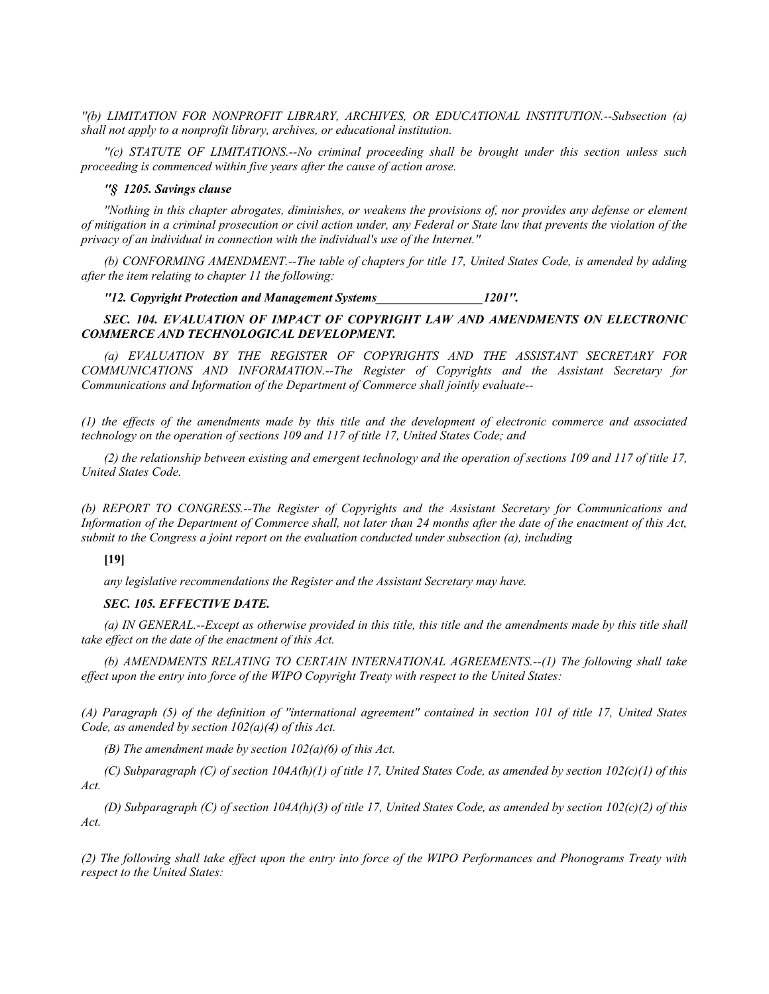*''(b) LIMITATION FOR NONPROFIT LIBRARY, ARCHIVES, OR EDUCATIONAL INSTITUTION.--Subsection (a) shall not apply to a nonprofit library, archives, or educational institution.*

*''(c) STATUTE OF LIMITATIONS.--No criminal proceeding shall be brought under this section unless such proceeding is commenced within five years after the cause of action arose.*

#### *''§ 1205. Savings clause*

*''Nothing in this chapter abrogates, diminishes, or weakens the provisions of, nor provides any defense or element of mitigation in a criminal prosecution or civil action under, any Federal or State law that prevents the violation of the privacy of an individual in connection with the individual's use of the Internet.''*

*(b) CONFORMING AMENDMENT.--The table of chapters for title 17, United States Code, is amended by adding after the item relating to chapter 11 the following:*

#### *''12. Copyright Protection and Management Systems\_\_\_\_\_\_\_\_\_\_\_\_\_\_\_\_\_1201''.*

## *SEC. 104. EVALUATION OF IMPACT OF COPYRIGHT LAW AND AMENDMENTS ON ELECTRONIC COMMERCE AND TECHNOLOGICAL DEVELOPMENT.*

*(a) EVALUATION BY THE REGISTER OF COPYRIGHTS AND THE ASSISTANT SECRETARY FOR COMMUNICATIONS AND INFORMATION.--The Register of Copyrights and the Assistant Secretary for Communications and Information of the Department of Commerce shall jointly evaluate--*

*(1) the effects of the amendments made by this title and the development of electronic commerce and associated technology on the operation of sections 109 and 117 of title 17, United States Code; and*

*(2) the relationship between existing and emergent technology and the operation of sections 109 and 117 of title 17, United States Code.*

*(b) REPORT TO CONGRESS.--The Register of Copyrights and the Assistant Secretary for Communications and Information of the Department of Commerce shall, not later than 24 months after the date of the enactment of this Act, submit to the Congress a joint report on the evaluation conducted under subsection (a), including*

### **[19]**

*any legislative recommendations the Register and the Assistant Secretary may have.*

### *SEC. 105. EFFECTIVE DATE.*

*(a) IN GENERAL.--Except as otherwise provided in this title, this title and the amendments made by this title shall take effect on the date of the enactment of this Act.*

*(b) AMENDMENTS RELATING TO CERTAIN INTERNATIONAL AGREEMENTS.--(1) The following shall take effect upon the entry into force of the WIPO Copyright Treaty with respect to the United States:*

*(A) Paragraph (5) of the definition of ''international agreement'' contained in section 101 of title 17, United States Code, as amended by section 102(a)(4) of this Act.*

*(B) The amendment made by section 102(a)(6) of this Act.*

*(C) Subparagraph (C) of section 104A(h)(1) of title 17, United States Code, as amended by section 102(c)(1) of this Act.*

*(D) Subparagraph (C) of section 104A(h)(3) of title 17, United States Code, as amended by section 102(c)(2) of this Act.*

*(2) The following shall take effect upon the entry into force of the WIPO Performances and Phonograms Treaty with respect to the United States:*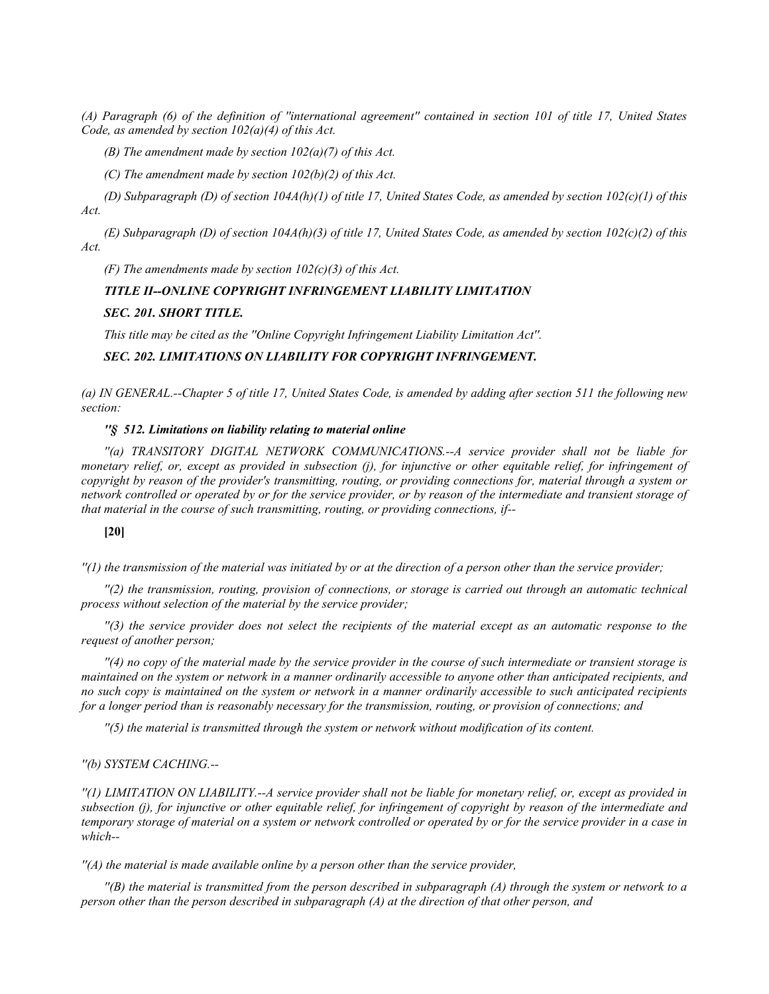*(A) Paragraph (6) of the definition of ''international agreement'' contained in section 101 of title 17, United States Code, as amended by section 102(a)(4) of this Act.*

*(B) The amendment made by section 102(a)(7) of this Act.*

*(C) The amendment made by section 102(b)(2) of this Act.*

*(D) Subparagraph (D) of section 104A(h)(1) of title 17, United States Code, as amended by section 102(c)(1) of this Act.*

*(E) Subparagraph (D) of section 104A(h)(3) of title 17, United States Code, as amended by section 102(c)(2) of this Act.*

*(F) The amendments made by section 102(c)(3) of this Act.*

### *TITLE II--ONLINE COPYRIGHT INFRINGEMENT LIABILITY LIMITATION*

#### *SEC. 201. SHORT TITLE.*

*This title may be cited as the ''Online Copyright Infringement Liability Limitation Act''.*

#### *SEC. 202. LIMITATIONS ON LIABILITY FOR COPYRIGHT INFRINGEMENT.*

*(a) IN GENERAL.--Chapter 5 of title 17, United States Code, is amended by adding after section 511 the following new section:*

#### *''§ 512. Limitations on liability relating to material online*

*''(a) TRANSITORY DIGITAL NETWORK COMMUNICATIONS.--A service provider shall not be liable for monetary relief, or, except as provided in subsection (j), for injunctive or other equitable relief, for infringement of copyright by reason of the provider's transmitting, routing, or providing connections for, material through a system or network controlled or operated by or for the service provider, or by reason of the intermediate and transient storage of that material in the course of such transmitting, routing, or providing connections, if--*

**[20]**

*''(1) the transmission of the material was initiated by or at the direction of a person other than the service provider;*

*''(2) the transmission, routing, provision of connections, or storage is carried out through an automatic technical process without selection of the material by the service provider;*

*''(3) the service provider does not select the recipients of the material except as an automatic response to the request of another person;*

*''(4) no copy of the material made by the service provider in the course of such intermediate or transient storage is maintained on the system or network in a manner ordinarily accessible to anyone other than anticipated recipients, and no such copy is maintained on the system or network in a manner ordinarily accessible to such anticipated recipients for a longer period than is reasonably necessary for the transmission, routing, or provision of connections; and*

*''(5) the material is transmitted through the system or network without modification of its content.*

#### *''(b) SYSTEM CACHING.--*

*''(1) LIMITATION ON LIABILITY.--A service provider shall not be liable for monetary relief, or, except as provided in subsection (j), for injunctive or other equitable relief, for infringement of copyright by reason of the intermediate and temporary storage of material on a system or network controlled or operated by or for the service provider in a case in which--*

*''(A) the material is made available online by a person other than the service provider,*

*''(B) the material is transmitted from the person described in subparagraph (A) through the system or network to a person other than the person described in subparagraph (A) at the direction of that other person, and*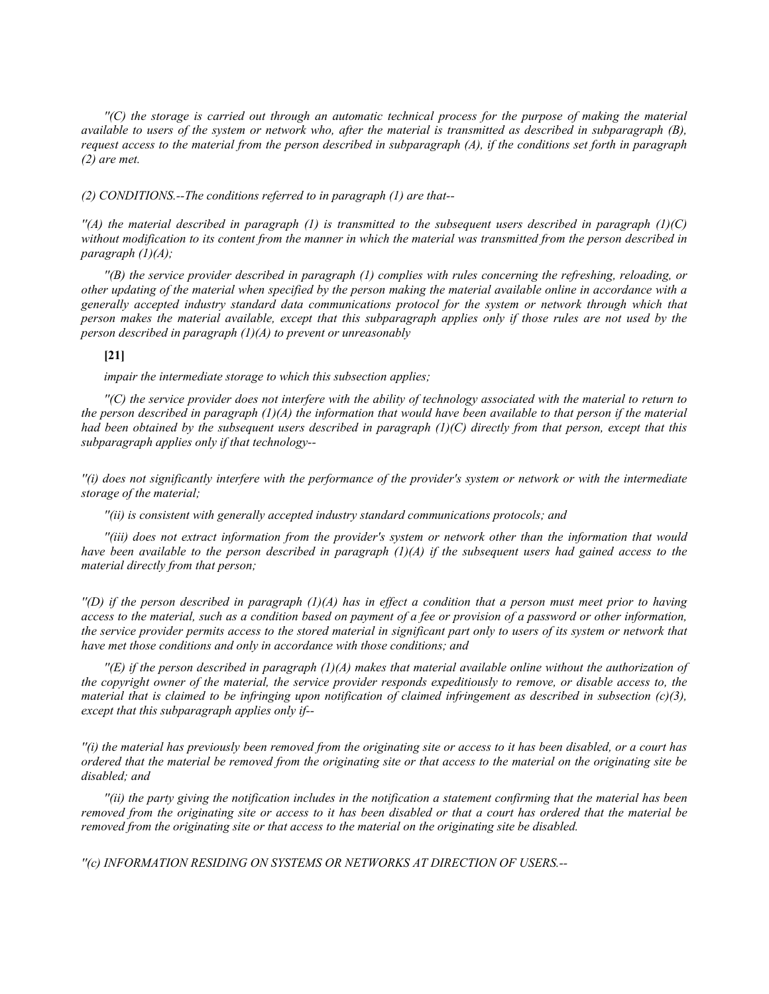*''(C) the storage is carried out through an automatic technical process for the purpose of making the material available to users of the system or network who, after the material is transmitted as described in subparagraph (B), request access to the material from the person described in subparagraph (A), if the conditions set forth in paragraph (2) are met.*

*(2) CONDITIONS.--The conditions referred to in paragraph (1) are that--*

 $'$ (A) the material described in paragraph (1) is transmitted to the subsequent users described in paragraph (1)(C) *without modification to its content from the manner in which the material was transmitted from the person described in paragraph (1)(A);*

*''(B) the service provider described in paragraph (1) complies with rules concerning the refreshing, reloading, or other updating of the material when specified by the person making the material available online in accordance with a generally accepted industry standard data communications protocol for the system or network through which that person makes the material available, except that this subparagraph applies only if those rules are not used by the person described in paragraph (1)(A) to prevent or unreasonably*

## **[21]**

*impair the intermediate storage to which this subsection applies;*

*''(C) the service provider does not interfere with the ability of technology associated with the material to return to the person described in paragraph (1)(A) the information that would have been available to that person if the material had been obtained by the subsequent users described in paragraph (1)(C) directly from that person, except that this subparagraph applies only if that technology--*

*''(i) does not significantly interfere with the performance of the provider's system or network or with the intermediate storage of the material;*

*''(ii) is consistent with generally accepted industry standard communications protocols; and*

*''(iii) does not extract information from the provider's system or network other than the information that would have been available to the person described in paragraph (1)(A) if the subsequent users had gained access to the material directly from that person;*

*''(D) if the person described in paragraph (1)(A) has in effect a condition that a person must meet prior to having access to the material, such as a condition based on payment of a fee or provision of a password or other information, the service provider permits access to the stored material in significant part only to users of its system or network that have met those conditions and only in accordance with those conditions; and*

*''(E) if the person described in paragraph (1)(A) makes that material available online without the authorization of the copyright owner of the material, the service provider responds expeditiously to remove, or disable access to, the material that is claimed to be infringing upon notification of claimed infringement as described in subsection (c)(3), except that this subparagraph applies only if--*

*''(i) the material has previously been removed from the originating site or access to it has been disabled, or a court has ordered that the material be removed from the originating site or that access to the material on the originating site be disabled; and*

*''(ii) the party giving the notification includes in the notification a statement confirming that the material has been removed from the originating site or access to it has been disabled or that a court has ordered that the material be removed from the originating site or that access to the material on the originating site be disabled.*

*''(c) INFORMATION RESIDING ON SYSTEMS OR NETWORKS AT DIRECTION OF USERS.--*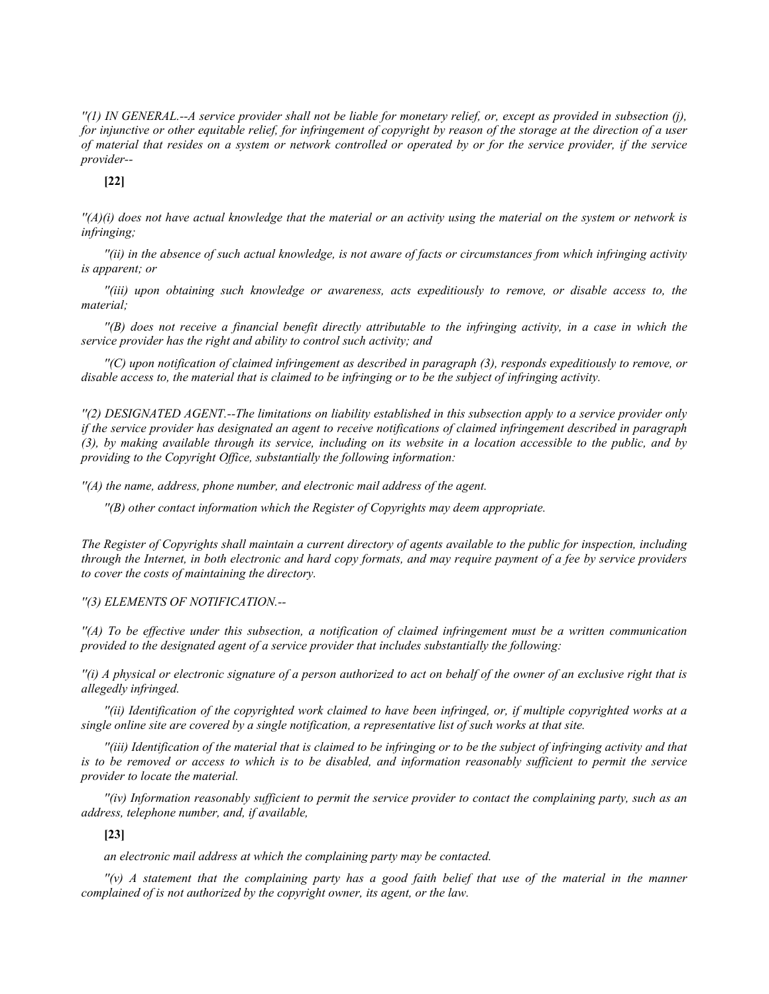*''(1) IN GENERAL.--A service provider shall not be liable for monetary relief, or, except as provided in subsection (j), for injunctive or other equitable relief, for infringement of copyright by reason of the storage at the direction of a user of material that resides on a system or network controlled or operated by or for the service provider, if the service provider--*

**[22]**

*''(A)(i) does not have actual knowledge that the material or an activity using the material on the system or network is infringing;*

*''(ii) in the absence of such actual knowledge, is not aware of facts or circumstances from which infringing activity is apparent; or*

*''(iii) upon obtaining such knowledge or awareness, acts expeditiously to remove, or disable access to, the material;*

*''(B) does not receive a financial benefit directly attributable to the infringing activity, in a case in which the service provider has the right and ability to control such activity; and*

*''(C) upon notification of claimed infringement as described in paragraph (3), responds expeditiously to remove, or disable access to, the material that is claimed to be infringing or to be the subject of infringing activity.*

*''(2) DESIGNATED AGENT.--The limitations on liability established in this subsection apply to a service provider only if the service provider has designated an agent to receive notifications of claimed infringement described in paragraph (3), by making available through its service, including on its website in a location accessible to the public, and by providing to the Copyright Office, substantially the following information:*

*''(A) the name, address, phone number, and electronic mail address of the agent.*

*''(B) other contact information which the Register of Copyrights may deem appropriate.*

*The Register of Copyrights shall maintain a current directory of agents available to the public for inspection, including through the Internet, in both electronic and hard copy formats, and may require payment of a fee by service providers to cover the costs of maintaining the directory.*

*''(3) ELEMENTS OF NOTIFICATION.--*

*''(A) To be effective under this subsection, a notification of claimed infringement must be a written communication provided to the designated agent of a service provider that includes substantially the following:*

*''(i) A physical or electronic signature of a person authorized to act on behalf of the owner of an exclusive right that is allegedly infringed.*

*''(ii) Identification of the copyrighted work claimed to have been infringed, or, if multiple copyrighted works at a single online site are covered by a single notification, a representative list of such works at that site.*

*''(iii) Identification of the material that is claimed to be infringing or to be the subject of infringing activity and that is to be removed or access to which is to be disabled, and information reasonably sufficient to permit the service provider to locate the material.*

*''(iv) Information reasonably sufficient to permit the service provider to contact the complaining party, such as an address, telephone number, and, if available,*

**[23]**

*an electronic mail address at which the complaining party may be contacted.*

*''(v) A statement that the complaining party has a good faith belief that use of the material in the manner complained of is not authorized by the copyright owner, its agent, or the law.*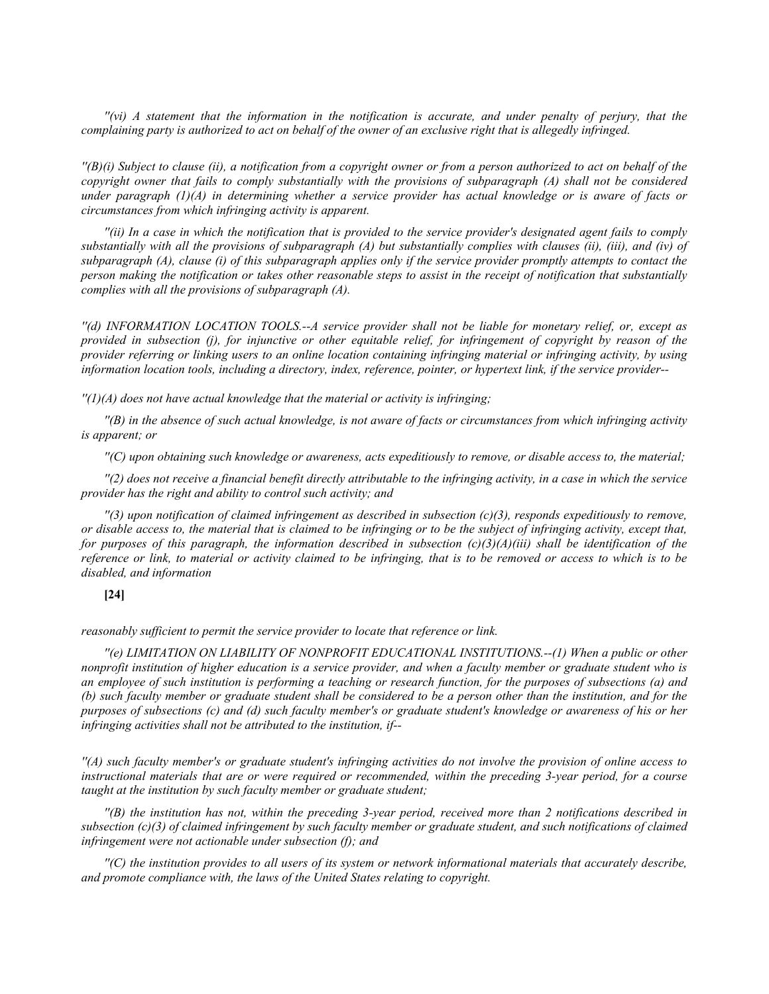*''(vi) A statement that the information in the notification is accurate, and under penalty of perjury, that the complaining party is authorized to act on behalf of the owner of an exclusive right that is allegedly infringed.*

*''(B)(i) Subject to clause (ii), a notification from a copyright owner or from a person authorized to act on behalf of the copyright owner that fails to comply substantially with the provisions of subparagraph (A) shall not be considered under paragraph (1)(A) in determining whether a service provider has actual knowledge or is aware of facts or circumstances from which infringing activity is apparent.*

*''(ii) In a case in which the notification that is provided to the service provider's designated agent fails to comply substantially with all the provisions of subparagraph (A) but substantially complies with clauses (ii), (iii), and (iv) of subparagraph (A), clause (i) of this subparagraph applies only if the service provider promptly attempts to contact the person making the notification or takes other reasonable steps to assist in the receipt of notification that substantially complies with all the provisions of subparagraph (A).*

*''(d) INFORMATION LOCATION TOOLS.--A service provider shall not be liable for monetary relief, or, except as provided in subsection (j), for injunctive or other equitable relief, for infringement of copyright by reason of the provider referring or linking users to an online location containing infringing material or infringing activity, by using information location tools, including a directory, index, reference, pointer, or hypertext link, if the service provider--*

*''(1)(A) does not have actual knowledge that the material or activity is infringing;*

*''(B) in the absence of such actual knowledge, is not aware of facts or circumstances from which infringing activity is apparent; or*

*''(C) upon obtaining such knowledge or awareness, acts expeditiously to remove, or disable access to, the material;*

*''(2) does not receive a financial benefit directly attributable to the infringing activity, in a case in which the service provider has the right and ability to control such activity; and*

*''(3) upon notification of claimed infringement as described in subsection (c)(3), responds expeditiously to remove, or disable access to, the material that is claimed to be infringing or to be the subject of infringing activity, except that, for purposes of this paragraph, the information described in subsection (c)(3)(A)(iii) shall be identification of the reference or link, to material or activity claimed to be infringing, that is to be removed or access to which is to be disabled, and information*

## **[24]**

*reasonably sufficient to permit the service provider to locate that reference or link.*

*''(e) LIMITATION ON LIABILITY OF NONPROFIT EDUCATIONAL INSTITUTIONS.--(1) When a public or other nonprofit institution of higher education is a service provider, and when a faculty member or graduate student who is an employee of such institution is performing a teaching or research function, for the purposes of subsections (a) and (b) such faculty member or graduate student shall be considered to be a person other than the institution, and for the purposes of subsections (c) and (d) such faculty member's or graduate student's knowledge or awareness of his or her infringing activities shall not be attributed to the institution, if--* 

*''(A) such faculty member's or graduate student's infringing activities do not involve the provision of online access to instructional materials that are or were required or recommended, within the preceding 3-year period, for a course taught at the institution by such faculty member or graduate student;*

*''(B) the institution has not, within the preceding 3-year period, received more than 2 notifications described in subsection (c)(3) of claimed infringement by such faculty member or graduate student, and such notifications of claimed infringement were not actionable under subsection (f); and*

*''(C) the institution provides to all users of its system or network informational materials that accurately describe, and promote compliance with, the laws of the United States relating to copyright.*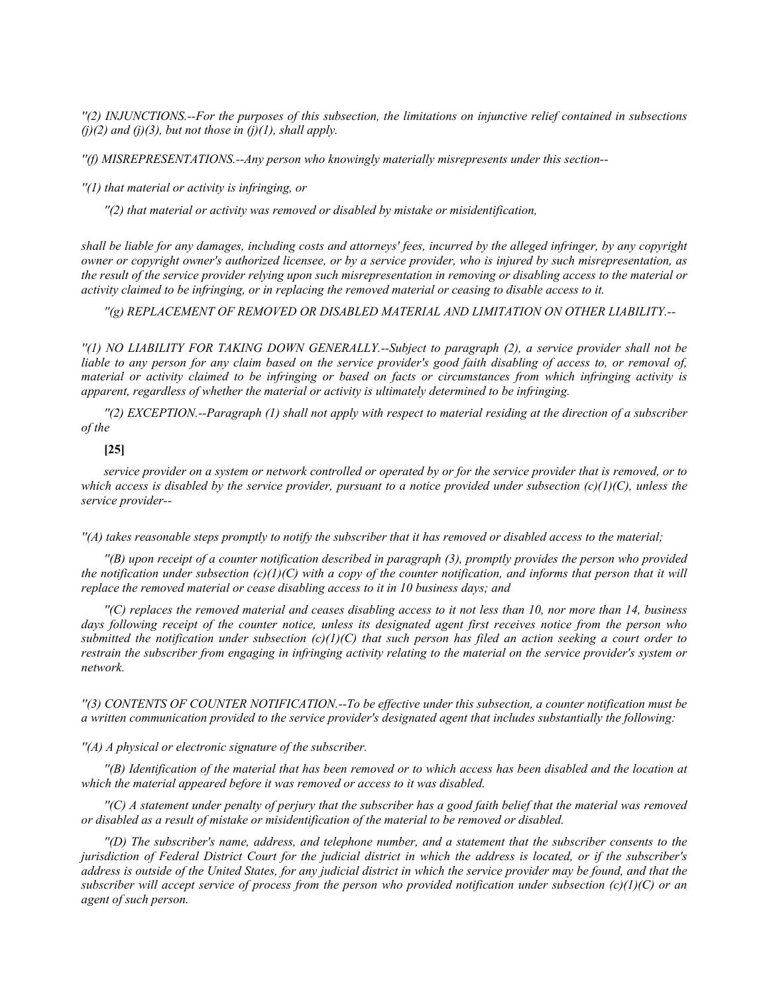*''(2) INJUNCTIONS.--For the purposes of this subsection, the limitations on injunctive relief contained in subsections*   $(j)(2)$  and  $(j)(3)$ , but not those in  $(j)(1)$ , shall apply.

*''(f) MISREPRESENTATIONS.--Any person who knowingly materially misrepresents under this section--*

*''(1) that material or activity is infringing, or*

*''(2) that material or activity was removed or disabled by mistake or misidentification,*

*shall be liable for any damages, including costs and attorneys' fees, incurred by the alleged infringer, by any copyright owner or copyright owner's authorized licensee, or by a service provider, who is injured by such misrepresentation, as the result of the service provider relying upon such misrepresentation in removing or disabling access to the material or activity claimed to be infringing, or in replacing the removed material or ceasing to disable access to it.*

*''(g) REPLACEMENT OF REMOVED OR DISABLED MATERIAL AND LIMITATION ON OTHER LIABILITY.--*

*''(1) NO LIABILITY FOR TAKING DOWN GENERALLY.--Subject to paragraph (2), a service provider shall not be liable to any person for any claim based on the service provider's good faith disabling of access to, or removal of, material or activity claimed to be infringing or based on facts or circumstances from which infringing activity is apparent, regardless of whether the material or activity is ultimately determined to be infringing.*

*''(2) EXCEPTION.--Paragraph (1) shall not apply with respect to material residing at the direction of a subscriber of the* 

#### **[25]**

*service provider on a system or network controlled or operated by or for the service provider that is removed, or to which access is disabled by the service provider, pursuant to a notice provided under subsection (c)(1)(C), unless the service provider--*

*''(A) takes reasonable steps promptly to notify the subscriber that it has removed or disabled access to the material;*

*''(B) upon receipt of a counter notification described in paragraph (3), promptly provides the person who provided the notification under subsection*  $(c)(1)(C)$  *with a copy of the counter notification, and informs that person that it will replace the removed material or cease disabling access to it in 10 business days; and*

*''(C) replaces the removed material and ceases disabling access to it not less than 10, nor more than 14, business days following receipt of the counter notice, unless its designated agent first receives notice from the person who submitted the notification under subsection (c)(1)(C) that such person has filed an action seeking a court order to restrain the subscriber from engaging in infringing activity relating to the material on the service provider's system or network.*

*''(3) CONTENTS OF COUNTER NOTIFICATION.--To be effective under this subsection, a counter notification must be a written communication provided to the service provider's designated agent that includes substantially the following:*

#### *''(A) A physical or electronic signature of the subscriber.*

*''(B) Identification of the material that has been removed or to which access has been disabled and the location at which the material appeared before it was removed or access to it was disabled.*

*''(C) A statement under penalty of perjury that the subscriber has a good faith belief that the material was removed or disabled as a result of mistake or misidentification of the material to be removed or disabled.*

*''(D) The subscriber's name, address, and telephone number, and a statement that the subscriber consents to the jurisdiction of Federal District Court for the judicial district in which the address is located, or if the subscriber's address is outside of the United States, for any judicial district in which the service provider may be found, and that the subscriber will accept service of process from the person who provided notification under subsection (c)(1)(C) or an agent of such person.*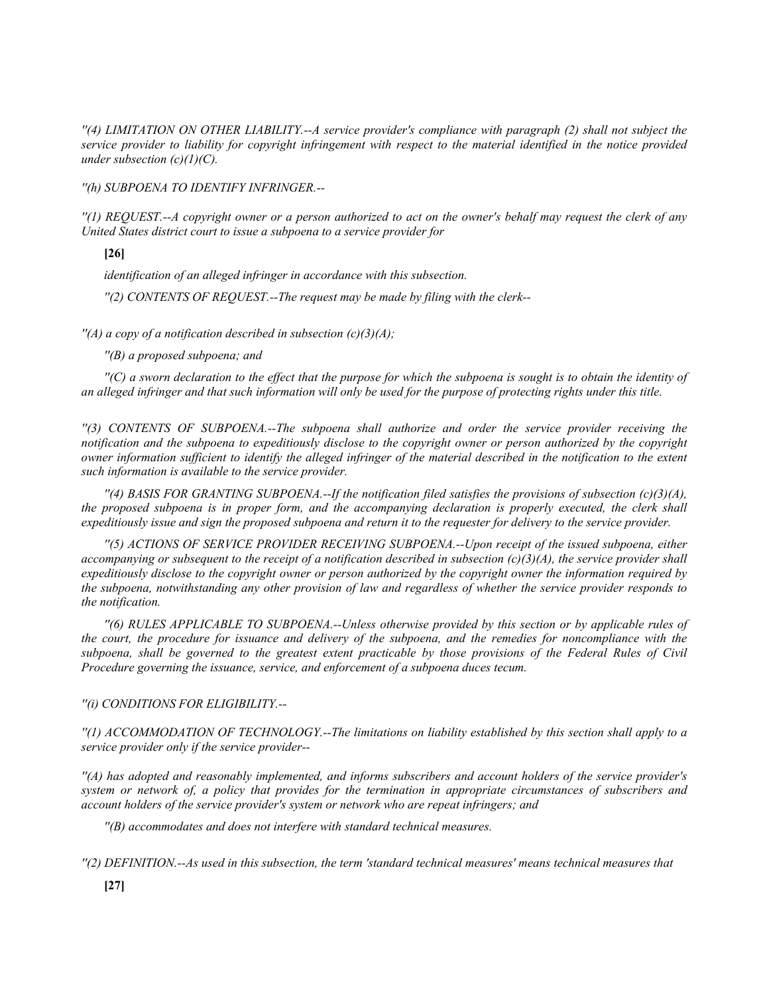*''(4) LIMITATION ON OTHER LIABILITY.--A service provider's compliance with paragraph (2) shall not subject the service provider to liability for copyright infringement with respect to the material identified in the notice provided under subsection (c)(1)(C).*

*''(h) SUBPOENA TO IDENTIFY INFRINGER.--*

*''(1) REQUEST.--A copyright owner or a person authorized to act on the owner's behalf may request the clerk of any United States district court to issue a subpoena to a service provider for*

**[26]**

*identification of an alleged infringer in accordance with this subsection.*

*''(2) CONTENTS OF REQUEST.--The request may be made by filing with the clerk--*

*''(A) a copy of a notification described in subsection (c)(3)(A);*

*''(B) a proposed subpoena; and*

*''(C) a sworn declaration to the effect that the purpose for which the subpoena is sought is to obtain the identity of an alleged infringer and that such information will only be used for the purpose of protecting rights under this title.*

*''(3) CONTENTS OF SUBPOENA.--The subpoena shall authorize and order the service provider receiving the notification and the subpoena to expeditiously disclose to the copyright owner or person authorized by the copyright owner information sufficient to identify the alleged infringer of the material described in the notification to the extent such information is available to the service provider.*

*''(4) BASIS FOR GRANTING SUBPOENA.--If the notification filed satisfies the provisions of subsection (c)(3)(A), the proposed subpoena is in proper form, and the accompanying declaration is properly executed, the clerk shall expeditiously issue and sign the proposed subpoena and return it to the requester for delivery to the service provider.*

*''(5) ACTIONS OF SERVICE PROVIDER RECEIVING SUBPOENA.--Upon receipt of the issued subpoena, either accompanying or subsequent to the receipt of a notification described in subsection (c)(3)(A), the service provider shall expeditiously disclose to the copyright owner or person authorized by the copyright owner the information required by the subpoena, notwithstanding any other provision of law and regardless of whether the service provider responds to the notification.*

*''(6) RULES APPLICABLE TO SUBPOENA.--Unless otherwise provided by this section or by applicable rules of the court, the procedure for issuance and delivery of the subpoena, and the remedies for noncompliance with the subpoena, shall be governed to the greatest extent practicable by those provisions of the Federal Rules of Civil Procedure governing the issuance, service, and enforcement of a subpoena duces tecum.*

### *''(i) CONDITIONS FOR ELIGIBILITY.--*

*''(1) ACCOMMODATION OF TECHNOLOGY.--The limitations on liability established by this section shall apply to a service provider only if the service provider--*

*''(A) has adopted and reasonably implemented, and informs subscribers and account holders of the service provider's system or network of, a policy that provides for the termination in appropriate circumstances of subscribers and account holders of the service provider's system or network who are repeat infringers; and*

*''(B) accommodates and does not interfere with standard technical measures.*

*''(2) DEFINITION.--As used in this subsection, the term 'standard technical measures' means technical measures that*

**[27]**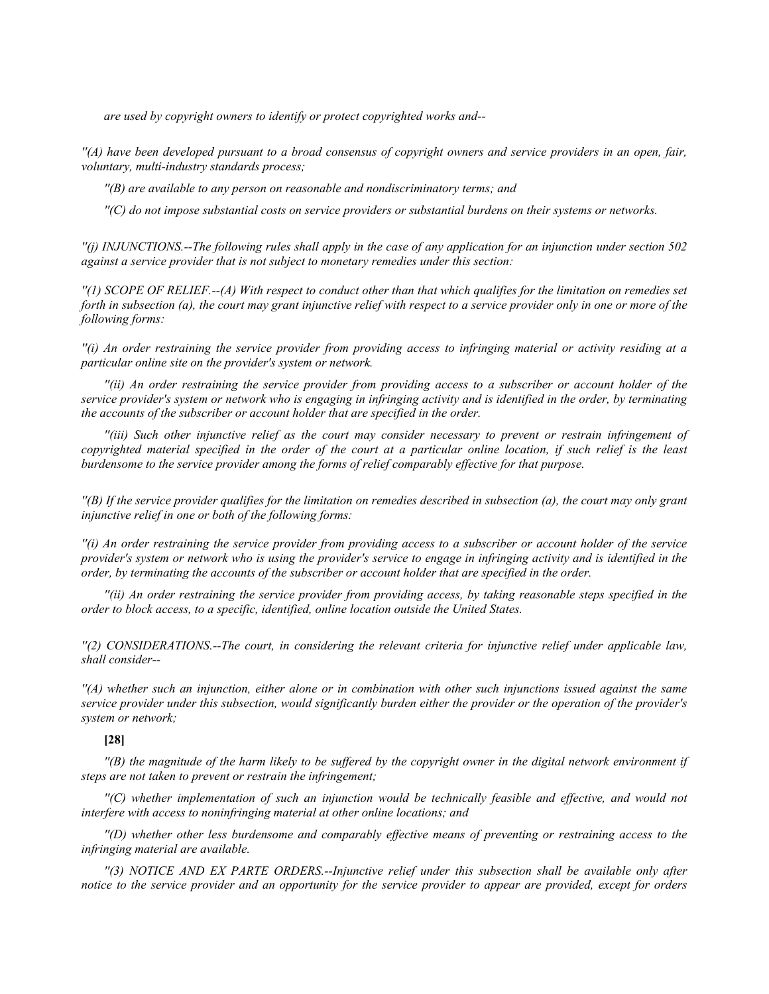*are used by copyright owners to identify or protect copyrighted works and--*

*''(A) have been developed pursuant to a broad consensus of copyright owners and service providers in an open, fair, voluntary, multi-industry standards process;*

*''(B) are available to any person on reasonable and nondiscriminatory terms; and*

*''(C) do not impose substantial costs on service providers or substantial burdens on their systems or networks.*

*''(j) INJUNCTIONS.--The following rules shall apply in the case of any application for an injunction under section 502 against a service provider that is not subject to monetary remedies under this section:*

*''(1) SCOPE OF RELIEF.--(A) With respect to conduct other than that which qualifies for the limitation on remedies set forth in subsection (a), the court may grant injunctive relief with respect to a service provider only in one or more of the following forms:*

*''(i) An order restraining the service provider from providing access to infringing material or activity residing at a particular online site on the provider's system or network.*

*''(ii) An order restraining the service provider from providing access to a subscriber or account holder of the service provider's system or network who is engaging in infringing activity and is identified in the order, by terminating the accounts of the subscriber or account holder that are specified in the order.*

*''(iii) Such other injunctive relief as the court may consider necessary to prevent or restrain infringement of copyrighted material specified in the order of the court at a particular online location, if such relief is the least burdensome to the service provider among the forms of relief comparably effective for that purpose.*

*''(B) If the service provider qualifies for the limitation on remedies described in subsection (a), the court may only grant injunctive relief in one or both of the following forms:*

*''(i) An order restraining the service provider from providing access to a subscriber or account holder of the service provider's system or network who is using the provider's service to engage in infringing activity and is identified in the order, by terminating the accounts of the subscriber or account holder that are specified in the order.*

*''(ii) An order restraining the service provider from providing access, by taking reasonable steps specified in the order to block access, to a specific, identified, online location outside the United States.*

*''(2) CONSIDERATIONS.--The court, in considering the relevant criteria for injunctive relief under applicable law, shall consider--*

*''(A) whether such an injunction, either alone or in combination with other such injunctions issued against the same service provider under this subsection, would significantly burden either the provider or the operation of the provider's system or network;*

## **[28]**

*''(B) the magnitude of the harm likely to be suffered by the copyright owner in the digital network environment if steps are not taken to prevent or restrain the infringement;*

*''(C) whether implementation of such an injunction would be technically feasible and effective, and would not interfere with access to noninfringing material at other online locations; and*

*''(D) whether other less burdensome and comparably effective means of preventing or restraining access to the infringing material are available.*

*''(3) NOTICE AND EX PARTE ORDERS.--Injunctive relief under this subsection shall be available only after notice to the service provider and an opportunity for the service provider to appear are provided, except for orders*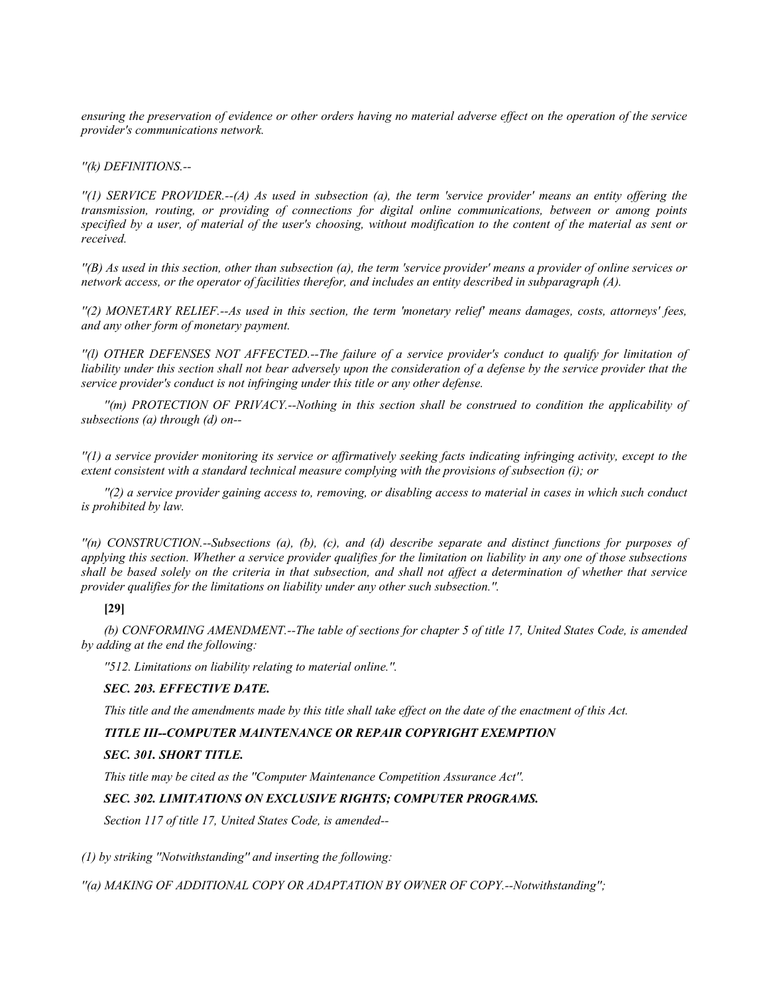*ensuring the preservation of evidence or other orders having no material adverse effect on the operation of the service provider's communications network.*

### *''(k) DEFINITIONS.--*

*''(1) SERVICE PROVIDER.--(A) As used in subsection (a), the term 'service provider' means an entity offering the transmission, routing, or providing of connections for digital online communications, between or among points specified by a user, of material of the user's choosing, without modification to the content of the material as sent or received.*

*''(B) As used in this section, other than subsection (a), the term 'service provider' means a provider of online services or network access, or the operator of facilities therefor, and includes an entity described in subparagraph (A).*

*''(2) MONETARY RELIEF.--As used in this section, the term 'monetary relief' means damages, costs, attorneys' fees, and any other form of monetary payment.*

*''(l) OTHER DEFENSES NOT AFFECTED.--The failure of a service provider's conduct to qualify for limitation of liability under this section shall not bear adversely upon the consideration of a defense by the service provider that the service provider's conduct is not infringing under this title or any other defense.*

*''(m) PROTECTION OF PRIVACY.--Nothing in this section shall be construed to condition the applicability of subsections (a) through (d) on--*

*''(1) a service provider monitoring its service or affirmatively seeking facts indicating infringing activity, except to the extent consistent with a standard technical measure complying with the provisions of subsection (i); or*

*''(2) a service provider gaining access to, removing, or disabling access to material in cases in which such conduct is prohibited by law.*

*''(n) CONSTRUCTION.--Subsections (a), (b), (c), and (d) describe separate and distinct functions for purposes of applying this section. Whether a service provider qualifies for the limitation on liability in any one of those subsections shall be based solely on the criteria in that subsection, and shall not affect a determination of whether that service provider qualifies for the limitations on liability under any other such subsection.''.*

## **[29]**

*(b) CONFORMING AMENDMENT.--The table of sections for chapter 5 of title 17, United States Code, is amended by adding at the end the following:*

*''512. Limitations on liability relating to material online.''.*

### *SEC. 203. EFFECTIVE DATE.*

*This title and the amendments made by this title shall take effect on the date of the enactment of this Act.*

## *TITLE III--COMPUTER MAINTENANCE OR REPAIR COPYRIGHT EXEMPTION*

### *SEC. 301. SHORT TITLE.*

*This title may be cited as the ''Computer Maintenance Competition Assurance Act''.*

## *SEC. 302. LIMITATIONS ON EXCLUSIVE RIGHTS; COMPUTER PROGRAMS.*

*Section 117 of title 17, United States Code, is amended--*

*(1) by striking ''Notwithstanding'' and inserting the following:*

*''(a) MAKING OF ADDITIONAL COPY OR ADAPTATION BY OWNER OF COPY.--Notwithstanding'';*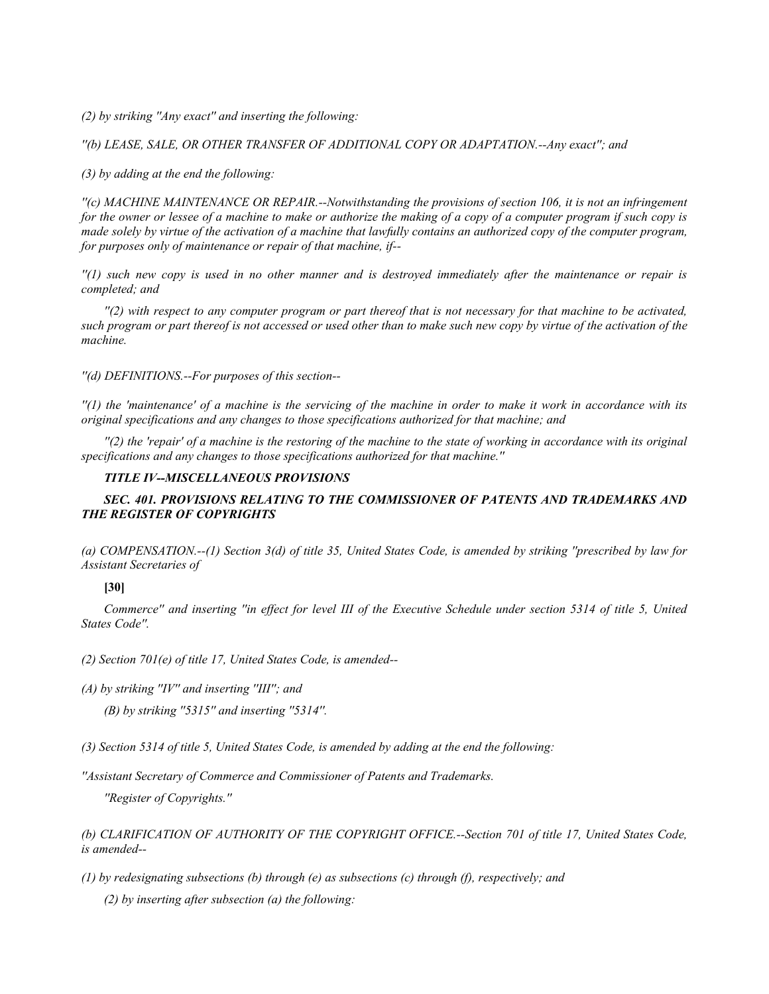*(2) by striking ''Any exact'' and inserting the following:*

*''(b) LEASE, SALE, OR OTHER TRANSFER OF ADDITIONAL COPY OR ADAPTATION.--Any exact''; and*

*(3) by adding at the end the following:*

*''(c) MACHINE MAINTENANCE OR REPAIR.--Notwithstanding the provisions of section 106, it is not an infringement for the owner or lessee of a machine to make or authorize the making of a copy of a computer program if such copy is made solely by virtue of the activation of a machine that lawfully contains an authorized copy of the computer program, for purposes only of maintenance or repair of that machine, if--*

*''(1) such new copy is used in no other manner and is destroyed immediately after the maintenance or repair is completed; and*

*''(2) with respect to any computer program or part thereof that is not necessary for that machine to be activated, such program or part thereof is not accessed or used other than to make such new copy by virtue of the activation of the machine.*

*''(d) DEFINITIONS.--For purposes of this section--*

*''(1) the 'maintenance' of a machine is the servicing of the machine in order to make it work in accordance with its original specifications and any changes to those specifications authorized for that machine; and*

*''(2) the 'repair' of a machine is the restoring of the machine to the state of working in accordance with its original specifications and any changes to those specifications authorized for that machine.''*

## *TITLE IV--MISCELLANEOUS PROVISIONS*

## **SEC. 401. PROVISIONS RELATING TO THE COMMISSIONER OF PATENTS AND TRADEMARKS AND** *THE REGISTER OF COPYRIGHTS*

*(a) COMPENSATION.--(1) Section 3(d) of title 35, United States Code, is amended by striking ''prescribed by law for Assistant Secretaries of*

## **[30]**

*Commerce'' and inserting ''in effect for level III of the Executive Schedule under section 5314 of title 5, United States Code''.*

*(2) Section 701(e) of title 17, United States Code, is amended--*

*(A) by striking ''IV'' and inserting ''III''; and*

*(B) by striking ''5315'' and inserting ''5314''.*

*(3) Section 5314 of title 5, United States Code, is amended by adding at the end the following:*

*''Assistant Secretary of Commerce and Commissioner of Patents and Trademarks.*

*''Register of Copyrights.''*

*(b) CLARIFICATION OF AUTHORITY OF THE COPYRIGHT OFFICE.--Section 701 of title 17, United States Code, is amended--* 

*(1) by redesignating subsections (b) through (e) as subsections (c) through (f), respectively; and*

*(2) by inserting after subsection (a) the following:*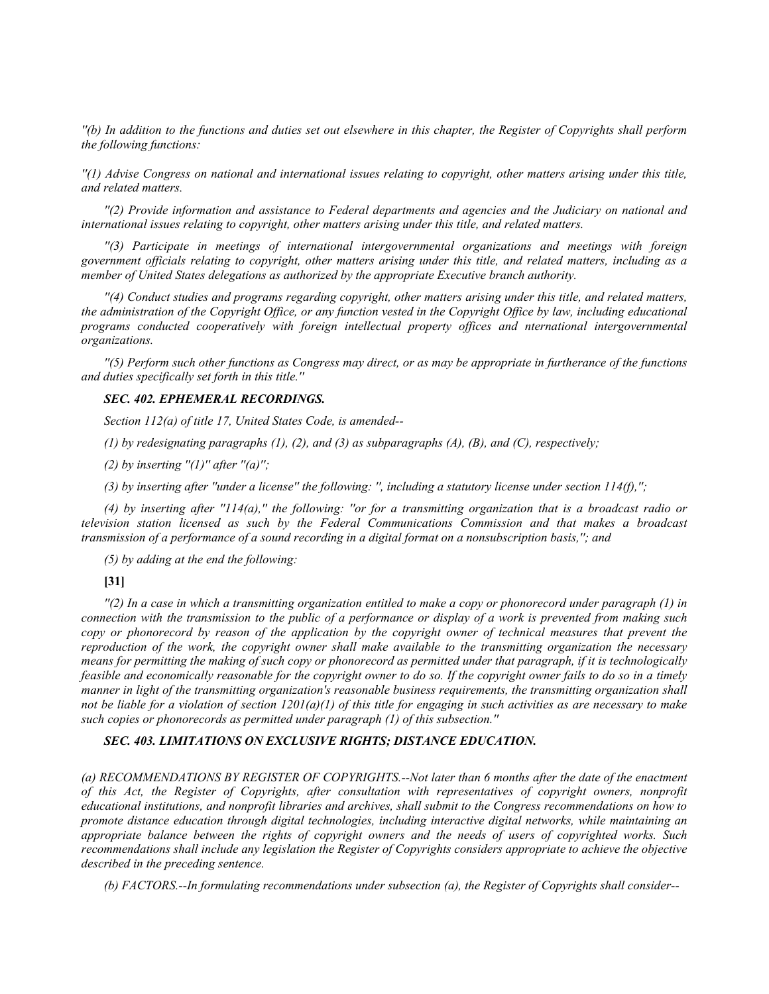*''(b) In addition to the functions and duties set out elsewhere in this chapter, the Register of Copyrights shall perform the following functions:*

*''(1) Advise Congress on national and international issues relating to copyright, other matters arising under this title, and related matters.*

*''(2) Provide information and assistance to Federal departments and agencies and the Judiciary on national and international issues relating to copyright, other matters arising under this title, and related matters.*

*''(3) Participate in meetings of international intergovernmental organizations and meetings with foreign government officials relating to copyright, other matters arising under this title, and related matters, including as a member of United States delegations as authorized by the appropriate Executive branch authority.*

*''(4) Conduct studies and programs regarding copyright, other matters arising under this title, and related matters, the administration of the Copyright Office, or any function vested in the Copyright Office by law, including educational programs conducted cooperatively with foreign intellectual property offices and nternational intergovernmental organizations.*

*''(5) Perform such other functions as Congress may direct, or as may be appropriate in furtherance of the functions and duties specifically set forth in this title.''*

#### *SEC. 402. EPHEMERAL RECORDINGS.*

*Section 112(a) of title 17, United States Code, is amended--*

*(1) by redesignating paragraphs (1), (2), and (3) as subparagraphs (A), (B), and (C), respectively;*

*(2) by inserting ''(1)'' after ''(a)'';*

*(3) by inserting after ''under a license'' the following: '', including a statutory license under section 114(f),'';*

*(4) by inserting after ''114(a),'' the following: ''or for a transmitting organization that is a broadcast radio or television station licensed as such by the Federal Communications Commission and that makes a broadcast transmission of a performance of a sound recording in a digital format on a nonsubscription basis,''; and*

*(5) by adding at the end the following:*

## **[31]**

*''(2) In a case in which a transmitting organization entitled to make a copy or phonorecord under paragraph (1) in connection with the transmission to the public of a performance or display of a work is prevented from making such copy or phonorecord by reason of the application by the copyright owner of technical measures that prevent the reproduction of the work, the copyright owner shall make available to the transmitting organization the necessary means for permitting the making of such copy or phonorecord as permitted under that paragraph, if it is technologically feasible and economically reasonable for the copyright owner to do so. If the copyright owner fails to do so in a timely manner in light of the transmitting organization's reasonable business requirements, the transmitting organization shall not be liable for a violation of section 1201(a)(1) of this title for engaging in such activities as are necessary to make such copies or phonorecords as permitted under paragraph (1) of this subsection.''*

### *SEC. 403. LIMITATIONS ON EXCLUSIVE RIGHTS; DISTANCE EDUCATION.*

*(a) RECOMMENDATIONS BY REGISTER OF COPYRIGHTS.--Not later than 6 months after the date of the enactment of this Act, the Register of Copyrights, after consultation with representatives of copyright owners, nonprofit educational institutions, and nonprofit libraries and archives, shall submit to the Congress recommendations on how to promote distance education through digital technologies, including interactive digital networks, while maintaining an appropriate balance between the rights of copyright owners and the needs of users of copyrighted works. Such recommendations shall include any legislation the Register of Copyrights considers appropriate to achieve the objective described in the preceding sentence.*

*(b) FACTORS.--In formulating recommendations under subsection (a), the Register of Copyrights shall consider--*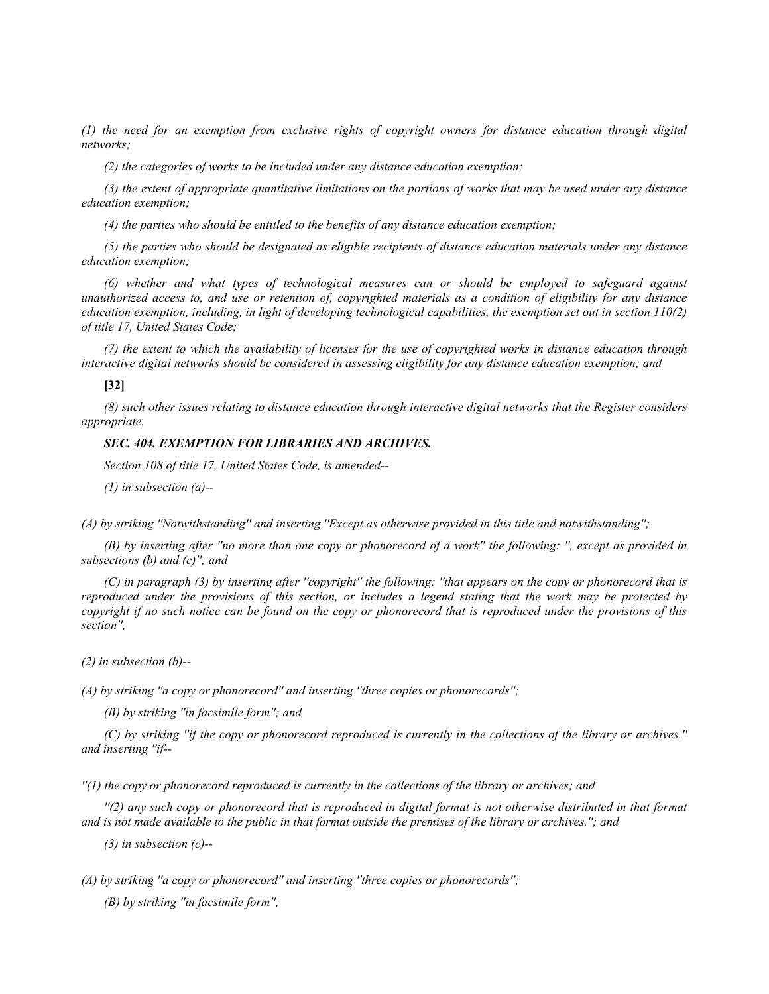*(1) the need for an exemption from exclusive rights of copyright owners for distance education through digital networks;*

*(2) the categories of works to be included under any distance education exemption;*

*(3) the extent of appropriate quantitative limitations on the portions of works that may be used under any distance education exemption;*

*(4) the parties who should be entitled to the benefits of any distance education exemption;*

*(5) the parties who should be designated as eligible recipients of distance education materials under any distance education exemption;*

*(6) whether and what types of technological measures can or should be employed to safeguard against unauthorized access to, and use or retention of, copyrighted materials as a condition of eligibility for any distance education exemption, including, in light of developing technological capabilities, the exemption set out in section 110(2) of title 17, United States Code;*

*(7) the extent to which the availability of licenses for the use of copyrighted works in distance education through interactive digital networks should be considered in assessing eligibility for any distance education exemption; and*

## **[32]**

*(8) such other issues relating to distance education through interactive digital networks that the Register considers appropriate.*

#### *SEC. 404. EXEMPTION FOR LIBRARIES AND ARCHIVES.*

*Section 108 of title 17, United States Code, is amended--*

*(1) in subsection (a)--*

*(A) by striking ''Notwithstanding'' and inserting ''Except as otherwise provided in this title and notwithstanding'';*

*(B) by inserting after ''no more than one copy or phonorecord of a work'' the following: '', except as provided in subsections (b) and (c)''; and*

*(C) in paragraph (3) by inserting after ''copyright'' the following: ''that appears on the copy or phonorecord that is reproduced under the provisions of this section, or includes a legend stating that the work may be protected by copyright if no such notice can be found on the copy or phonorecord that is reproduced under the provisions of this section'';*

*(2) in subsection (b)--*

*(A) by striking ''a copy or phonorecord'' and inserting ''three copies or phonorecords'';*

*(B) by striking ''in facsimile form''; and* 

*(C) by striking ''if the copy or phonorecord reproduced is currently in the collections of the library or archives.'' and inserting ''if--*

*''(1) the copy or phonorecord reproduced is currently in the collections of the library or archives; and*

*''(2) any such copy or phonorecord that is reproduced in digital format is not otherwise distributed in that format and is not made available to the public in that format outside the premises of the library or archives.''; and*

*(3) in subsection (c)--*

*(A) by striking ''a copy or phonorecord'' and inserting ''three copies or phonorecords'';*

*(B) by striking ''in facsimile form'';*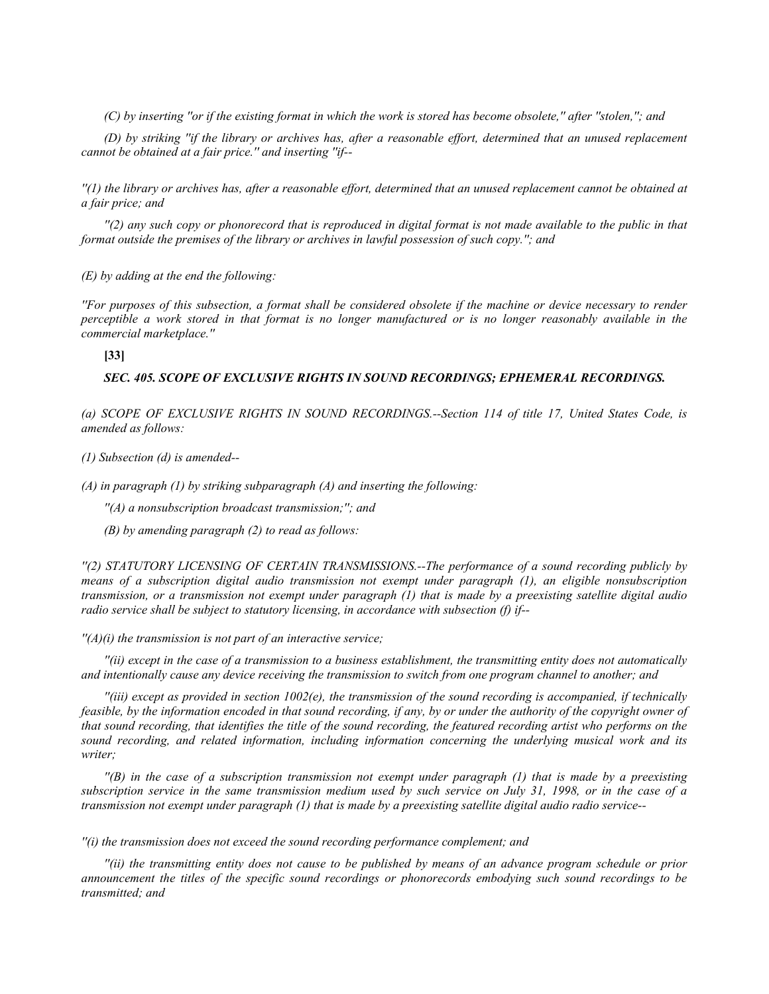*(C) by inserting ''or if the existing format in which the work is stored has become obsolete,'' after ''stolen,''; and*

*(D) by striking ''if the library or archives has, after a reasonable effort, determined that an unused replacement cannot be obtained at a fair price.'' and inserting ''if--*

*''(1) the library or archives has, after a reasonable effort, determined that an unused replacement cannot be obtained at a fair price; and*

*''(2) any such copy or phonorecord that is reproduced in digital format is not made available to the public in that format outside the premises of the library or archives in lawful possession of such copy.''; and*

*(E) by adding at the end the following:*

*''For purposes of this subsection, a format shall be considered obsolete if the machine or device necessary to render perceptible a work stored in that format is no longer manufactured or is no longer reasonably available in the commercial marketplace.''*

**[33]**

#### *SEC. 405. SCOPE OF EXCLUSIVE RIGHTS IN SOUND RECORDINGS; EPHEMERAL RECORDINGS.*

*(a) SCOPE OF EXCLUSIVE RIGHTS IN SOUND RECORDINGS.--Section 114 of title 17, United States Code, is amended as follows:*

*(1) Subsection (d) is amended--*

*(A) in paragraph (1) by striking subparagraph (A) and inserting the following:*

- *''(A) a nonsubscription broadcast transmission;''; and*
- *(B) by amending paragraph (2) to read as follows:*

*''(2) STATUTORY LICENSING OF CERTAIN TRANSMISSIONS.--The performance of a sound recording publicly by means of a subscription digital audio transmission not exempt under paragraph (1), an eligible nonsubscription transmission, or a transmission not exempt under paragraph (1) that is made by a preexisting satellite digital audio radio service shall be subject to statutory licensing, in accordance with subsection (f) if--*

*''(A)(i) the transmission is not part of an interactive service;*

*''(ii) except in the case of a transmission to a business establishment, the transmitting entity does not automatically and intentionally cause any device receiving the transmission to switch from one program channel to another; and*

*''(iii) except as provided in section 1002(e), the transmission of the sound recording is accompanied, if technically feasible, by the information encoded in that sound recording, if any, by or under the authority of the copyright owner of that sound recording, that identifies the title of the sound recording, the featured recording artist who performs on the sound recording, and related information, including information concerning the underlying musical work and its writer;*

*''(B) in the case of a subscription transmission not exempt under paragraph (1) that is made by a preexisting subscription service in the same transmission medium used by such service on July 31, 1998, or in the case of a transmission not exempt under paragraph (1) that is made by a preexisting satellite digital audio radio service--*

*''(i) the transmission does not exceed the sound recording performance complement; and*

*''(ii) the transmitting entity does not cause to be published by means of an advance program schedule or prior announcement the titles of the specific sound recordings or phonorecords embodying such sound recordings to be transmitted; and*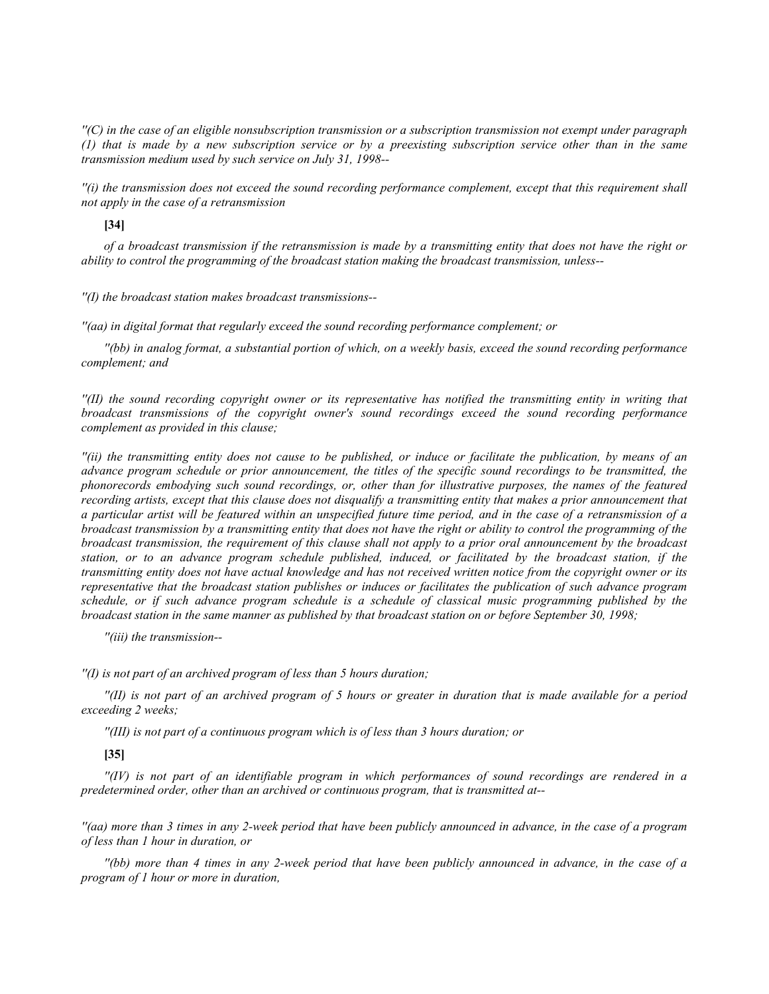*''(C) in the case of an eligible nonsubscription transmission or a subscription transmission not exempt under paragraph (1) that is made by a new subscription service or by a preexisting subscription service other than in the same transmission medium used by such service on July 31, 1998--*

*''(i) the transmission does not exceed the sound recording performance complement, except that this requirement shall not apply in the case of a retransmission*

**[34]**

*of a broadcast transmission if the retransmission is made by a transmitting entity that does not have the right or ability to control the programming of the broadcast station making the broadcast transmission, unless--*

*''(I) the broadcast station makes broadcast transmissions--*

*''(aa) in digital format that regularly exceed the sound recording performance complement; or*

*''(bb) in analog format, a substantial portion of which, on a weekly basis, exceed the sound recording performance complement; and* 

*''(II) the sound recording copyright owner or its representative has notified the transmitting entity in writing that broadcast transmissions of the copyright owner's sound recordings exceed the sound recording performance complement as provided in this clause;*

*''(ii) the transmitting entity does not cause to be published, or induce or facilitate the publication, by means of an advance program schedule or prior announcement, the titles of the specific sound recordings to be transmitted, the phonorecords embodying such sound recordings, or, other than for illustrative purposes, the names of the featured recording artists, except that this clause does not disqualify a transmitting entity that makes a prior announcement that a particular artist will be featured within an unspecified future time period, and in the case of a retransmission of a broadcast transmission by a transmitting entity that does not have the right or ability to control the programming of the broadcast transmission, the requirement of this clause shall not apply to a prior oral announcement by the broadcast station, or to an advance program schedule published, induced, or facilitated by the broadcast station, if the transmitting entity does not have actual knowledge and has not received written notice from the copyright owner or its representative that the broadcast station publishes or induces or facilitates the publication of such advance program schedule, or if such advance program schedule is a schedule of classical music programming published by the broadcast station in the same manner as published by that broadcast station on or before September 30, 1998;*

*''(iii) the transmission--*

*''(I) is not part of an archived program of less than 5 hours duration;*

*''(II) is not part of an archived program of 5 hours or greater in duration that is made available for a period exceeding 2 weeks;*

*''(III) is not part of a continuous program which is of less than 3 hours duration; or*

**[35]**

*''(IV) is not part of an identifiable program in which performances of sound recordings are rendered in a predetermined order, other than an archived or continuous program, that is transmitted at--*

*''(aa) more than 3 times in any 2-week period that have been publicly announced in advance, in the case of a program of less than 1 hour in duration, or*

*''(bb) more than 4 times in any 2-week period that have been publicly announced in advance, in the case of a program of 1 hour or more in duration,*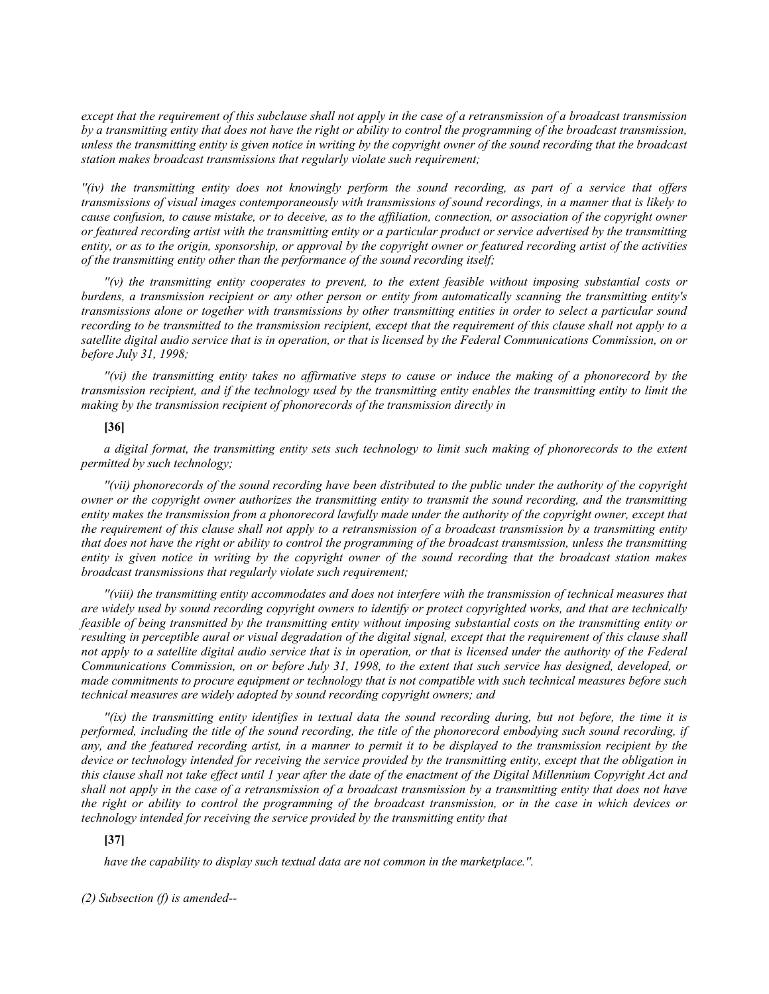*except that the requirement of this subclause shall not apply in the case of a retransmission of a broadcast transmission by a transmitting entity that does not have the right or ability to control the programming of the broadcast transmission, unless the transmitting entity is given notice in writing by the copyright owner of the sound recording that the broadcast station makes broadcast transmissions that regularly violate such requirement;*

*''(iv) the transmitting entity does not knowingly perform the sound recording, as part of a service that offers transmissions of visual images contemporaneously with transmissions of sound recordings, in a manner that is likely to cause confusion, to cause mistake, or to deceive, as to the affiliation, connection, or association of the copyright owner or featured recording artist with the transmitting entity or a particular product or service advertised by the transmitting entity, or as to the origin, sponsorship, or approval by the copyright owner or featured recording artist of the activities of the transmitting entity other than the performance of the sound recording itself;*

*''(v) the transmitting entity cooperates to prevent, to the extent feasible without imposing substantial costs or burdens, a transmission recipient or any other person or entity from automatically scanning the transmitting entity's transmissions alone or together with transmissions by other transmitting entities in order to select a particular sound recording to be transmitted to the transmission recipient, except that the requirement of this clause shall not apply to a satellite digital audio service that is in operation, or that is licensed by the Federal Communications Commission, on or before July 31, 1998;*

*''(vi) the transmitting entity takes no affirmative steps to cause or induce the making of a phonorecord by the transmission recipient, and if the technology used by the transmitting entity enables the transmitting entity to limit the making by the transmission recipient of phonorecords of the transmission directly in*

### **[36]**

*a digital format, the transmitting entity sets such technology to limit such making of phonorecords to the extent permitted by such technology;*

*''(vii) phonorecords of the sound recording have been distributed to the public under the authority of the copyright owner or the copyright owner authorizes the transmitting entity to transmit the sound recording, and the transmitting*  entity makes the transmission from a phonorecord lawfully made under the authority of the copyright owner, except that *the requirement of this clause shall not apply to a retransmission of a broadcast transmission by a transmitting entity that does not have the right or ability to control the programming of the broadcast transmission, unless the transmitting entity is given notice in writing by the copyright owner of the sound recording that the broadcast station makes broadcast transmissions that regularly violate such requirement;*

*''(viii) the transmitting entity accommodates and does not interfere with the transmission of technical measures that are widely used by sound recording copyright owners to identify or protect copyrighted works, and that are technically feasible of being transmitted by the transmitting entity without imposing substantial costs on the transmitting entity or resulting in perceptible aural or visual degradation of the digital signal, except that the requirement of this clause shall not apply to a satellite digital audio service that is in operation, or that is licensed under the authority of the Federal Communications Commission, on or before July 31, 1998, to the extent that such service has designed, developed, or made commitments to procure equipment or technology that is not compatible with such technical measures before such technical measures are widely adopted by sound recording copyright owners; and*

*''(ix) the transmitting entity identifies in textual data the sound recording during, but not before, the time it is performed, including the title of the sound recording, the title of the phonorecord embodying such sound recording, if any, and the featured recording artist, in a manner to permit it to be displayed to the transmission recipient by the device or technology intended for receiving the service provided by the transmitting entity, except that the obligation in this clause shall not take effect until 1 year after the date of the enactment of the Digital Millennium Copyright Act and shall not apply in the case of a retransmission of a broadcast transmission by a transmitting entity that does not have the right or ability to control the programming of the broadcast transmission, or in the case in which devices or technology intended for receiving the service provided by the transmitting entity that*

### **[37]**

*have the capability to display such textual data are not common in the marketplace.''.*

*(2) Subsection (f) is amended--*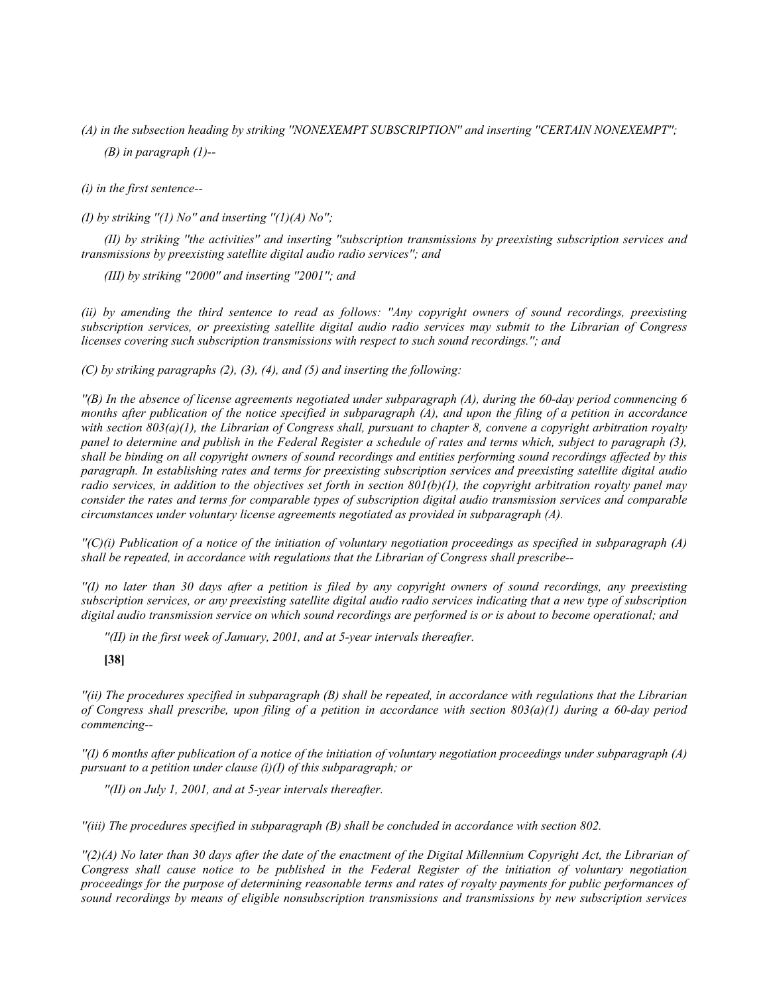# *(A) in the subsection heading by striking ''NONEXEMPT SUBSCRIPTION'' and inserting ''CERTAIN NONEXEMPT''; (B) in paragraph (1)--*

*(i) in the first sentence--*

*(I) by striking ''(1) No'' and inserting ''(1)(A) No'';*

*(II) by striking ''the activities'' and inserting ''subscription transmissions by preexisting subscription services and transmissions by preexisting satellite digital audio radio services''; and*

*(III) by striking ''2000'' and inserting ''2001''; and*

*(ii) by amending the third sentence to read as follows: ''Any copyright owners of sound recordings, preexisting subscription services, or preexisting satellite digital audio radio services may submit to the Librarian of Congress licenses covering such subscription transmissions with respect to such sound recordings.''; and*

*(C) by striking paragraphs (2), (3), (4), and (5) and inserting the following:*

*''(B) In the absence of license agreements negotiated under subparagraph (A), during the 60-day period commencing 6 months after publication of the notice specified in subparagraph (A), and upon the filing of a petition in accordance with section 803(a)(1), the Librarian of Congress shall, pursuant to chapter 8, convene a copyright arbitration royalty panel to determine and publish in the Federal Register a schedule of rates and terms which, subject to paragraph (3), shall be binding on all copyright owners of sound recordings and entities performing sound recordings affected by this paragraph. In establishing rates and terms for preexisting subscription services and preexisting satellite digital audio radio services, in addition to the objectives set forth in section 801(b)(1), the copyright arbitration royalty panel may consider the rates and terms for comparable types of subscription digital audio transmission services and comparable circumstances under voluntary license agreements negotiated as provided in subparagraph (A).*

*''(C)(i) Publication of a notice of the initiation of voluntary negotiation proceedings as specified in subparagraph (A) shall be repeated, in accordance with regulations that the Librarian of Congress shall prescribe--*

*''(I) no later than 30 days after a petition is filed by any copyright owners of sound recordings, any preexisting subscription services, or any preexisting satellite digital audio radio services indicating that a new type of subscription digital audio transmission service on which sound recordings are performed is or is about to become operational; and*

*''(II) in the first week of January, 2001, and at 5-year intervals thereafter.*

**[38]**

*''(ii) The procedures specified in subparagraph (B) shall be repeated, in accordance with regulations that the Librarian of Congress shall prescribe, upon filing of a petition in accordance with section 803(a)(1) during a 60-day period commencing--*

*''(I) 6 months after publication of a notice of the initiation of voluntary negotiation proceedings under subparagraph (A) pursuant to a petition under clause (i)(I) of this subparagraph; or*

*''(II) on July 1, 2001, and at 5-year intervals thereafter.*

*''(iii) The procedures specified in subparagraph (B) shall be concluded in accordance with section 802.*

*''(2)(A) No later than 30 days after the date of the enactment of the Digital Millennium Copyright Act, the Librarian of Congress shall cause notice to be published in the Federal Register of the initiation of voluntary negotiation proceedings for the purpose of determining reasonable terms and rates of royalty payments for public performances of sound recordings by means of eligible nonsubscription transmissions and transmissions by new subscription services*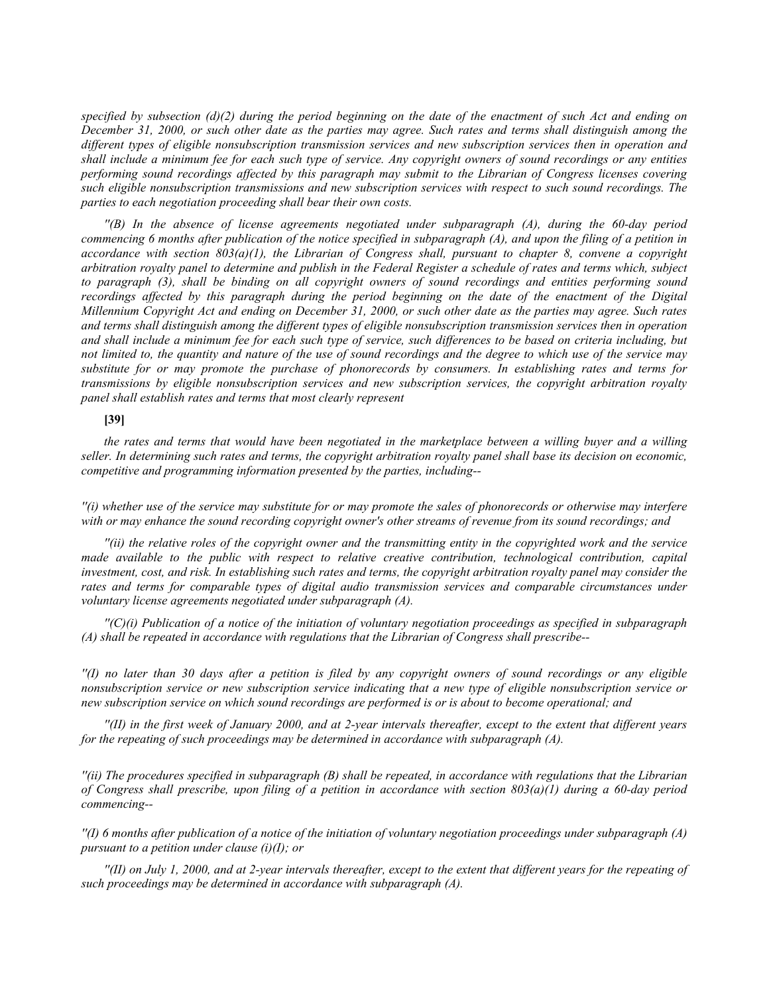*specified by subsection (d)(2) during the period beginning on the date of the enactment of such Act and ending on December 31, 2000, or such other date as the parties may agree. Such rates and terms shall distinguish among the different types of eligible nonsubscription transmission services and new subscription services then in operation and shall include a minimum fee for each such type of service. Any copyright owners of sound recordings or any entities performing sound recordings affected by this paragraph may submit to the Librarian of Congress licenses covering such eligible nonsubscription transmissions and new subscription services with respect to such sound recordings. The parties to each negotiation proceeding shall bear their own costs.*

*''(B) In the absence of license agreements negotiated under subparagraph (A), during the 60-day period commencing 6 months after publication of the notice specified in subparagraph (A), and upon the filing of a petition in accordance with section 803(a)(1), the Librarian of Congress shall, pursuant to chapter 8, convene a copyright arbitration royalty panel to determine and publish in the Federal Register a schedule of rates and terms which, subject*  to paragraph (3), shall be binding on all copyright owners of sound recordings and entities performing sound *recordings affected by this paragraph during the period beginning on the date of the enactment of the Digital Millennium Copyright Act and ending on December 31, 2000, or such other date as the parties may agree. Such rates and terms shall distinguish among the different types of eligible nonsubscription transmission services then in operation and shall include a minimum fee for each such type of service, such differences to be based on criteria including, but not limited to, the quantity and nature of the use of sound recordings and the degree to which use of the service may substitute for or may promote the purchase of phonorecords by consumers. In establishing rates and terms for transmissions by eligible nonsubscription services and new subscription services, the copyright arbitration royalty panel shall establish rates and terms that most clearly represent*

## **[39]**

*the rates and terms that would have been negotiated in the marketplace between a willing buyer and a willing seller. In determining such rates and terms, the copyright arbitration royalty panel shall base its decision on economic, competitive and programming information presented by the parties, including--*

*''(i) whether use of the service may substitute for or may promote the sales of phonorecords or otherwise may interfere with or may enhance the sound recording copyright owner's other streams of revenue from its sound recordings; and*

*''(ii) the relative roles of the copyright owner and the transmitting entity in the copyrighted work and the service made available to the public with respect to relative creative contribution, technological contribution, capital investment, cost, and risk. In establishing such rates and terms, the copyright arbitration royalty panel may consider the*  rates and terms for comparable types of digital audio transmission services and comparable circumstances under *voluntary license agreements negotiated under subparagraph (A).*

*''(C)(i) Publication of a notice of the initiation of voluntary negotiation proceedings as specified in subparagraph (A) shall be repeated in accordance with regulations that the Librarian of Congress shall prescribe--*

*''(I) no later than 30 days after a petition is filed by any copyright owners of sound recordings or any eligible nonsubscription service or new subscription service indicating that a new type of eligible nonsubscription service or new subscription service on which sound recordings are performed is or is about to become operational; and*

*''(II) in the first week of January 2000, and at 2-year intervals thereafter, except to the extent that different years for the repeating of such proceedings may be determined in accordance with subparagraph (A).*

*''(ii) The procedures specified in subparagraph (B) shall be repeated, in accordance with regulations that the Librarian of Congress shall prescribe, upon filing of a petition in accordance with section 803(a)(1) during a 60-day period commencing--*

*''(I) 6 months after publication of a notice of the initiation of voluntary negotiation proceedings under subparagraph (A) pursuant to a petition under clause (i)(I); or*

*''(II) on July 1, 2000, and at 2-year intervals thereafter, except to the extent that different years for the repeating of such proceedings may be determined in accordance with subparagraph (A).*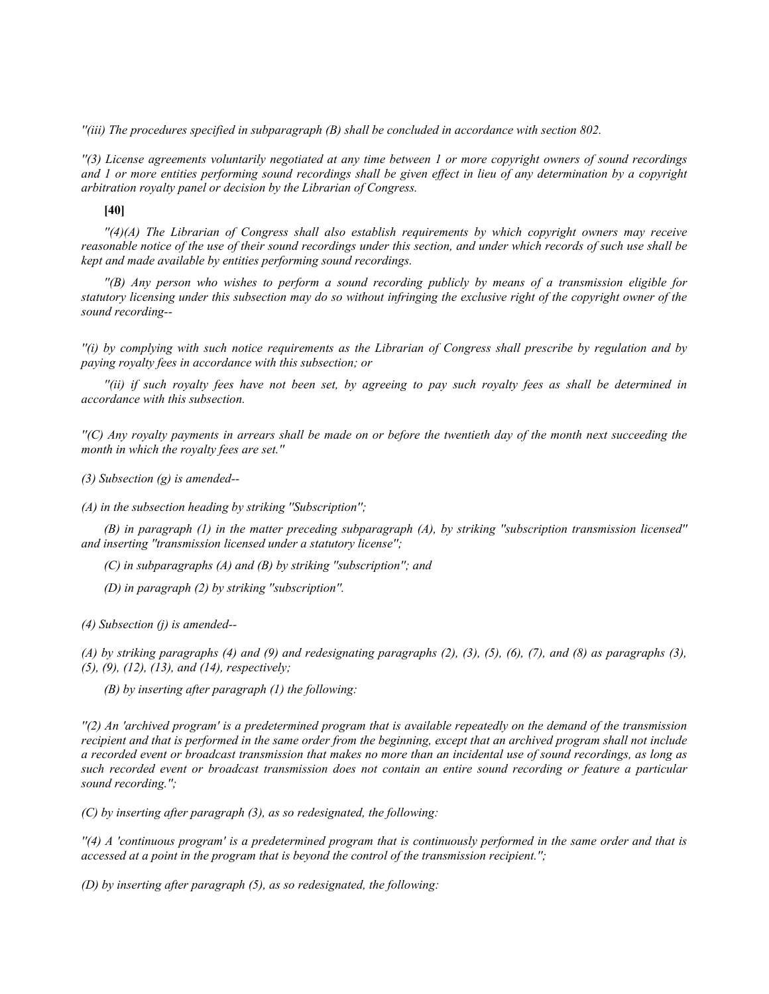*''(iii) The procedures specified in subparagraph (B) shall be concluded in accordance with section 802.*

*''(3) License agreements voluntarily negotiated at any time between 1 or more copyright owners of sound recordings and 1 or more entities performing sound recordings shall be given effect in lieu of any determination by a copyright arbitration royalty panel or decision by the Librarian of Congress.*

**[40]**

*''(4)(A) The Librarian of Congress shall also establish requirements by which copyright owners may receive reasonable notice of the use of their sound recordings under this section, and under which records of such use shall be kept and made available by entities performing sound recordings.*

*''(B) Any person who wishes to perform a sound recording publicly by means of a transmission eligible for statutory licensing under this subsection may do so without infringing the exclusive right of the copyright owner of the sound recording--*

*''(i) by complying with such notice requirements as the Librarian of Congress shall prescribe by regulation and by paying royalty fees in accordance with this subsection; or*

*''(ii) if such royalty fees have not been set, by agreeing to pay such royalty fees as shall be determined in accordance with this subsection.*

*''(C) Any royalty payments in arrears shall be made on or before the twentieth day of the month next succeeding the month in which the royalty fees are set.''*

*(3) Subsection (g) is amended--*

*(A) in the subsection heading by striking ''Subscription'';*

*(B) in paragraph (1) in the matter preceding subparagraph (A), by striking ''subscription transmission licensed'' and inserting ''transmission licensed under a statutory license'';*

*(C) in subparagraphs (A) and (B) by striking ''subscription''; and*

*(D) in paragraph (2) by striking ''subscription''.*

*(4) Subsection (j) is amended--*

*(A) by striking paragraphs (4) and (9) and redesignating paragraphs (2), (3), (5), (6), (7), and (8) as paragraphs (3), (5), (9), (12), (13), and (14), respectively;*

*(B) by inserting after paragraph (1) the following:*

*''(2) An 'archived program' is a predetermined program that is available repeatedly on the demand of the transmission recipient and that is performed in the same order from the beginning, except that an archived program shall not include a recorded event or broadcast transmission that makes no more than an incidental use of sound recordings, as long as such recorded event or broadcast transmission does not contain an entire sound recording or feature a particular sound recording.'';*

*(C) by inserting after paragraph (3), as so redesignated, the following:*

*''(4) A 'continuous program' is a predetermined program that is continuously performed in the same order and that is accessed at a point in the program that is beyond the control of the transmission recipient.'';*

*(D) by inserting after paragraph (5), as so redesignated, the following:*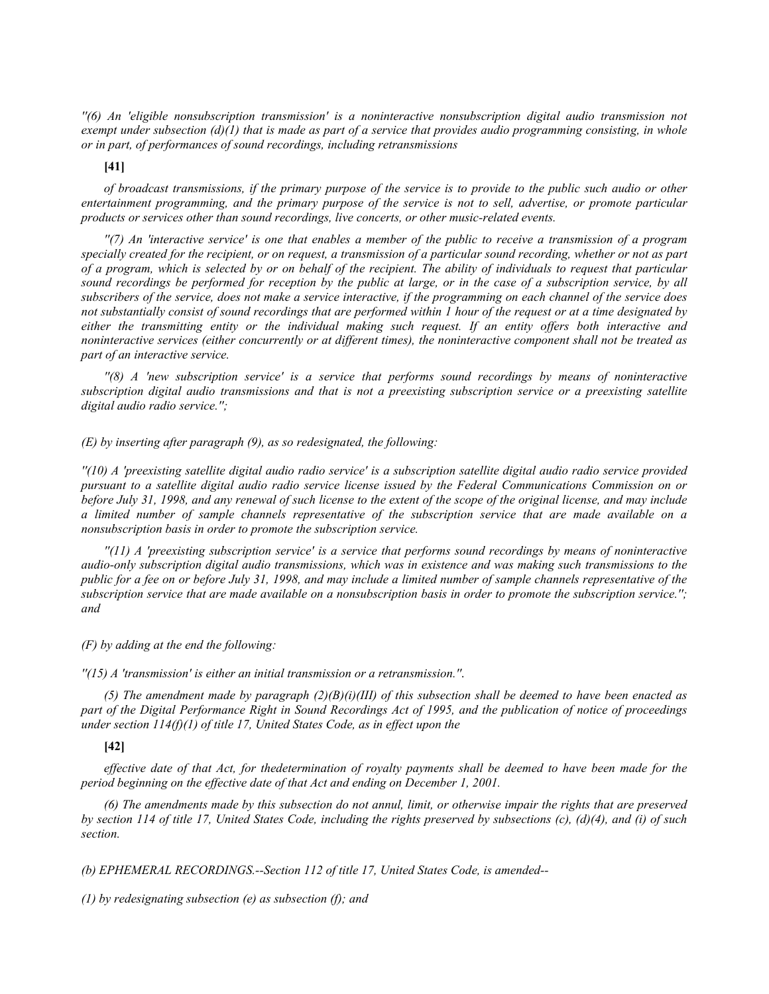*''(6) An 'eligible nonsubscription transmission' is a noninteractive nonsubscription digital audio transmission not exempt under subsection (d)(1) that is made as part of a service that provides audio programming consisting, in whole or in part, of performances of sound recordings, including retransmissions*

## **[41]**

*of broadcast transmissions, if the primary purpose of the service is to provide to the public such audio or other entertainment programming, and the primary purpose of the service is not to sell, advertise, or promote particular products or services other than sound recordings, live concerts, or other music-related events.*

*''(7) An 'interactive service' is one that enables a member of the public to receive a transmission of a program specially created for the recipient, or on request, a transmission of a particular sound recording, whether or not as part of a program, which is selected by or on behalf of the recipient. The ability of individuals to request that particular sound recordings be performed for reception by the public at large, or in the case of a subscription service, by all subscribers of the service, does not make a service interactive, if the programming on each channel of the service does not substantially consist of sound recordings that are performed within 1 hour of the request or at a time designated by either the transmitting entity or the individual making such request. If an entity offers both interactive and noninteractive services (either concurrently or at different times), the noninteractive component shall not be treated as part of an interactive service.*

*''(8) A 'new subscription service' is a service that performs sound recordings by means of noninteractive subscription digital audio transmissions and that is not a preexisting subscription service or a preexisting satellite digital audio radio service.'';*

*(E) by inserting after paragraph (9), as so redesignated, the following:*

*''(10) A 'preexisting satellite digital audio radio service' is a subscription satellite digital audio radio service provided pursuant to a satellite digital audio radio service license issued by the Federal Communications Commission on or before July 31, 1998, and any renewal of such license to the extent of the scope of the original license, and may include a limited number of sample channels representative of the subscription service that are made available on a nonsubscription basis in order to promote the subscription service.*

*''(11) A 'preexisting subscription service' is a service that performs sound recordings by means of noninteractive audio-only subscription digital audio transmissions, which was in existence and was making such transmissions to the public for a fee on or before July 31, 1998, and may include a limited number of sample channels representative of the subscription service that are made available on a nonsubscription basis in order to promote the subscription service.''; and*

#### *(F) by adding at the end the following:*

*''(15) A 'transmission' is either an initial transmission or a retransmission.''*.

*(5) The amendment made by paragraph (2)(B)(i)(III) of this subsection shall be deemed to have been enacted as part of the Digital Performance Right in Sound Recordings Act of 1995, and the publication of notice of proceedings under section 114(f)(1) of title 17, United States Code, as in effect upon the*

#### **[42]**

*effective date of that Act, for thedetermination of royalty payments shall be deemed to have been made for the period beginning on the effective date of that Act and ending on December 1, 2001.*

*(6) The amendments made by this subsection do not annul, limit, or otherwise impair the rights that are preserved by section 114 of title 17, United States Code, including the rights preserved by subsections (c), (d)(4), and (i) of such section.*

*(b) EPHEMERAL RECORDINGS.--Section 112 of title 17, United States Code, is amended--*

*(1) by redesignating subsection (e) as subsection (f); and*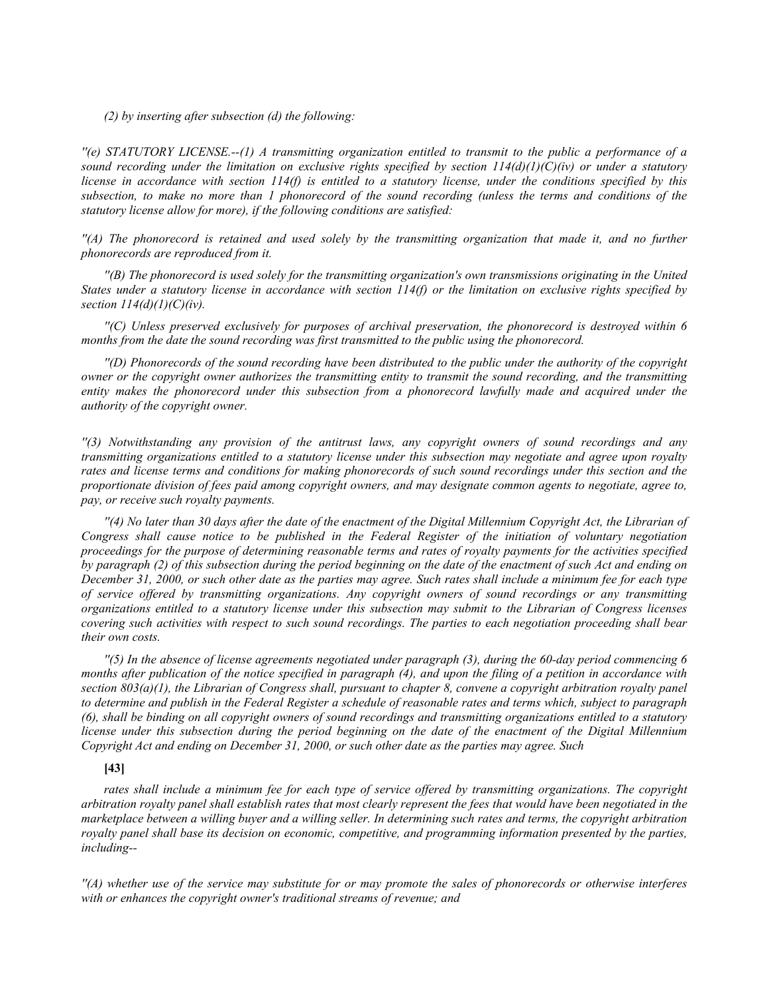*(2) by inserting after subsection (d) the following:*

*''(e) STATUTORY LICENSE.--(1) A transmitting organization entitled to transmit to the public a performance of a sound recording under the limitation on exclusive rights specified by section 114(d)(1)(C)(iv) or under a statutory license in accordance with section 114(f) is entitled to a statutory license, under the conditions specified by this subsection, to make no more than 1 phonorecord of the sound recording (unless the terms and conditions of the statutory license allow for more), if the following conditions are satisfied:*

*''(A) The phonorecord is retained and used solely by the transmitting organization that made it, and no further phonorecords are reproduced from it.*

*''(B) The phonorecord is used solely for the transmitting organization's own transmissions originating in the United States under a statutory license in accordance with section 114(f) or the limitation on exclusive rights specified by section 114(d)(1)(C)(iv).*

*''(C) Unless preserved exclusively for purposes of archival preservation, the phonorecord is destroyed within 6 months from the date the sound recording was first transmitted to the public using the phonorecord.*

*''(D) Phonorecords of the sound recording have been distributed to the public under the authority of the copyright owner or the copyright owner authorizes the transmitting entity to transmit the sound recording, and the transmitting entity makes the phonorecord under this subsection from a phonorecord lawfully made and acquired under the authority of the copyright owner.*

*''(3) Notwithstanding any provision of the antitrust laws, any copyright owners of sound recordings and any transmitting organizations entitled to a statutory license under this subsection may negotiate and agree upon royalty rates and license terms and conditions for making phonorecords of such sound recordings under this section and the proportionate division of fees paid among copyright owners, and may designate common agents to negotiate, agree to, pay, or receive such royalty payments.*

*''(4) No later than 30 days after the date of the enactment of the Digital Millennium Copyright Act, the Librarian of Congress shall cause notice to be published in the Federal Register of the initiation of voluntary negotiation proceedings for the purpose of determining reasonable terms and rates of royalty payments for the activities specified by paragraph (2) of this subsection during the period beginning on the date of the enactment of such Act and ending on December 31, 2000, or such other date as the parties may agree. Such rates shall include a minimum fee for each type of service offered by transmitting organizations. Any copyright owners of sound recordings or any transmitting organizations entitled to a statutory license under this subsection may submit to the Librarian of Congress licenses covering such activities with respect to such sound recordings. The parties to each negotiation proceeding shall bear their own costs.*

*''(5) In the absence of license agreements negotiated under paragraph (3), during the 60-day period commencing 6 months after publication of the notice specified in paragraph (4), and upon the filing of a petition in accordance with section 803(a)(1), the Librarian of Congress shall, pursuant to chapter 8, convene a copyright arbitration royalty panel to determine and publish in the Federal Register a schedule of reasonable rates and terms which, subject to paragraph (6), shall be binding on all copyright owners of sound recordings and transmitting organizations entitled to a statutory license under this subsection during the period beginning on the date of the enactment of the Digital Millennium Copyright Act and ending on December 31, 2000, or such other date as the parties may agree. Such*

### **[43]**

rates shall include a minimum fee for each type of service offered by transmitting organizations. The copyright *arbitration royalty panel shall establish rates that most clearly represent the fees that would have been negotiated in the marketplace between a willing buyer and a willing seller. In determining such rates and terms, the copyright arbitration royalty panel shall base its decision on economic, competitive, and programming information presented by the parties, including--*

*''(A) whether use of the service may substitute for or may promote the sales of phonorecords or otherwise interferes with or enhances the copyright owner's traditional streams of revenue; and*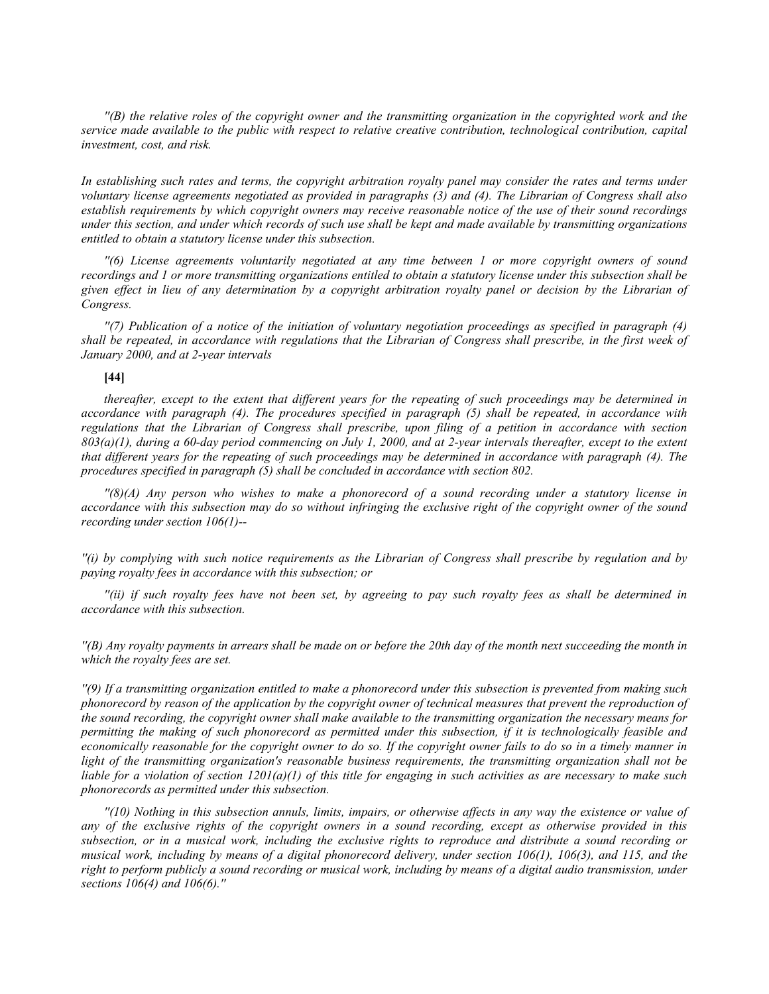*''(B) the relative roles of the copyright owner and the transmitting organization in the copyrighted work and the service made available to the public with respect to relative creative contribution, technological contribution, capital investment, cost, and risk.*

In establishing such rates and terms, the copyright arbitration royalty panel may consider the rates and terms under *voluntary license agreements negotiated as provided in paragraphs (3) and (4). The Librarian of Congress shall also establish requirements by which copyright owners may receive reasonable notice of the use of their sound recordings under this section, and under which records of such use shall be kept and made available by transmitting organizations entitled to obtain a statutory license under this subsection.*

*''(6) License agreements voluntarily negotiated at any time between 1 or more copyright owners of sound recordings and 1 or more transmitting organizations entitled to obtain a statutory license under this subsection shall be given effect in lieu of any determination by a copyright arbitration royalty panel or decision by the Librarian of Congress.*

*''(7) Publication of a notice of the initiation of voluntary negotiation proceedings as specified in paragraph (4) shall be repeated, in accordance with regulations that the Librarian of Congress shall prescribe, in the first week of January 2000, and at 2-year intervals*

## **[44]**

*thereafter, except to the extent that different years for the repeating of such proceedings may be determined in accordance with paragraph (4). The procedures specified in paragraph (5) shall be repeated, in accordance with*  regulations that the Librarian of Congress shall prescribe, upon filing of a petition in accordance with section *803(a)(1), during a 60-day period commencing on July 1, 2000, and at 2-year intervals thereafter, except to the extent that different years for the repeating of such proceedings may be determined in accordance with paragraph (4). The procedures specified in paragraph (5) shall be concluded in accordance with section 802.*

*''(8)(A) Any person who wishes to make a phonorecord of a sound recording under a statutory license in accordance with this subsection may do so without infringing the exclusive right of the copyright owner of the sound recording under section 106(1)--*

*''(i) by complying with such notice requirements as the Librarian of Congress shall prescribe by regulation and by paying royalty fees in accordance with this subsection; or*

*''(ii) if such royalty fees have not been set, by agreeing to pay such royalty fees as shall be determined in accordance with this subsection.*

*''(B) Any royalty payments in arrears shall be made on or before the 20th day of the month next succeeding the month in which the royalty fees are set.*

*''(9) If a transmitting organization entitled to make a phonorecord under this subsection is prevented from making such phonorecord by reason of the application by the copyright owner of technical measures that prevent the reproduction of the sound recording, the copyright owner shall make available to the transmitting organization the necessary means for permitting the making of such phonorecord as permitted under this subsection, if it is technologically feasible and economically reasonable for the copyright owner to do so. If the copyright owner fails to do so in a timely manner in*  light of the transmitting organization's reasonable business requirements, the transmitting organization shall not be *liable for a violation of section 1201(a)(1) of this title for engaging in such activities as are necessary to make such phonorecords as permitted under this subsection.*

*''(10) Nothing in this subsection annuls, limits, impairs, or otherwise affects in any way the existence or value of any of the exclusive rights of the copyright owners in a sound recording, except as otherwise provided in this subsection, or in a musical work, including the exclusive rights to reproduce and distribute a sound recording or musical work, including by means of a digital phonorecord delivery, under section 106(1), 106(3), and 115, and the*  right to perform publicly a sound recording or musical work, including by means of a digital audio transmission, under *sections 106(4) and 106(6).''*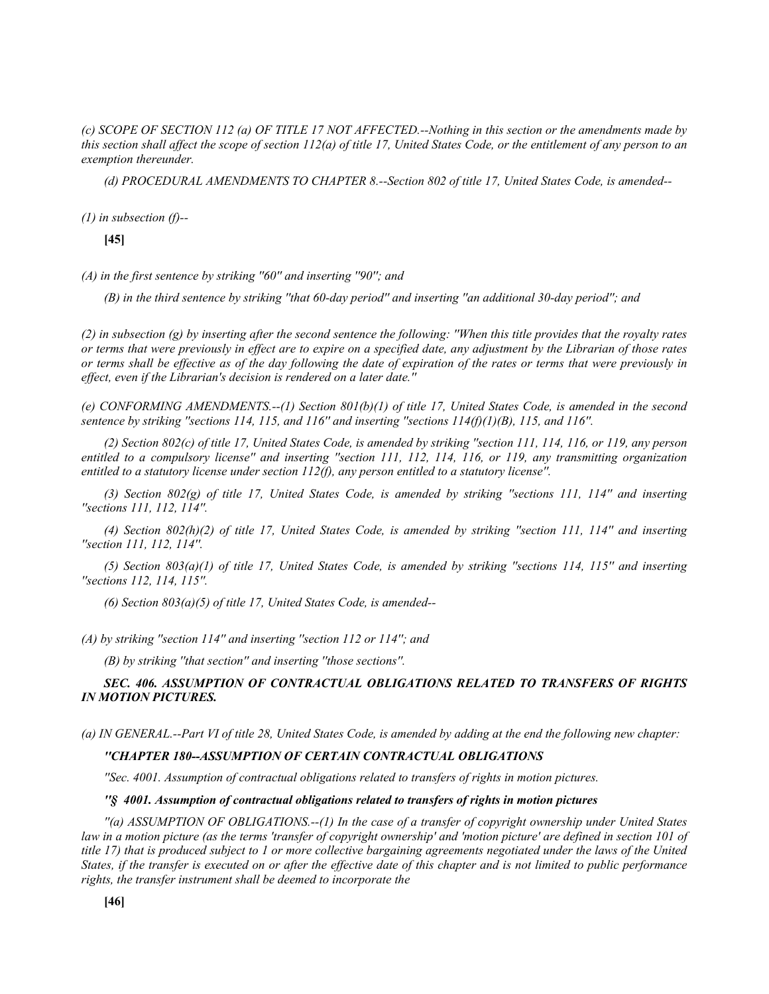*(c) SCOPE OF SECTION 112 (a) OF TITLE 17 NOT AFFECTED.--Nothing in this section or the amendments made by this section shall affect the scope of section 112(a) of title 17, United States Code, or the entitlement of any person to an exemption thereunder.*

*(d) PROCEDURAL AMENDMENTS TO CHAPTER 8.--Section 802 of title 17, United States Code, is amended--*

*(1) in subsection (f)--*

**[45]**

*(A) in the first sentence by striking ''60'' and inserting ''90''; and*

*(B) in the third sentence by striking ''that 60-day period'' and inserting ''an additional 30-day period''; and*

*(2) in subsection (g) by inserting after the second sentence the following: ''When this title provides that the royalty rates or terms that were previously in effect are to expire on a specified date, any adjustment by the Librarian of those rates or terms shall be effective as of the day following the date of expiration of the rates or terms that were previously in effect, even if the Librarian's decision is rendered on a later date.''*

*(e) CONFORMING AMENDMENTS.--(1) Section 801(b)(1) of title 17, United States Code, is amended in the second sentence by striking ''sections 114, 115, and 116'' and inserting ''sections 114(f)(1)(B), 115, and 116''.*

*(2) Section 802(c) of title 17, United States Code, is amended by striking ''section 111, 114, 116, or 119, any person entitled to a compulsory license'' and inserting ''section 111, 112, 114, 116, or 119, any transmitting organization entitled to a statutory license under section 112(f), any person entitled to a statutory license''.*

*(3) Section 802(g) of title 17, United States Code, is amended by striking ''sections 111, 114'' and inserting ''sections 111, 112, 114''.*

*(4) Section 802(h)(2) of title 17, United States Code, is amended by striking ''section 111, 114'' and inserting ''section 111, 112, 114''.*

*(5) Section 803(a)(1) of title 17, United States Code, is amended by striking ''sections 114, 115'' and inserting ''sections 112, 114, 115''.*

*(6) Section 803(a)(5) of title 17, United States Code, is amended--*

*(A) by striking ''section 114'' and inserting ''section 112 or 114''; and*

*(B) by striking ''that section'' and inserting ''those sections''.*

# *SEC. 406. ASSUMPTION OF CONTRACTUAL OBLIGATIONS RELATED TO TRANSFERS OF RIGHTS IN MOTION PICTURES.*

*(a) IN GENERAL.--Part VI of title 28, United States Code, is amended by adding at the end the following new chapter:*

## *''CHAPTER 180--ASSUMPTION OF CERTAIN CONTRACTUAL OBLIGATIONS*

*''Sec. 4001. Assumption of contractual obligations related to transfers of rights in motion pictures.*

## *''§ 4001. Assumption of contractual obligations related to transfers of rights in motion pictures*

*''(a) ASSUMPTION OF OBLIGATIONS.--(1) In the case of a transfer of copyright ownership under United States law in a motion picture (as the terms 'transfer of copyright ownership' and 'motion picture' are defined in section 101 of title 17) that is produced subject to 1 or more collective bargaining agreements negotiated under the laws of the United States, if the transfer is executed on or after the effective date of this chapter and is not limited to public performance rights, the transfer instrument shall be deemed to incorporate the*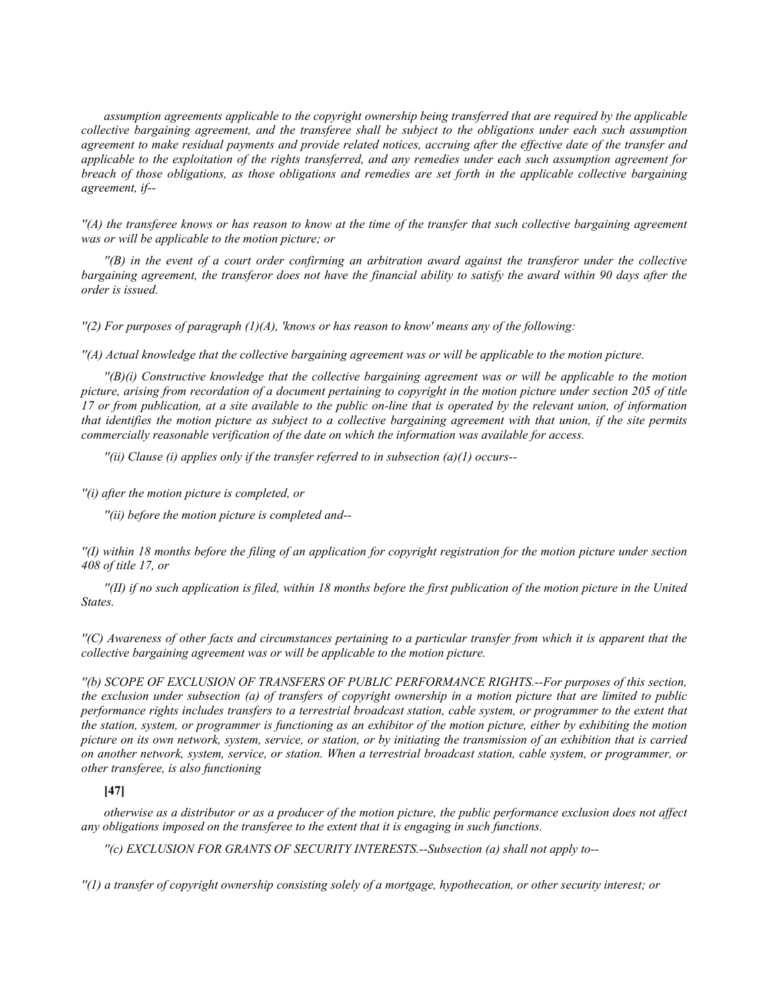*assumption agreements applicable to the copyright ownership being transferred that are required by the applicable collective bargaining agreement, and the transferee shall be subject to the obligations under each such assumption agreement to make residual payments and provide related notices, accruing after the effective date of the transfer and applicable to the exploitation of the rights transferred, and any remedies under each such assumption agreement for breach of those obligations, as those obligations and remedies are set forth in the applicable collective bargaining agreement, if--*

*''(A) the transferee knows or has reason to know at the time of the transfer that such collective bargaining agreement was or will be applicable to the motion picture; or*

*''(B) in the event of a court order confirming an arbitration award against the transferor under the collective bargaining agreement, the transferor does not have the financial ability to satisfy the award within 90 days after the order is issued.*

*''(2) For purposes of paragraph (1)(A), 'knows or has reason to know' means any of the following:*

*''(A) Actual knowledge that the collective bargaining agreement was or will be applicable to the motion picture.*

*''(B)(i) Constructive knowledge that the collective bargaining agreement was or will be applicable to the motion picture, arising from recordation of a document pertaining to copyright in the motion picture under section 205 of title 17 or from publication, at a site available to the public on-line that is operated by the relevant union, of information that identifies the motion picture as subject to a collective bargaining agreement with that union, if the site permits commercially reasonable verification of the date on which the information was available for access.*

*''(ii) Clause (i) applies only if the transfer referred to in subsection (a)(1) occurs--*

*''(i) after the motion picture is completed, or*

*''(ii) before the motion picture is completed and--*

*''(I) within 18 months before the filing of an application for copyright registration for the motion picture under section 408 of title 17, or*

*''(II) if no such application is filed, within 18 months before the first publication of the motion picture in the United States.*

*''(C) Awareness of other facts and circumstances pertaining to a particular transfer from which it is apparent that the collective bargaining agreement was or will be applicable to the motion picture.*

*''(b) SCOPE OF EXCLUSION OF TRANSFERS OF PUBLIC PERFORMANCE RIGHTS.--For purposes of this section, the exclusion under subsection (a) of transfers of copyright ownership in a motion picture that are limited to public performance rights includes transfers to a terrestrial broadcast station, cable system, or programmer to the extent that the station, system, or programmer is functioning as an exhibitor of the motion picture, either by exhibiting the motion picture on its own network, system, service, or station, or by initiating the transmission of an exhibition that is carried on another network, system, service, or station. When a terrestrial broadcast station, cable system, or programmer, or other transferee, is also functioning*

## **[47]**

*otherwise as a distributor or as a producer of the motion picture, the public performance exclusion does not affect any obligations imposed on the transferee to the extent that it is engaging in such functions.*

*''(c) EXCLUSION FOR GRANTS OF SECURITY INTERESTS.--Subsection (a) shall not apply to--* 

*''(1) a transfer of copyright ownership consisting solely of a mortgage, hypothecation, or other security interest; or*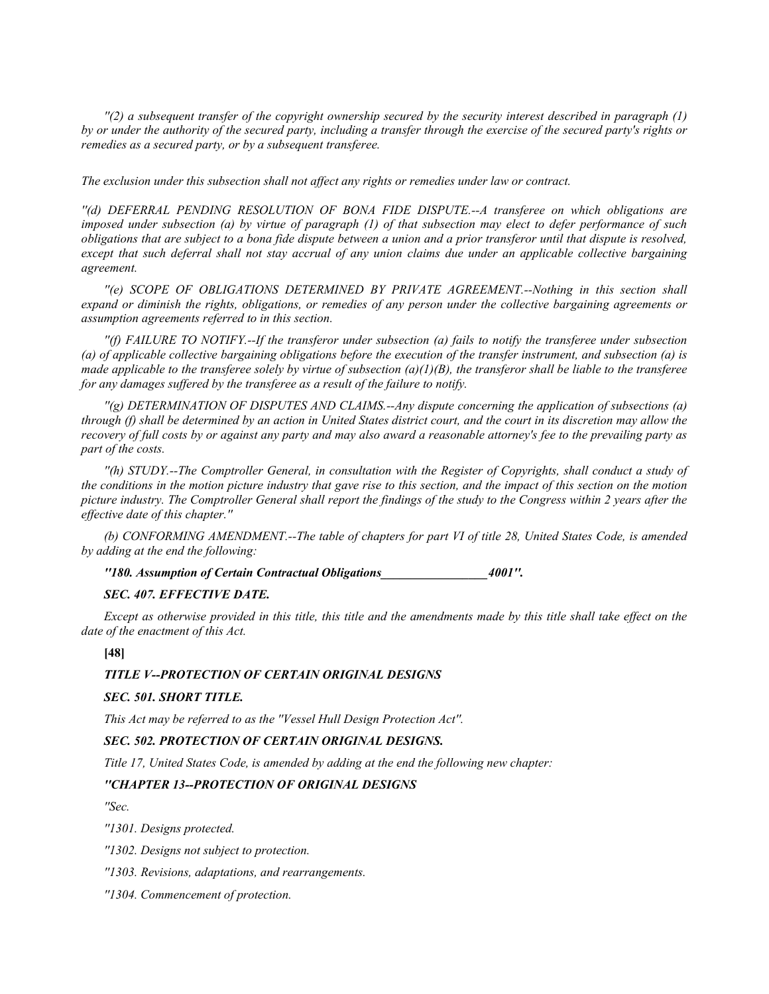*''(2) a subsequent transfer of the copyright ownership secured by the security interest described in paragraph (1) by or under the authority of the secured party, including a transfer through the exercise of the secured party's rights or remedies as a secured party, or by a subsequent transferee.*

*The exclusion under this subsection shall not affect any rights or remedies under law or contract.*

*''(d) DEFERRAL PENDING RESOLUTION OF BONA FIDE DISPUTE.--A transferee on which obligations are imposed under subsection (a) by virtue of paragraph (1) of that subsection may elect to defer performance of such obligations that are subject to a bona fide dispute between a union and a prior transferor until that dispute is resolved, except that such deferral shall not stay accrual of any union claims due under an applicable collective bargaining agreement.*

*''(e) SCOPE OF OBLIGATIONS DETERMINED BY PRIVATE AGREEMENT.--Nothing in this section shall expand or diminish the rights, obligations, or remedies of any person under the collective bargaining agreements or assumption agreements referred to in this section.*

*''(f) FAILURE TO NOTIFY.--If the transferor under subsection (a) fails to notify the transferee under subsection (a) of applicable collective bargaining obligations before the execution of the transfer instrument, and subsection (a) is made applicable to the transferee solely by virtue of subsection (a)(1)(B), the transferor shall be liable to the transferee for any damages suffered by the transferee as a result of the failure to notify.*

*''(g) DETERMINATION OF DISPUTES AND CLAIMS.--Any dispute concerning the application of subsections (a) through (f) shall be determined by an action in United States district court, and the court in its discretion may allow the recovery of full costs by or against any party and may also award a reasonable attorney's fee to the prevailing party as part of the costs.*

*''(h) STUDY.--The Comptroller General, in consultation with the Register of Copyrights, shall conduct a study of the conditions in the motion picture industry that gave rise to this section, and the impact of this section on the motion picture industry. The Comptroller General shall report the findings of the study to the Congress within 2 years after the effective date of this chapter.''*

*(b) CONFORMING AMENDMENT.--The table of chapters for part VI of title 28, United States Code, is amended by adding at the end the following:*

*''180. Assumption of Certain Contractual Obligations\_\_\_\_\_\_\_\_\_\_\_\_\_\_\_\_\_4001''.*

## *SEC. 407. EFFECTIVE DATE.*

*Except as otherwise provided in this title, this title and the amendments made by this title shall take effect on the date of the enactment of this Act.*

**[48]**

### *TITLE V--PROTECTION OF CERTAIN ORIGINAL DESIGNS*

#### *SEC. 501. SHORT TITLE.*

*This Act may be referred to as the ''Vessel Hull Design Protection Act''.*

## *SEC. 502. PROTECTION OF CERTAIN ORIGINAL DESIGNS.*

*Title 17, United States Code, is amended by adding at the end the following new chapter:*

# *''CHAPTER 13--PROTECTION OF ORIGINAL DESIGNS*

*''Sec.*

*''1301. Designs protected.*

*''1302. Designs not subject to protection.*

*''1303. Revisions, adaptations, and rearrangements.*

*''1304. Commencement of protection.*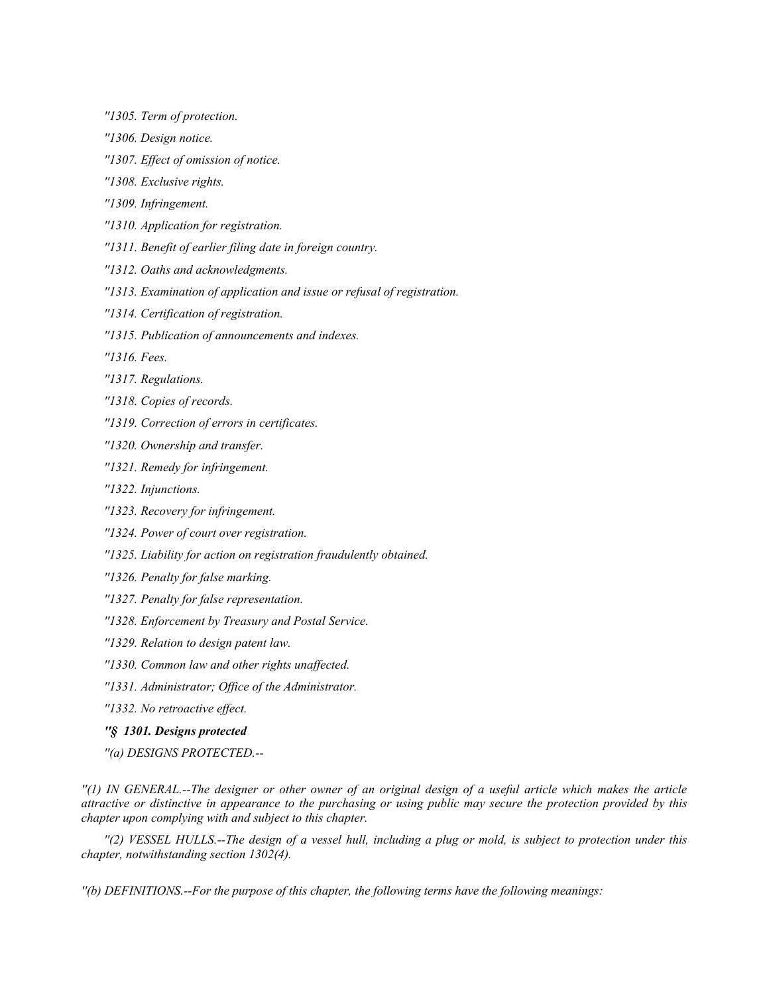- *''1305. Term of protection.*
- *''1306. Design notice.*
- *''1307. Effect of omission of notice.*
- *''1308. Exclusive rights.*
- *''1309. Infringement.*
- *''1310. Application for registration.*
- *''1311. Benefit of earlier filing date in foreign country.*
- *''1312. Oaths and acknowledgments.*
- *''1313. Examination of application and issue or refusal of registration.*
- *''1314. Certification of registration.*
- *''1315. Publication of announcements and indexes.*
- *''1316. Fees.*
- *''1317. Regulations.*
- *''1318. Copies of records.*
- *''1319. Correction of errors in certificates.*
- *''1320. Ownership and transfer.*
- *''1321. Remedy for infringement.*
- *''1322. Injunctions.*
- *''1323. Recovery for infringement.*
- *''1324. Power of court over registration.*
- *''1325. Liability for action on registration fraudulently obtained.*
- *''1326. Penalty for false marking.*
- *''1327. Penalty for false representation.*
- *''1328. Enforcement by Treasury and Postal Service.*
- *''1329. Relation to design patent law.*
- *''1330. Common law and other rights unaffected.*
- *''1331. Administrator; Office of the Administrator.*
- *''1332. No retroactive effect.*
- *''§ 1301. Designs protected*
- *''(a) DESIGNS PROTECTED.--*

*''(1) IN GENERAL.--The designer or other owner of an original design of a useful article which makes the article attractive or distinctive in appearance to the purchasing or using public may secure the protection provided by this chapter upon complying with and subject to this chapter.*

*''(2) VESSEL HULLS.--The design of a vessel hull, including a plug or mold, is subject to protection under this chapter, notwithstanding section 1302(4).*

*''(b) DEFINITIONS.--For the purpose of this chapter, the following terms have the following meanings:*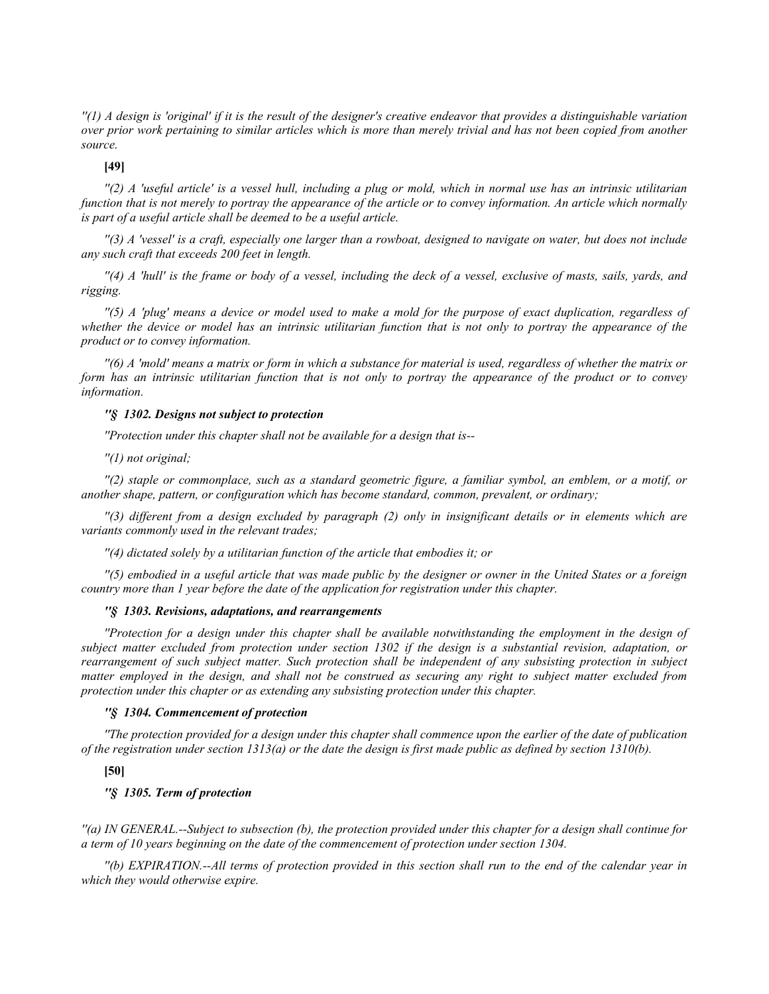*''(1) A design is 'original' if it is the result of the designer's creative endeavor that provides a distinguishable variation over prior work pertaining to similar articles which is more than merely trivial and has not been copied from another source.*

**[49]**

*''(2) A 'useful article' is a vessel hull, including a plug or mold, which in normal use has an intrinsic utilitarian function that is not merely to portray the appearance of the article or to convey information. An article which normally is part of a useful article shall be deemed to be a useful article.*

*''(3) A 'vessel' is a craft, especially one larger than a rowboat, designed to navigate on water, but does not include any such craft that exceeds 200 feet in length.*

*''(4) A 'hull' is the frame or body of a vessel, including the deck of a vessel, exclusive of masts, sails, yards, and rigging.*

*''(5) A 'plug' means a device or model used to make a mold for the purpose of exact duplication, regardless of whether the device or model has an intrinsic utilitarian function that is not only to portray the appearance of the product or to convey information.*

*''(6) A 'mold' means a matrix or form in which a substance for material is used, regardless of whether the matrix or form has an intrinsic utilitarian function that is not only to portray the appearance of the product or to convey information.*

#### *''§ 1302. Designs not subject to protection*

*''Protection under this chapter shall not be available for a design that is--*

*''(1) not original;*

*''(2) staple or commonplace, such as a standard geometric figure, a familiar symbol, an emblem, or a motif, or another shape, pattern, or configuration which has become standard, common, prevalent, or ordinary;*

*''(3) different from a design excluded by paragraph (2) only in insignificant details or in elements which are variants commonly used in the relevant trades;*

*''(4) dictated solely by a utilitarian function of the article that embodies it; or*

*''(5) embodied in a useful article that was made public by the designer or owner in the United States or a foreign country more than 1 year before the date of the application for registration under this chapter.*

#### *''§ 1303. Revisions, adaptations, and rearrangements*

*''Protection for a design under this chapter shall be available notwithstanding the employment in the design of subject matter excluded from protection under section 1302 if the design is a substantial revision, adaptation, or rearrangement of such subject matter. Such protection shall be independent of any subsisting protection in subject matter employed in the design, and shall not be construed as securing any right to subject matter excluded from protection under this chapter or as extending any subsisting protection under this chapter.*

#### *''§ 1304. Commencement of protection*

*''The protection provided for a design under this chapter shall commence upon the earlier of the date of publication of the registration under section 1313(a) or the date the design is first made public as defined by section 1310(b).*

**[50]**

### *''§ 1305. Term of protection*

*''(a) IN GENERAL.--Subject to subsection (b), the protection provided under this chapter for a design shall continue for a term of 10 years beginning on the date of the commencement of protection under section 1304.*

*''(b) EXPIRATION.--All terms of protection provided in this section shall run to the end of the calendar year in which they would otherwise expire.*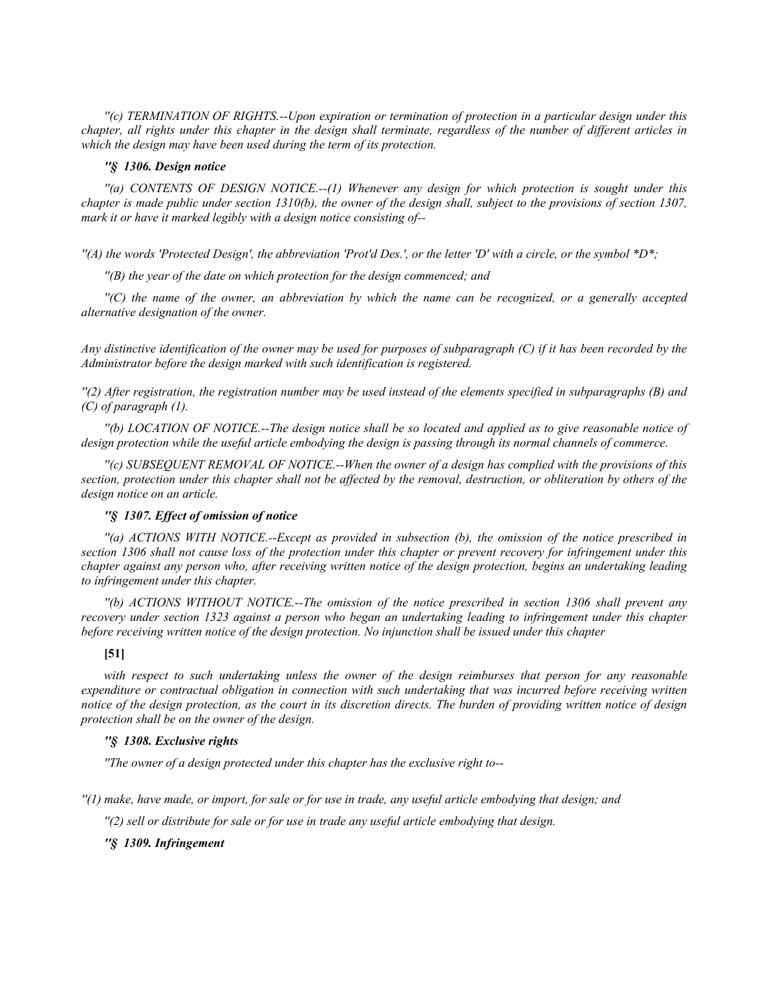*''(c) TERMINATION OF RIGHTS.--Upon expiration or termination of protection in a particular design under this chapter, all rights under this chapter in the design shall terminate, regardless of the number of different articles in which the design may have been used during the term of its protection.*

## *''§ 1306. Design notice*

*''(a) CONTENTS OF DESIGN NOTICE.--(1) Whenever any design for which protection is sought under this chapter is made public under section 1310(b), the owner of the design shall, subject to the provisions of section 1307, mark it or have it marked legibly with a design notice consisting of--*

*''(A) the words 'Protected Design', the abbreviation 'Prot'd Des.', or the letter 'D' with a circle, or the symbol \*D\*;*

*''(B) the year of the date on which protection for the design commenced; and*

*''(C) the name of the owner, an abbreviation by which the name can be recognized, or a generally accepted alternative designation of the owner.*

*Any distinctive identification of the owner may be used for purposes of subparagraph (C) if it has been recorded by the Administrator before the design marked with such identification is registered.*

*''(2) After registration, the registration number may be used instead of the elements specified in subparagraphs (B) and (C) of paragraph (1).*

*''(b) LOCATION OF NOTICE.--The design notice shall be so located and applied as to give reasonable notice of design protection while the useful article embodying the design is passing through its normal channels of commerce.*

*''(c) SUBSEQUENT REMOVAL OF NOTICE.--When the owner of a design has complied with the provisions of this section, protection under this chapter shall not be affected by the removal, destruction, or obliteration by others of the design notice on an article.*

## *''§ 1307. Effect of omission of notice*

*''(a) ACTIONS WITH NOTICE.--Except as provided in subsection (b), the omission of the notice prescribed in section 1306 shall not cause loss of the protection under this chapter or prevent recovery for infringement under this chapter against any person who, after receiving written notice of the design protection, begins an undertaking leading to infringement under this chapter.*

*''(b) ACTIONS WITHOUT NOTICE.--The omission of the notice prescribed in section 1306 shall prevent any recovery under section 1323 against a person who began an undertaking leading to infringement under this chapter before receiving written notice of the design protection. No injunction shall be issued under this chapter*

# **[51]**

*with respect to such undertaking unless the owner of the design reimburses that person for any reasonable expenditure or contractual obligation in connection with such undertaking that was incurred before receiving written notice of the design protection, as the court in its discretion directs. The burden of providing written notice of design protection shall be on the owner of the design.*

## *''§ 1308. Exclusive rights*

*''The owner of a design protected under this chapter has the exclusive right to--*

*''(1) make, have made, or import, for sale or for use in trade, any useful article embodying that design; and*

*''(2) sell or distribute for sale or for use in trade any useful article embodying that design.*

*''§ 1309. Infringement*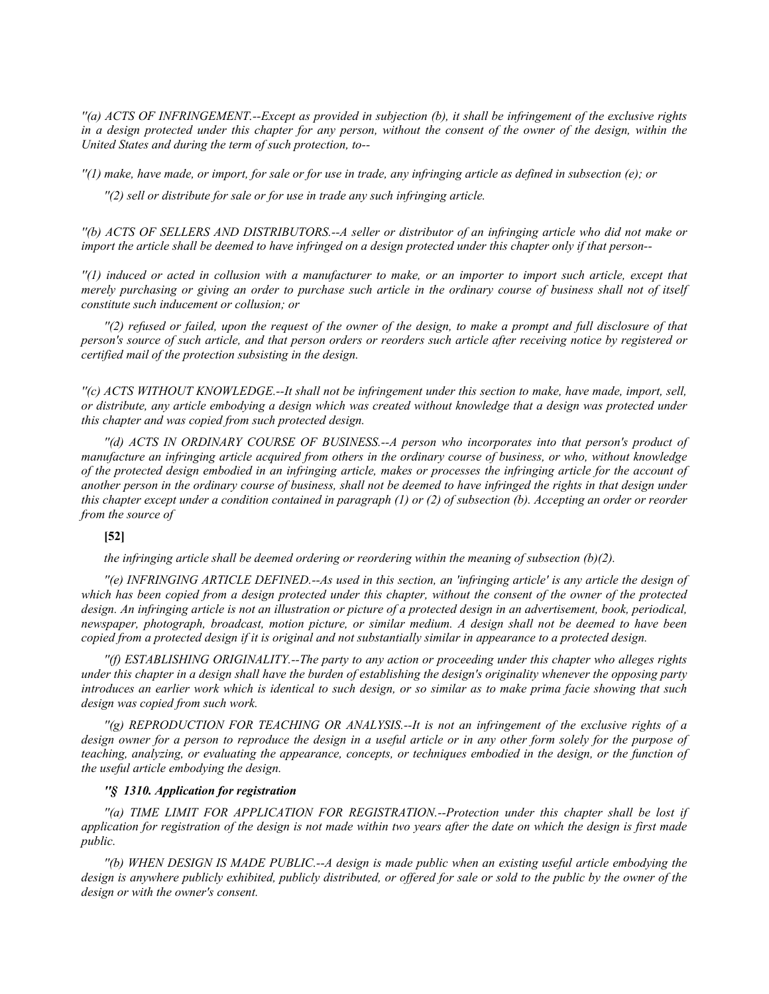*''(a) ACTS OF INFRINGEMENT.--Except as provided in subjection (b), it shall be infringement of the exclusive rights*  in a design protected under this chapter for any person, without the consent of the owner of the design, within the *United States and during the term of such protection, to--*

*''(1) make, have made, or import, for sale or for use in trade, any infringing article as defined in subsection (e); or*

*''(2) sell or distribute for sale or for use in trade any such infringing article.*

*''(b) ACTS OF SELLERS AND DISTRIBUTORS.--A seller or distributor of an infringing article who did not make or import the article shall be deemed to have infringed on a design protected under this chapter only if that person--*

*''(1) induced or acted in collusion with a manufacturer to make, or an importer to import such article, except that merely purchasing or giving an order to purchase such article in the ordinary course of business shall not of itself constitute such inducement or collusion; or*

*''(2) refused or failed, upon the request of the owner of the design, to make a prompt and full disclosure of that person's source of such article, and that person orders or reorders such article after receiving notice by registered or certified mail of the protection subsisting in the design.*

*''(c) ACTS WITHOUT KNOWLEDGE.--It shall not be infringement under this section to make, have made, import, sell, or distribute, any article embodying a design which was created without knowledge that a design was protected under this chapter and was copied from such protected design.*

*''(d) ACTS IN ORDINARY COURSE OF BUSINESS.--A person who incorporates into that person's product of manufacture an infringing article acquired from others in the ordinary course of business, or who, without knowledge of the protected design embodied in an infringing article, makes or processes the infringing article for the account of another person in the ordinary course of business, shall not be deemed to have infringed the rights in that design under this chapter except under a condition contained in paragraph (1) or (2) of subsection (b). Accepting an order or reorder from the source of*

# **[52]**

*the infringing article shall be deemed ordering or reordering within the meaning of subsection (b)(2).*

*''(e) INFRINGING ARTICLE DEFINED.--As used in this section, an 'infringing article' is any article the design of which has been copied from a design protected under this chapter, without the consent of the owner of the protected design. An infringing article is not an illustration or picture of a protected design in an advertisement, book, periodical, newspaper, photograph, broadcast, motion picture, or similar medium. A design shall not be deemed to have been copied from a protected design if it is original and not substantially similar in appearance to a protected design.*

*''(f) ESTABLISHING ORIGINALITY.--The party to any action or proceeding under this chapter who alleges rights under this chapter in a design shall have the burden of establishing the design's originality whenever the opposing party introduces an earlier work which is identical to such design, or so similar as to make prima facie showing that such design was copied from such work.*

*''(g) REPRODUCTION FOR TEACHING OR ANALYSIS.--It is not an infringement of the exclusive rights of a design owner for a person to reproduce the design in a useful article or in any other form solely for the purpose of teaching, analyzing, or evaluating the appearance, concepts, or techniques embodied in the design, or the function of the useful article embodying the design.*

## *''§ 1310. Application for registration*

*''(a) TIME LIMIT FOR APPLICATION FOR REGISTRATION.--Protection under this chapter shall be lost if application for registration of the design is not made within two years after the date on which the design is first made public.*

*''(b) WHEN DESIGN IS MADE PUBLIC.--A design is made public when an existing useful article embodying the design is anywhere publicly exhibited, publicly distributed, or offered for sale or sold to the public by the owner of the design or with the owner's consent.*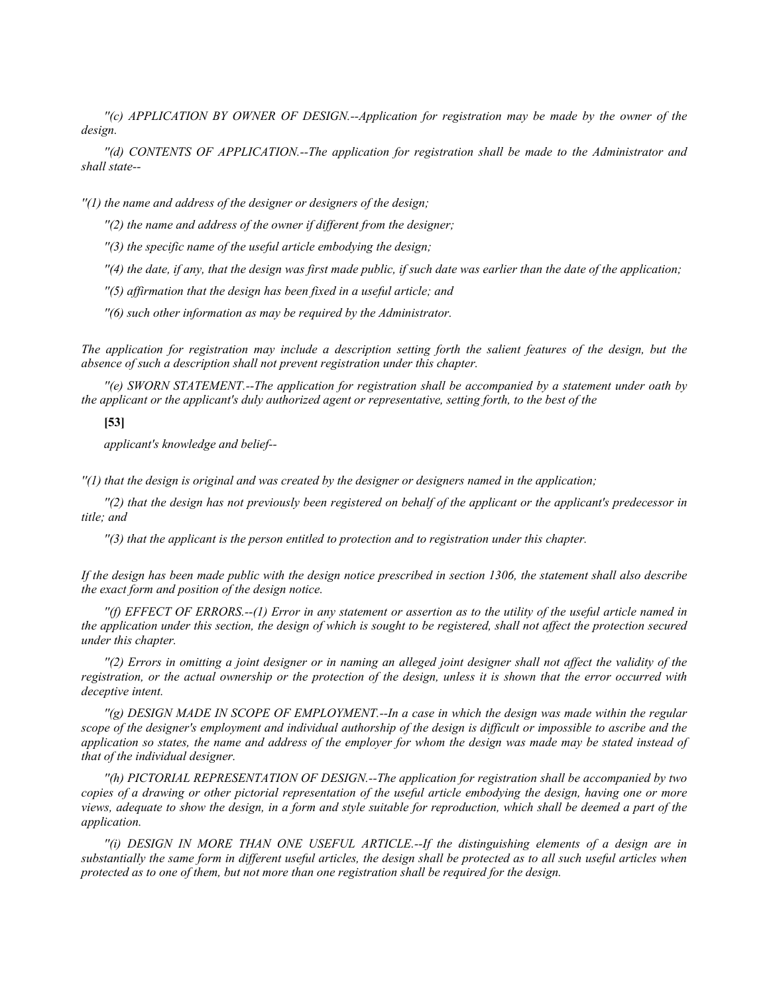*''(c) APPLICATION BY OWNER OF DESIGN.--Application for registration may be made by the owner of the design.*

*''(d) CONTENTS OF APPLICATION.--The application for registration shall be made to the Administrator and shall state--*

*''(1) the name and address of the designer or designers of the design;*

*''(2) the name and address of the owner if different from the designer;*

*''(3) the specific name of the useful article embodying the design;*

*''(4) the date, if any, that the design was first made public, if such date was earlier than the date of the application;*

*''(5) affirmation that the design has been fixed in a useful article; and*

*''(6) such other information as may be required by the Administrator.*

*The application for registration may include a description setting forth the salient features of the design, but the absence of such a description shall not prevent registration under this chapter.*

*''(e) SWORN STATEMENT.--The application for registration shall be accompanied by a statement under oath by the applicant or the applicant's duly authorized agent or representative, setting forth, to the best of the*

**[53]**

*applicant's knowledge and belief--*

*''(1) that the design is original and was created by the designer or designers named in the application;*

*''(2) that the design has not previously been registered on behalf of the applicant or the applicant's predecessor in title; and*

*''(3) that the applicant is the person entitled to protection and to registration under this chapter.*

*If the design has been made public with the design notice prescribed in section 1306, the statement shall also describe the exact form and position of the design notice.*

*''(f) EFFECT OF ERRORS.--(1) Error in any statement or assertion as to the utility of the useful article named in the application under this section, the design of which is sought to be registered, shall not affect the protection secured under this chapter.* 

*''(2) Errors in omitting a joint designer or in naming an alleged joint designer shall not affect the validity of the registration, or the actual ownership or the protection of the design, unless it is shown that the error occurred with deceptive intent.*

*''(g) DESIGN MADE IN SCOPE OF EMPLOYMENT.--In a case in which the design was made within the regular scope of the designer's employment and individual authorship of the design is difficult or impossible to ascribe and the application so states, the name and address of the employer for whom the design was made may be stated instead of that of the individual designer.*

*''(h) PICTORIAL REPRESENTATION OF DESIGN.--The application for registration shall be accompanied by two copies of a drawing or other pictorial representation of the useful article embodying the design, having one or more views, adequate to show the design, in a form and style suitable for reproduction, which shall be deemed a part of the application.*

*''(i) DESIGN IN MORE THAN ONE USEFUL ARTICLE.--If the distinguishing elements of a design are in substantially the same form in different useful articles, the design shall be protected as to all such useful articles when protected as to one of them, but not more than one registration shall be required for the design.*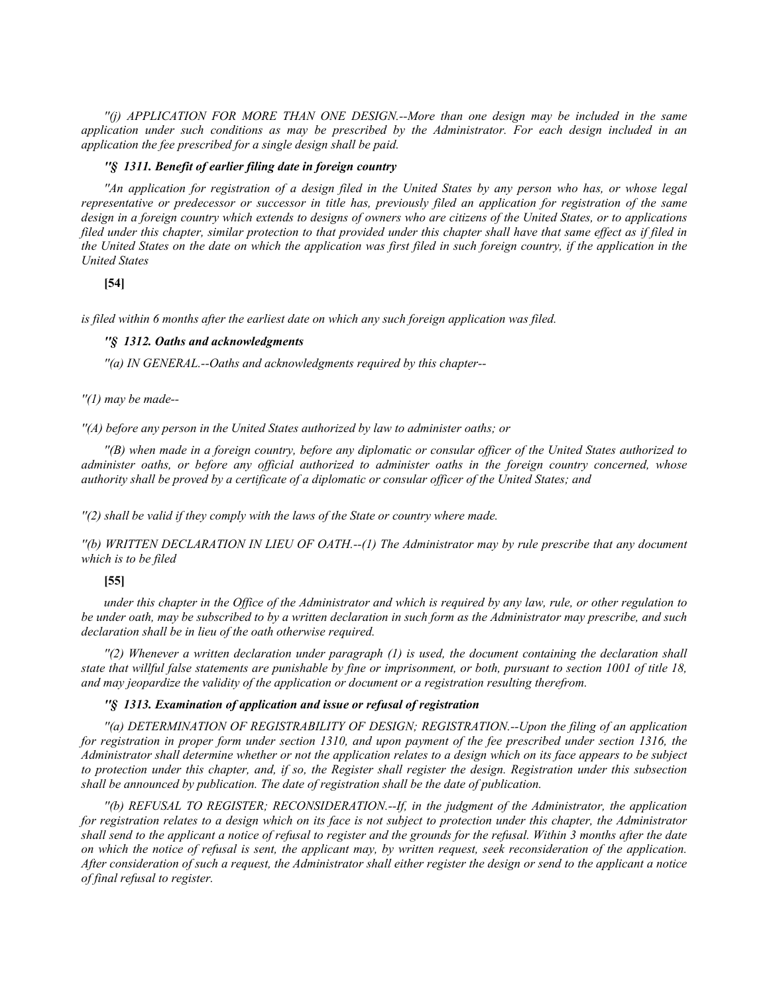*''(j) APPLICATION FOR MORE THAN ONE DESIGN.--More than one design may be included in the same application under such conditions as may be prescribed by the Administrator. For each design included in an application the fee prescribed for a single design shall be paid.*

# *''§ 1311. Benefit of earlier filing date in foreign country*

*''An application for registration of a design filed in the United States by any person who has, or whose legal representative or predecessor or successor in title has, previously filed an application for registration of the same design in a foreign country which extends to designs of owners who are citizens of the United States, or to applications filed under this chapter, similar protection to that provided under this chapter shall have that same effect as if filed in the United States on the date on which the application was first filed in such foreign country, if the application in the United States*

**[54]**

*is filed within 6 months after the earliest date on which any such foreign application was filed.*

#### *''§ 1312. Oaths and acknowledgments*

*''(a) IN GENERAL.--Oaths and acknowledgments required by this chapter--*

*''(1) may be made--*

*''(A) before any person in the United States authorized by law to administer oaths; or*

*''(B) when made in a foreign country, before any diplomatic or consular officer of the United States authorized to administer oaths, or before any official authorized to administer oaths in the foreign country concerned, whose authority shall be proved by a certificate of a diplomatic or consular officer of the United States; and*

*''(2) shall be valid if they comply with the laws of the State or country where made.*

*''(b) WRITTEN DECLARATION IN LIEU OF OATH.--(1) The Administrator may by rule prescribe that any document which is to be filed*

**[55]**

*under this chapter in the Office of the Administrator and which is required by any law, rule, or other regulation to be under oath, may be subscribed to by a written declaration in such form as the Administrator may prescribe, and such declaration shall be in lieu of the oath otherwise required.*

*''(2) Whenever a written declaration under paragraph (1) is used, the document containing the declaration shall state that willful false statements are punishable by fine or imprisonment, or both, pursuant to section 1001 of title 18, and may jeopardize the validity of the application or document or a registration resulting therefrom.*

## *''§ 1313. Examination of application and issue or refusal of registration*

*''(a) DETERMINATION OF REGISTRABILITY OF DESIGN; REGISTRATION.--Upon the filing of an application for registration in proper form under section 1310, and upon payment of the fee prescribed under section 1316, the Administrator shall determine whether or not the application relates to a design which on its face appears to be subject to protection under this chapter, and, if so, the Register shall register the design. Registration under this subsection shall be announced by publication. The date of registration shall be the date of publication.*

*''(b) REFUSAL TO REGISTER; RECONSIDERATION.--If, in the judgment of the Administrator, the application for registration relates to a design which on its face is not subject to protection under this chapter, the Administrator shall send to the applicant a notice of refusal to register and the grounds for the refusal. Within 3 months after the date on which the notice of refusal is sent, the applicant may, by written request, seek reconsideration of the application. After consideration of such a request, the Administrator shall either register the design or send to the applicant a notice of final refusal to register.*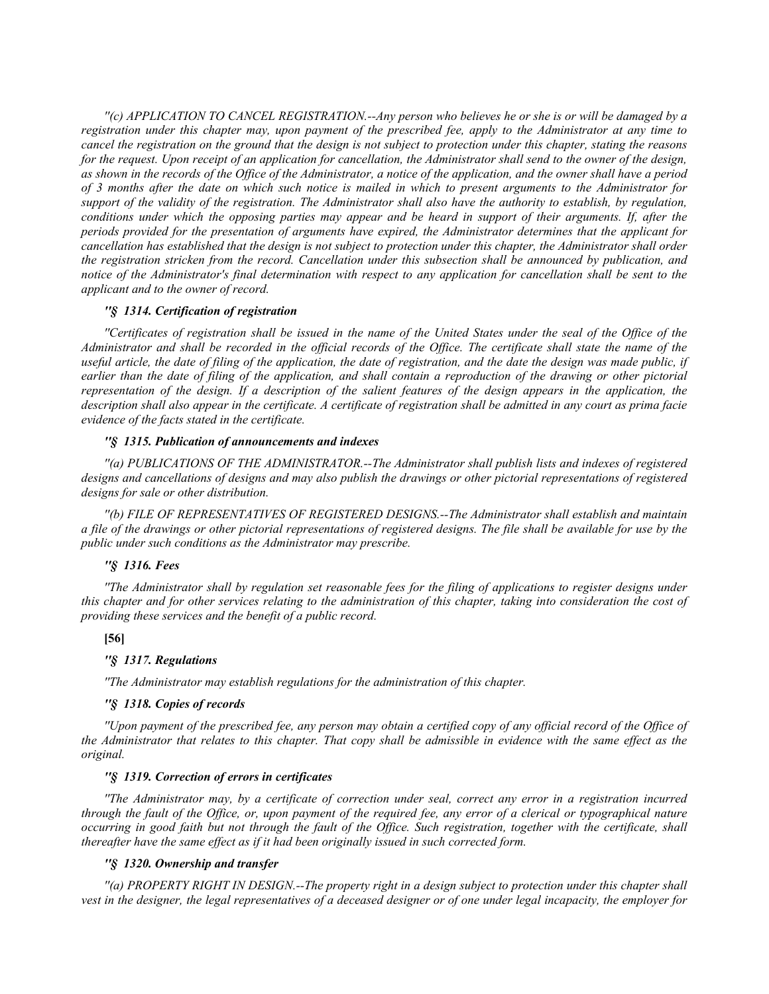*''(c) APPLICATION TO CANCEL REGISTRATION.--Any person who believes he or she is or will be damaged by a registration under this chapter may, upon payment of the prescribed fee, apply to the Administrator at any time to cancel the registration on the ground that the design is not subject to protection under this chapter, stating the reasons for the request. Upon receipt of an application for cancellation, the Administrator shall send to the owner of the design, as shown in the records of the Office of the Administrator, a notice of the application, and the owner shall have a period of 3 months after the date on which such notice is mailed in which to present arguments to the Administrator for support of the validity of the registration. The Administrator shall also have the authority to establish, by regulation, conditions under which the opposing parties may appear and be heard in support of their arguments. If, after the periods provided for the presentation of arguments have expired, the Administrator determines that the applicant for cancellation has established that the design is not subject to protection under this chapter, the Administrator shall order the registration stricken from the record. Cancellation under this subsection shall be announced by publication, and notice of the Administrator's final determination with respect to any application for cancellation shall be sent to the applicant and to the owner of record.*

## *''§ 1314. Certification of registration*

*''Certificates of registration shall be issued in the name of the United States under the seal of the Office of the Administrator and shall be recorded in the official records of the Office. The certificate shall state the name of the useful article, the date of filing of the application, the date of registration, and the date the design was made public, if*  earlier than the date of filing of the application, and shall contain a reproduction of the drawing or other pictorial *representation of the design. If a description of the salient features of the design appears in the application, the description shall also appear in the certificate. A certificate of registration shall be admitted in any court as prima facie evidence of the facts stated in the certificate.*

## *''§ 1315. Publication of announcements and indexes*

*''(a) PUBLICATIONS OF THE ADMINISTRATOR.--The Administrator shall publish lists and indexes of registered designs and cancellations of designs and may also publish the drawings or other pictorial representations of registered designs for sale or other distribution.*

*''(b) FILE OF REPRESENTATIVES OF REGISTERED DESIGNS.--The Administrator shall establish and maintain a file of the drawings or other pictorial representations of registered designs. The file shall be available for use by the public under such conditions as the Administrator may prescribe.*

# *''§ 1316. Fees*

*''The Administrator shall by regulation set reasonable fees for the filing of applications to register designs under this chapter and for other services relating to the administration of this chapter, taking into consideration the cost of providing these services and the benefit of a public record.*

**[56]**

#### *''§ 1317. Regulations*

*''The Administrator may establish regulations for the administration of this chapter.*

## *''§ 1318. Copies of records*

*''Upon payment of the prescribed fee, any person may obtain a certified copy of any official record of the Office of the Administrator that relates to this chapter. That copy shall be admissible in evidence with the same effect as the original.*

#### *''§ 1319. Correction of errors in certificates*

*''The Administrator may, by a certificate of correction under seal, correct any error in a registration incurred through the fault of the Office, or, upon payment of the required fee, any error of a clerical or typographical nature occurring in good faith but not through the fault of the Office. Such registration, together with the certificate, shall thereafter have the same effect as if it had been originally issued in such corrected form.*

### *''§ 1320. Ownership and transfer*

*''(a) PROPERTY RIGHT IN DESIGN.--The property right in a design subject to protection under this chapter shall vest in the designer, the legal representatives of a deceased designer or of one under legal incapacity, the employer for*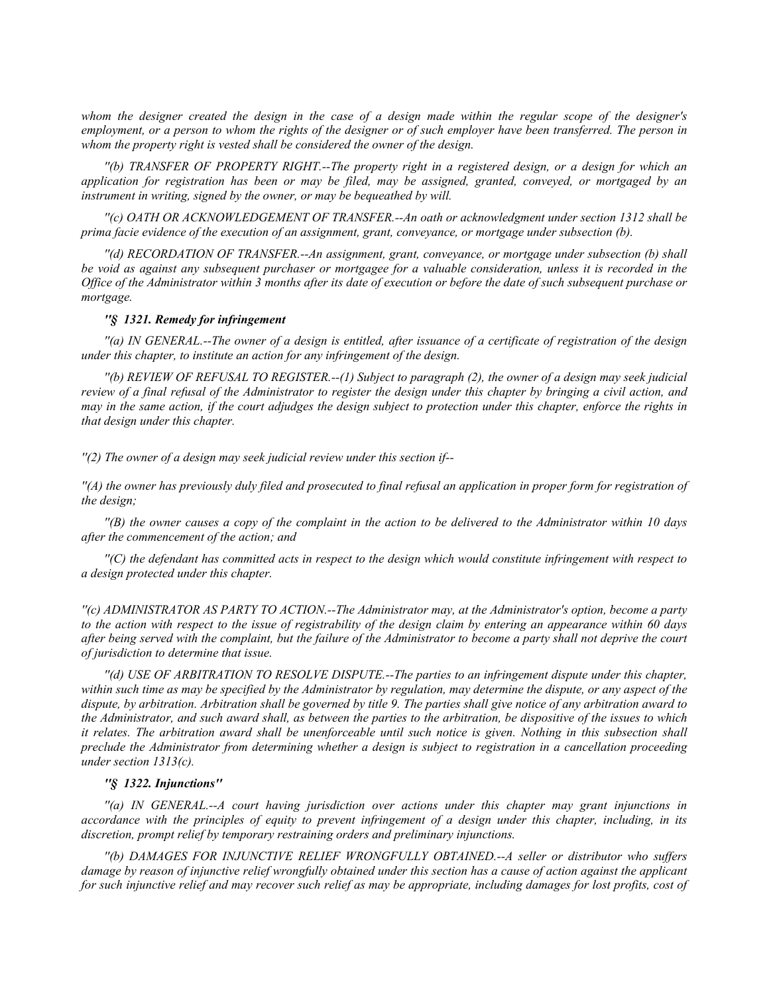*whom the designer created the design in the case of a design made within the regular scope of the designer's*  employment, or a person to whom the rights of the designer or of such employer have been transferred. The person in *whom the property right is vested shall be considered the owner of the design.* 

*''(b) TRANSFER OF PROPERTY RIGHT.--The property right in a registered design, or a design for which an application for registration has been or may be filed, may be assigned, granted, conveyed, or mortgaged by an instrument in writing, signed by the owner, or may be bequeathed by will.*

*''(c) OATH OR ACKNOWLEDGEMENT OF TRANSFER.--An oath or acknowledgment under section 1312 shall be prima facie evidence of the execution of an assignment, grant, conveyance, or mortgage under subsection (b).*

*''(d) RECORDATION OF TRANSFER.--An assignment, grant, conveyance, or mortgage under subsection (b) shall be void as against any subsequent purchaser or mortgagee for a valuable consideration, unless it is recorded in the Office of the Administrator within 3 months after its date of execution or before the date of such subsequent purchase or mortgage.*

### *''§ 1321. Remedy for infringement*

*''(a) IN GENERAL.--The owner of a design is entitled, after issuance of a certificate of registration of the design under this chapter, to institute an action for any infringement of the design.*

*''(b) REVIEW OF REFUSAL TO REGISTER.--(1) Subject to paragraph (2), the owner of a design may seek judicial review of a final refusal of the Administrator to register the design under this chapter by bringing a civil action, and may in the same action, if the court adjudges the design subject to protection under this chapter, enforce the rights in that design under this chapter.*

*''(2) The owner of a design may seek judicial review under this section if--*

*''(A) the owner has previously duly filed and prosecuted to final refusal an application in proper form for registration of the design;*

*''(B) the owner causes a copy of the complaint in the action to be delivered to the Administrator within 10 days after the commencement of the action; and*

*''(C) the defendant has committed acts in respect to the design which would constitute infringement with respect to a design protected under this chapter.*

*''(c) ADMINISTRATOR AS PARTY TO ACTION.--The Administrator may, at the Administrator's option, become a party to the action with respect to the issue of registrability of the design claim by entering an appearance within 60 days after being served with the complaint, but the failure of the Administrator to become a party shall not deprive the court of jurisdiction to determine that issue.*

*''(d) USE OF ARBITRATION TO RESOLVE DISPUTE.--The parties to an infringement dispute under this chapter, within such time as may be specified by the Administrator by regulation, may determine the dispute, or any aspect of the dispute, by arbitration. Arbitration shall be governed by title 9. The parties shall give notice of any arbitration award to the Administrator, and such award shall, as between the parties to the arbitration, be dispositive of the issues to which*  it relates. The arbitration award shall be unenforceable until such notice is given. Nothing in this subsection shall *preclude the Administrator from determining whether a design is subject to registration in a cancellation proceeding under section 1313(c).*

#### *''§ 1322. Injunctions''*

*''(a) IN GENERAL.--A court having jurisdiction over actions under this chapter may grant injunctions in accordance with the principles of equity to prevent infringement of a design under this chapter, including, in its discretion, prompt relief by temporary restraining orders and preliminary injunctions.*

*''(b) DAMAGES FOR INJUNCTIVE RELIEF WRONGFULLY OBTAINED.--A seller or distributor who suffers damage by reason of injunctive relief wrongfully obtained under this section has a cause of action against the applicant for such injunctive relief and may recover such relief as may be appropriate, including damages for lost profits, cost of*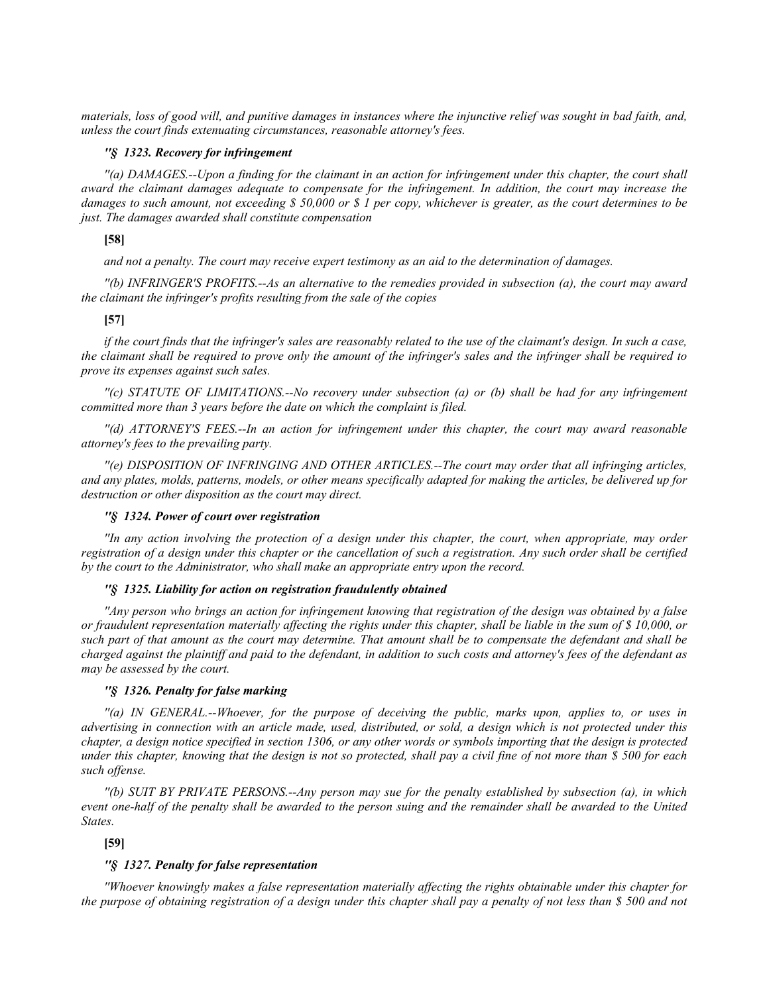*materials, loss of good will, and punitive damages in instances where the injunctive relief was sought in bad faith, and, unless the court finds extenuating circumstances, reasonable attorney's fees.*

# *''§ 1323. Recovery for infringement*

*''(a) DAMAGES.--Upon a finding for the claimant in an action for infringement under this chapter, the court shall award the claimant damages adequate to compensate for the infringement. In addition, the court may increase the damages to such amount, not exceeding \$ 50,000 or \$ 1 per copy, whichever is greater, as the court determines to be just. The damages awarded shall constitute compensation*

**[58]**

*and not a penalty. The court may receive expert testimony as an aid to the determination of damages.*

*''(b) INFRINGER'S PROFITS.--As an alternative to the remedies provided in subsection (a), the court may award the claimant the infringer's profits resulting from the sale of the copies*

**[57]**

*if the court finds that the infringer's sales are reasonably related to the use of the claimant's design. In such a case, the claimant shall be required to prove only the amount of the infringer's sales and the infringer shall be required to prove its expenses against such sales.*

*''(c) STATUTE OF LIMITATIONS.--No recovery under subsection (a) or (b) shall be had for any infringement committed more than 3 years before the date on which the complaint is filed.*

*''(d) ATTORNEY'S FEES.--In an action for infringement under this chapter, the court may award reasonable attorney's fees to the prevailing party.*

*''(e) DISPOSITION OF INFRINGING AND OTHER ARTICLES.--The court may order that all infringing articles, and any plates, molds, patterns, models, or other means specifically adapted for making the articles, be delivered up for destruction or other disposition as the court may direct.*

## *''§ 1324. Power of court over registration*

*''In any action involving the protection of a design under this chapter, the court, when appropriate, may order registration of a design under this chapter or the cancellation of such a registration. Any such order shall be certified by the court to the Administrator, who shall make an appropriate entry upon the record.*

#### *''§ 1325. Liability for action on registration fraudulently obtained*

*''Any person who brings an action for infringement knowing that registration of the design was obtained by a false or fraudulent representation materially affecting the rights under this chapter, shall be liable in the sum of \$ 10,000, or such part of that amount as the court may determine. That amount shall be to compensate the defendant and shall be charged against the plaintiff and paid to the defendant, in addition to such costs and attorney's fees of the defendant as may be assessed by the court.*

## *''§ 1326. Penalty for false marking*

*''(a) IN GENERAL.--Whoever, for the purpose of deceiving the public, marks upon, applies to, or uses in advertising in connection with an article made, used, distributed, or sold, a design which is not protected under this chapter, a design notice specified in section 1306, or any other words or symbols importing that the design is protected under this chapter, knowing that the design is not so protected, shall pay a civil fine of not more than \$ 500 for each such offense.*

*''(b) SUIT BY PRIVATE PERSONS.--Any person may sue for the penalty established by subsection (a), in which event one-half of the penalty shall be awarded to the person suing and the remainder shall be awarded to the United States.*

# **[59]**

### *''§ 1327. Penalty for false representation*

*''Whoever knowingly makes a false representation materially affecting the rights obtainable under this chapter for the purpose of obtaining registration of a design under this chapter shall pay a penalty of not less than \$ 500 and not*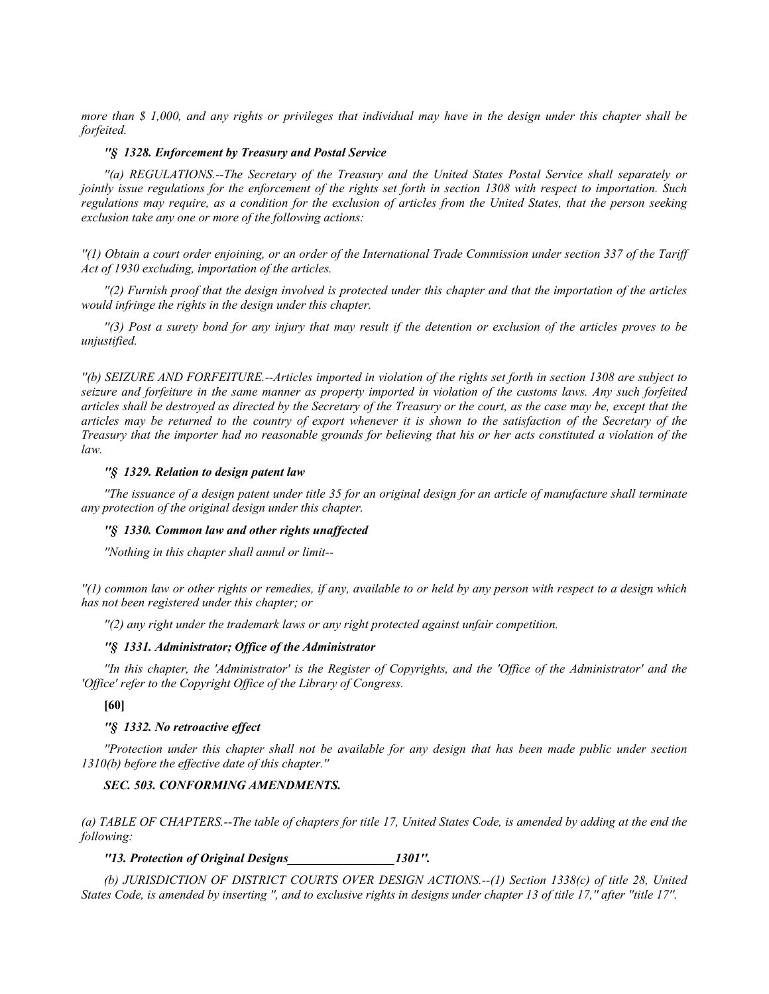*more than \$ 1,000, and any rights or privileges that individual may have in the design under this chapter shall be forfeited.*

### *''§ 1328. Enforcement by Treasury and Postal Service*

*''(a) REGULATIONS.--The Secretary of the Treasury and the United States Postal Service shall separately or jointly issue regulations for the enforcement of the rights set forth in section 1308 with respect to importation. Such regulations may require, as a condition for the exclusion of articles from the United States, that the person seeking exclusion take any one or more of the following actions:*

*''(1) Obtain a court order enjoining, or an order of the International Trade Commission under section 337 of the Tariff Act of 1930 excluding, importation of the articles.*

*''(2) Furnish proof that the design involved is protected under this chapter and that the importation of the articles would infringe the rights in the design under this chapter.*

*''(3) Post a surety bond for any injury that may result if the detention or exclusion of the articles proves to be unjustified.*

*''(b) SEIZURE AND FORFEITURE.--Articles imported in violation of the rights set forth in section 1308 are subject to seizure and forfeiture in the same manner as property imported in violation of the customs laws. Any such forfeited articles shall be destroyed as directed by the Secretary of the Treasury or the court, as the case may be, except that the articles may be returned to the country of export whenever it is shown to the satisfaction of the Secretary of the Treasury that the importer had no reasonable grounds for believing that his or her acts constituted a violation of the law.* 

### *''§ 1329. Relation to design patent law*

*''The issuance of a design patent under title 35 for an original design for an article of manufacture shall terminate any protection of the original design under this chapter.*

### *''§ 1330. Common law and other rights unaffected*

*''Nothing in this chapter shall annul or limit--*

*''(1) common law or other rights or remedies, if any, available to or held by any person with respect to a design which has not been registered under this chapter; or*

*''(2) any right under the trademark laws or any right protected against unfair competition.*

#### *''§ 1331. Administrator; Office of the Administrator*

*''In this chapter, the 'Administrator' is the Register of Copyrights, and the 'Office of the Administrator' and the 'Office' refer to the Copyright Office of the Library of Congress.*

**[60]**

#### *''§ 1332. No retroactive effect*

*''Protection under this chapter shall not be available for any design that has been made public under section 1310(b) before the effective date of this chapter.''*

## *SEC. 503. CONFORMING AMENDMENTS.*

*(a) TABLE OF CHAPTERS.--The table of chapters for title 17, United States Code, is amended by adding at the end the following:*

*''13. Protection of Original Designs\_\_\_\_\_\_\_\_\_\_\_\_\_\_\_\_\_1301''.*

*(b) JURISDICTION OF DISTRICT COURTS OVER DESIGN ACTIONS.--(1) Section 1338(c) of title 28, United States Code, is amended by inserting '', and to exclusive rights in designs under chapter 13 of title 17,'' after ''title 17''.*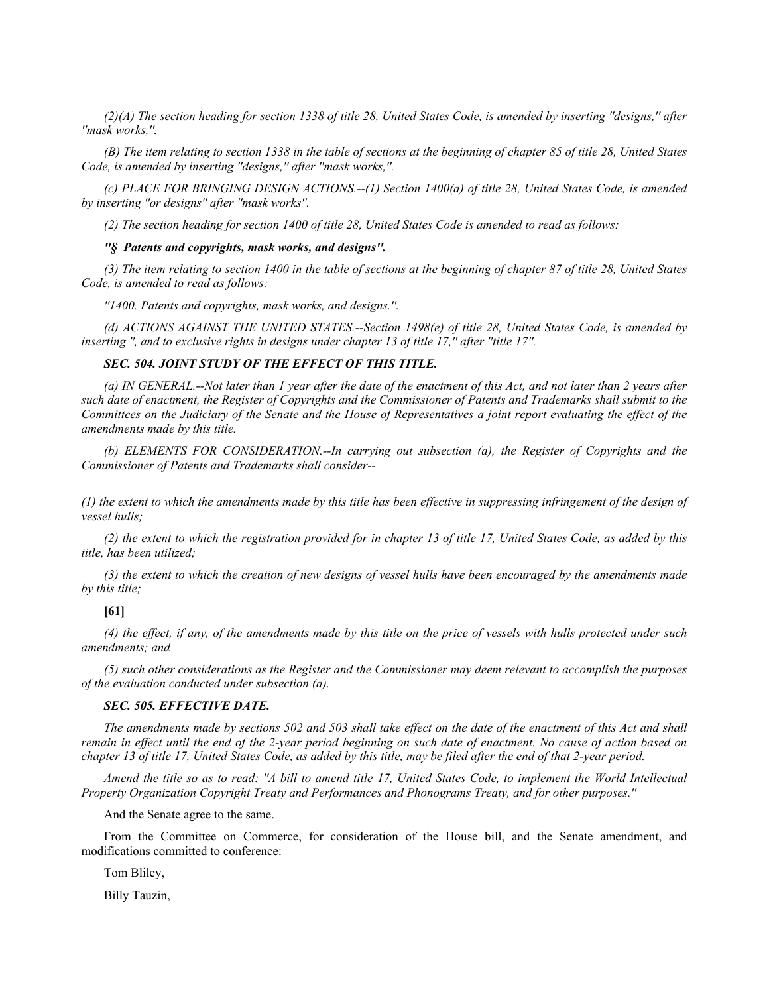*(2)(A) The section heading for section 1338 of title 28, United States Code, is amended by inserting ''designs,'' after ''mask works,''.*

*(B) The item relating to section 1338 in the table of sections at the beginning of chapter 85 of title 28, United States Code, is amended by inserting ''designs,'' after ''mask works,''.*

*(c) PLACE FOR BRINGING DESIGN ACTIONS.--(1) Section 1400(a) of title 28, United States Code, is amended by inserting ''or designs'' after ''mask works''.*

*(2) The section heading for section 1400 of title 28, United States Code is amended to read as follows:*

*''§ Patents and copyrights, mask works, and designs''.*

*(3) The item relating to section 1400 in the table of sections at the beginning of chapter 87 of title 28, United States Code, is amended to read as follows:*

*''1400. Patents and copyrights, mask works, and designs.''.*

*(d) ACTIONS AGAINST THE UNITED STATES.--Section 1498(e) of title 28, United States Code, is amended by inserting '', and to exclusive rights in designs under chapter 13 of title 17,'' after ''title 17''.* 

### *SEC. 504. JOINT STUDY OF THE EFFECT OF THIS TITLE.*

*(a) IN GENERAL.--Not later than 1 year after the date of the enactment of this Act, and not later than 2 years after such date of enactment, the Register of Copyrights and the Commissioner of Patents and Trademarks shall submit to the Committees on the Judiciary of the Senate and the House of Representatives a joint report evaluating the effect of the amendments made by this title.*

*(b) ELEMENTS FOR CONSIDERATION.--In carrying out subsection (a), the Register of Copyrights and the Commissioner of Patents and Trademarks shall consider--*

*(1) the extent to which the amendments made by this title has been effective in suppressing infringement of the design of vessel hulls;*

*(2) the extent to which the registration provided for in chapter 13 of title 17, United States Code, as added by this title, has been utilized;*

*(3) the extent to which the creation of new designs of vessel hulls have been encouraged by the amendments made by this title;*

#### **[61]**

*(4) the effect, if any, of the amendments made by this title on the price of vessels with hulls protected under such amendments; and*

*(5) such other considerations as the Register and the Commissioner may deem relevant to accomplish the purposes of the evaluation conducted under subsection (a).*

### *SEC. 505. EFFECTIVE DATE.*

*The amendments made by sections 502 and 503 shall take effect on the date of the enactment of this Act and shall remain in effect until the end of the 2-year period beginning on such date of enactment. No cause of action based on chapter 13 of title 17, United States Code, as added by this title, may be filed after the end of that 2-year period.*

*Amend the title so as to read: ''A bill to amend title 17, United States Code, to implement the World Intellectual Property Organization Copyright Treaty and Performances and Phonograms Treaty, and for other purposes.''*

And the Senate agree to the same.

From the Committee on Commerce, for consideration of the House bill, and the Senate amendment, and modifications committed to conference:

Tom Bliley,

Billy Tauzin,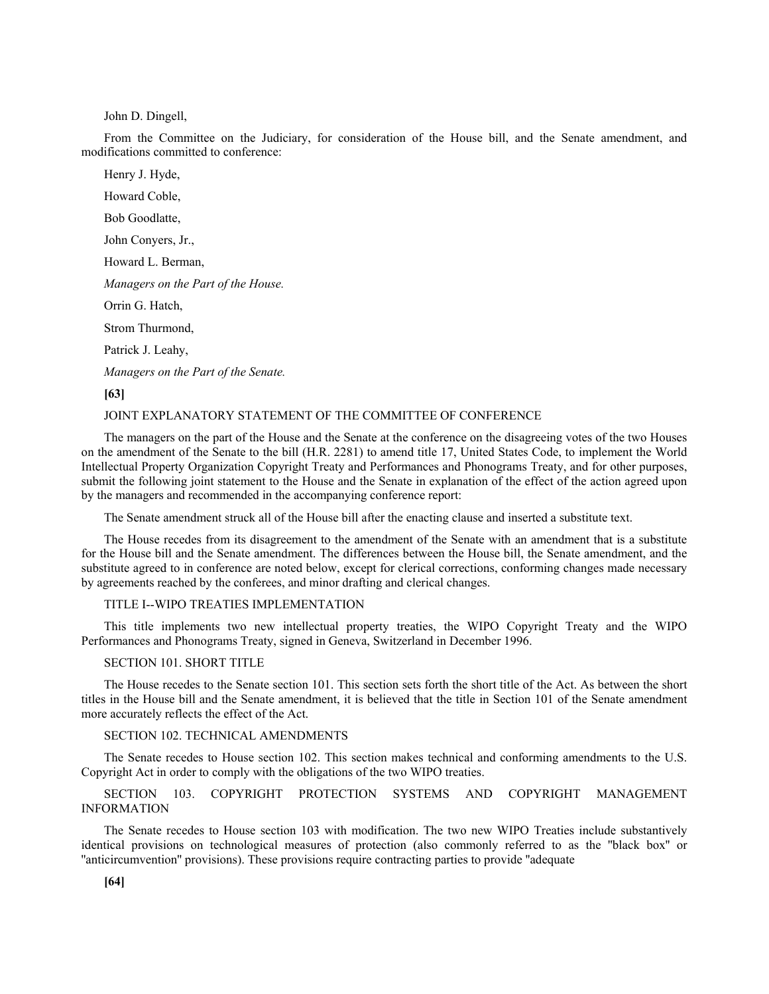John D. Dingell,

From the Committee on the Judiciary, for consideration of the House bill, and the Senate amendment, and modifications committed to conference:

Henry J. Hyde, Howard Coble, Bob Goodlatte, John Conyers, Jr., Howard L. Berman, *Managers on the Part of the House.* Orrin G. Hatch, Strom Thurmond, Patrick J. Leahy, *Managers on the Part of the Senate.* **[63]**

JOINT EXPLANATORY STATEMENT OF THE COMMITTEE OF CONFERENCE

The managers on the part of the House and the Senate at the conference on the disagreeing votes of the two Houses on the amendment of the Senate to the bill (H.R. 2281) to amend title 17, United States Code, to implement the World Intellectual Property Organization Copyright Treaty and Performances and Phonograms Treaty, and for other purposes, submit the following joint statement to the House and the Senate in explanation of the effect of the action agreed upon by the managers and recommended in the accompanying conference report:

The Senate amendment struck all of the House bill after the enacting clause and inserted a substitute text.

The House recedes from its disagreement to the amendment of the Senate with an amendment that is a substitute for the House bill and the Senate amendment. The differences between the House bill, the Senate amendment, and the substitute agreed to in conference are noted below, except for clerical corrections, conforming changes made necessary by agreements reached by the conferees, and minor drafting and clerical changes.

## TITLE I--WIPO TREATIES IMPLEMENTATION

This title implements two new intellectual property treaties, the WIPO Copyright Treaty and the WIPO Performances and Phonograms Treaty, signed in Geneva, Switzerland in December 1996.

## SECTION 101. SHORT TITLE

The House recedes to the Senate section 101. This section sets forth the short title of the Act. As between the short titles in the House bill and the Senate amendment, it is believed that the title in Section 101 of the Senate amendment more accurately reflects the effect of the Act.

#### SECTION 102. TECHNICAL AMENDMENTS

The Senate recedes to House section 102. This section makes technical and conforming amendments to the U.S. Copyright Act in order to comply with the obligations of the two WIPO treaties.

# SECTION 103. COPYRIGHT PROTECTION SYSTEMS AND COPYRIGHT MANAGEMENT INFORMATION

The Senate recedes to House section 103 with modification. The two new WIPO Treaties include substantively identical provisions on technological measures of protection (also commonly referred to as the ''black box'' or ''anticircumvention'' provisions). These provisions require contracting parties to provide ''adequate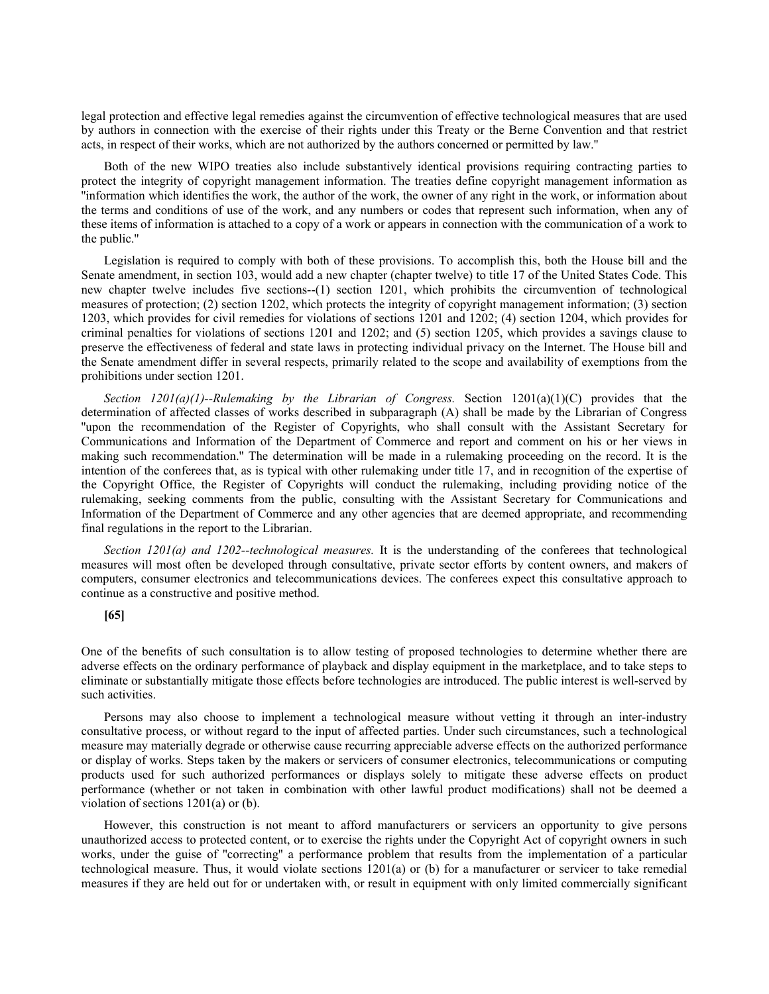legal protection and effective legal remedies against the circumvention of effective technological measures that are used by authors in connection with the exercise of their rights under this Treaty or the Berne Convention and that restrict acts, in respect of their works, which are not authorized by the authors concerned or permitted by law.''

Both of the new WIPO treaties also include substantively identical provisions requiring contracting parties to protect the integrity of copyright management information. The treaties define copyright management information as ''information which identifies the work, the author of the work, the owner of any right in the work, or information about the terms and conditions of use of the work, and any numbers or codes that represent such information, when any of these items of information is attached to a copy of a work or appears in connection with the communication of a work to the public.''

Legislation is required to comply with both of these provisions. To accomplish this, both the House bill and the Senate amendment, in section 103, would add a new chapter (chapter twelve) to title 17 of the United States Code. This new chapter twelve includes five sections--(1) section 1201, which prohibits the circumvention of technological measures of protection; (2) section 1202, which protects the integrity of copyright management information; (3) section 1203, which provides for civil remedies for violations of sections 1201 and 1202; (4) section 1204, which provides for criminal penalties for violations of sections 1201 and 1202; and (5) section 1205, which provides a savings clause to preserve the effectiveness of federal and state laws in protecting individual privacy on the Internet. The House bill and the Senate amendment differ in several respects, primarily related to the scope and availability of exemptions from the prohibitions under section 1201.

*Section 1201(a)(1)--Rulemaking by the Librarian of Congress.* Section 1201(a)(1)(C) provides that the determination of affected classes of works described in subparagraph (A) shall be made by the Librarian of Congress ''upon the recommendation of the Register of Copyrights, who shall consult with the Assistant Secretary for Communications and Information of the Department of Commerce and report and comment on his or her views in making such recommendation.'' The determination will be made in a rulemaking proceeding on the record. It is the intention of the conferees that, as is typical with other rulemaking under title 17, and in recognition of the expertise of the Copyright Office, the Register of Copyrights will conduct the rulemaking, including providing notice of the rulemaking, seeking comments from the public, consulting with the Assistant Secretary for Communications and Information of the Department of Commerce and any other agencies that are deemed appropriate, and recommending final regulations in the report to the Librarian.

*Section 1201(a) and 1202--technological measures.* It is the understanding of the conferees that technological measures will most often be developed through consultative, private sector efforts by content owners, and makers of computers, consumer electronics and telecommunications devices. The conferees expect this consultative approach to continue as a constructive and positive method.

## **[65]**

One of the benefits of such consultation is to allow testing of proposed technologies to determine whether there are adverse effects on the ordinary performance of playback and display equipment in the marketplace, and to take steps to eliminate or substantially mitigate those effects before technologies are introduced. The public interest is well-served by such activities.

Persons may also choose to implement a technological measure without vetting it through an inter-industry consultative process, or without regard to the input of affected parties. Under such circumstances, such a technological measure may materially degrade or otherwise cause recurring appreciable adverse effects on the authorized performance or display of works. Steps taken by the makers or servicers of consumer electronics, telecommunications or computing products used for such authorized performances or displays solely to mitigate these adverse effects on product performance (whether or not taken in combination with other lawful product modifications) shall not be deemed a violation of sections 1201(a) or (b).

However, this construction is not meant to afford manufacturers or servicers an opportunity to give persons unauthorized access to protected content, or to exercise the rights under the Copyright Act of copyright owners in such works, under the guise of ''correcting'' a performance problem that results from the implementation of a particular technological measure. Thus, it would violate sections 1201(a) or (b) for a manufacturer or servicer to take remedial measures if they are held out for or undertaken with, or result in equipment with only limited commercially significant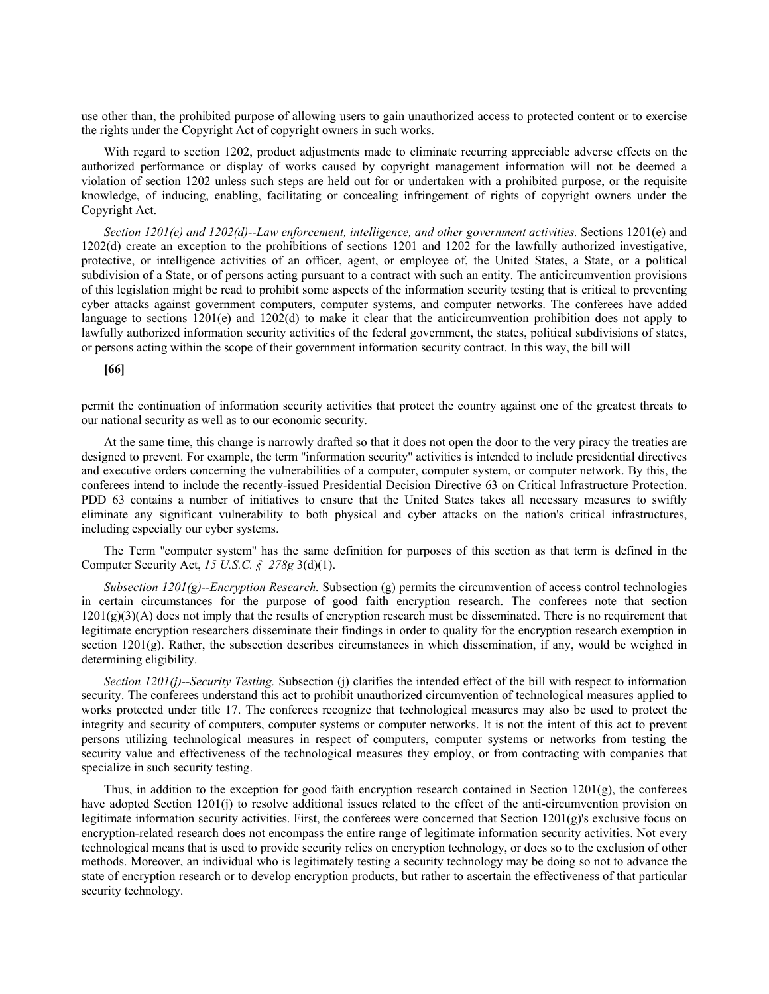use other than, the prohibited purpose of allowing users to gain unauthorized access to protected content or to exercise the rights under the Copyright Act of copyright owners in such works.

With regard to section 1202, product adjustments made to eliminate recurring appreciable adverse effects on the authorized performance or display of works caused by copyright management information will not be deemed a violation of section 1202 unless such steps are held out for or undertaken with a prohibited purpose, or the requisite knowledge, of inducing, enabling, facilitating or concealing infringement of rights of copyright owners under the Copyright Act.

*Section 1201(e) and 1202(d)--Law enforcement, intelligence, and other government activities.* Sections 1201(e) and 1202(d) create an exception to the prohibitions of sections 1201 and 1202 for the lawfully authorized investigative, protective, or intelligence activities of an officer, agent, or employee of, the United States, a State, or a political subdivision of a State, or of persons acting pursuant to a contract with such an entity. The anticircumvention provisions of this legislation might be read to prohibit some aspects of the information security testing that is critical to preventing cyber attacks against government computers, computer systems, and computer networks. The conferees have added language to sections 1201(e) and 1202(d) to make it clear that the anticircumvention prohibition does not apply to lawfully authorized information security activities of the federal government, the states, political subdivisions of states, or persons acting within the scope of their government information security contract. In this way, the bill will

**[66]**

permit the continuation of information security activities that protect the country against one of the greatest threats to our national security as well as to our economic security.

At the same time, this change is narrowly drafted so that it does not open the door to the very piracy the treaties are designed to prevent. For example, the term ''information security'' activities is intended to include presidential directives and executive orders concerning the vulnerabilities of a computer, computer system, or computer network. By this, the conferees intend to include the recently-issued Presidential Decision Directive 63 on Critical Infrastructure Protection. PDD 63 contains a number of initiatives to ensure that the United States takes all necessary measures to swiftly eliminate any significant vulnerability to both physical and cyber attacks on the nation's critical infrastructures, including especially our cyber systems.

The Term ''computer system'' has the same definition for purposes of this section as that term is defined in the Computer Security Act, *15 U.S.C. § 278g* 3(d)(1).

*Subsection 1201(g)--Encryption Research.* Subsection (g) permits the circumvention of access control technologies in certain circumstances for the purpose of good faith encryption research. The conferees note that section  $1201(g)(3)(A)$  does not imply that the results of encryption research must be disseminated. There is no requirement that legitimate encryption researchers disseminate their findings in order to quality for the encryption research exemption in section  $1201(g)$ . Rather, the subsection describes circumstances in which dissemination, if any, would be weighed in determining eligibility.

*Section 1201(j)--Security Testing.* Subsection (j) clarifies the intended effect of the bill with respect to information security. The conferees understand this act to prohibit unauthorized circumvention of technological measures applied to works protected under title 17. The conferees recognize that technological measures may also be used to protect the integrity and security of computers, computer systems or computer networks. It is not the intent of this act to prevent persons utilizing technological measures in respect of computers, computer systems or networks from testing the security value and effectiveness of the technological measures they employ, or from contracting with companies that specialize in such security testing.

Thus, in addition to the exception for good faith encryption research contained in Section  $1201(g)$ , the conferees have adopted Section 1201(j) to resolve additional issues related to the effect of the anti-circumvention provision on legitimate information security activities. First, the conferees were concerned that Section 1201(g)'s exclusive focus on encryption-related research does not encompass the entire range of legitimate information security activities. Not every technological means that is used to provide security relies on encryption technology, or does so to the exclusion of other methods. Moreover, an individual who is legitimately testing a security technology may be doing so not to advance the state of encryption research or to develop encryption products, but rather to ascertain the effectiveness of that particular security technology.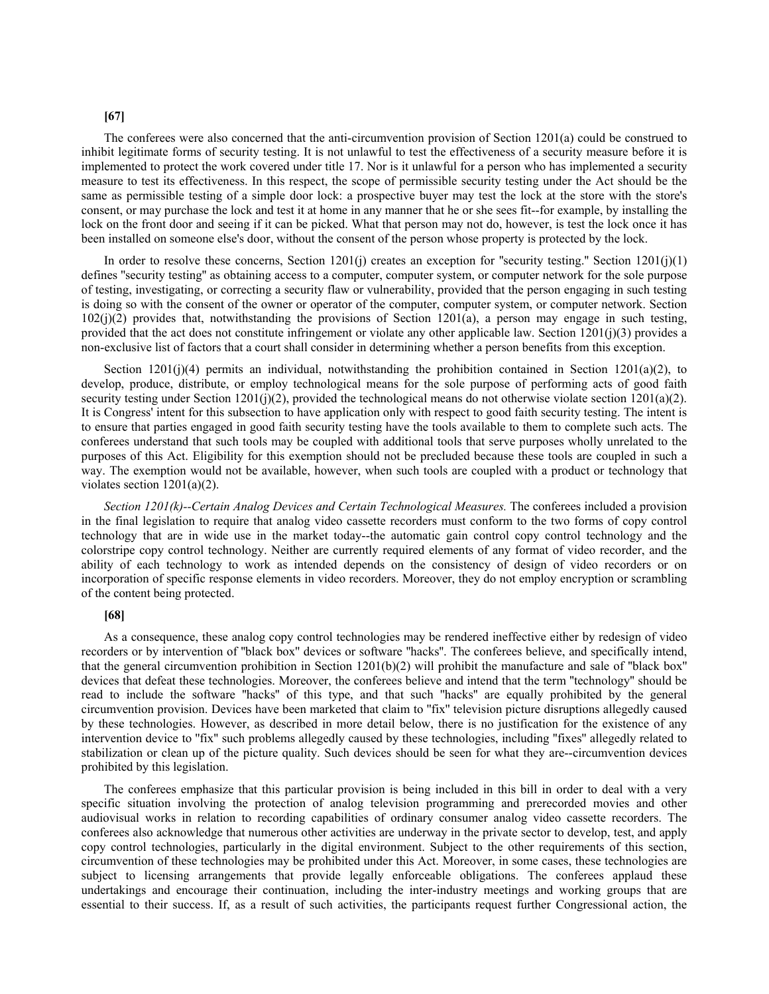## **[67]**

The conferees were also concerned that the anti-circumvention provision of Section 1201(a) could be construed to inhibit legitimate forms of security testing. It is not unlawful to test the effectiveness of a security measure before it is implemented to protect the work covered under title 17. Nor is it unlawful for a person who has implemented a security measure to test its effectiveness. In this respect, the scope of permissible security testing under the Act should be the same as permissible testing of a simple door lock: a prospective buyer may test the lock at the store with the store's consent, or may purchase the lock and test it at home in any manner that he or she sees fit--for example, by installing the lock on the front door and seeing if it can be picked. What that person may not do, however, is test the lock once it has been installed on someone else's door, without the consent of the person whose property is protected by the lock.

In order to resolve these concerns, Section  $1201(i)$  creates an exception for "security testing." Section  $1201(i)(1)$ defines "security testing" as obtaining access to a computer, computer system, or computer network for the sole purpose of testing, investigating, or correcting a security flaw or vulnerability, provided that the person engaging in such testing is doing so with the consent of the owner or operator of the computer, computer system, or computer network. Section  $102(j)(2)$  provides that, notwithstanding the provisions of Section 1201(a), a person may engage in such testing, provided that the act does not constitute infringement or violate any other applicable law. Section 1201(j)(3) provides a non-exclusive list of factors that a court shall consider in determining whether a person benefits from this exception.

Section  $1201(j)(4)$  permits an individual, notwithstanding the prohibition contained in Section  $1201(a)(2)$ , to develop, produce, distribute, or employ technological means for the sole purpose of performing acts of good faith security testing under Section 1201(j)(2), provided the technological means do not otherwise violate section 1201(a)(2). It is Congress' intent for this subsection to have application only with respect to good faith security testing. The intent is to ensure that parties engaged in good faith security testing have the tools available to them to complete such acts. The conferees understand that such tools may be coupled with additional tools that serve purposes wholly unrelated to the purposes of this Act. Eligibility for this exemption should not be precluded because these tools are coupled in such a way. The exemption would not be available, however, when such tools are coupled with a product or technology that violates section 1201(a)(2).

*Section 1201(k)--Certain Analog Devices and Certain Technological Measures.* The conferees included a provision in the final legislation to require that analog video cassette recorders must conform to the two forms of copy control technology that are in wide use in the market today--the automatic gain control copy control technology and the colorstripe copy control technology. Neither are currently required elements of any format of video recorder, and the ability of each technology to work as intended depends on the consistency of design of video recorders or on incorporation of specific response elements in video recorders. Moreover, they do not employ encryption or scrambling of the content being protected.

## **[68]**

As a consequence, these analog copy control technologies may be rendered ineffective either by redesign of video recorders or by intervention of ''black box'' devices or software ''hacks''. The conferees believe, and specifically intend, that the general circumvention prohibition in Section 1201(b)(2) will prohibit the manufacture and sale of ''black box'' devices that defeat these technologies. Moreover, the conferees believe and intend that the term ''technology'' should be read to include the software ''hacks'' of this type, and that such ''hacks'' are equally prohibited by the general circumvention provision. Devices have been marketed that claim to ''fix'' television picture disruptions allegedly caused by these technologies. However, as described in more detail below, there is no justification for the existence of any intervention device to ''fix'' such problems allegedly caused by these technologies, including ''fixes'' allegedly related to stabilization or clean up of the picture quality. Such devices should be seen for what they are--circumvention devices prohibited by this legislation.

The conferees emphasize that this particular provision is being included in this bill in order to deal with a very specific situation involving the protection of analog television programming and prerecorded movies and other audiovisual works in relation to recording capabilities of ordinary consumer analog video cassette recorders. The conferees also acknowledge that numerous other activities are underway in the private sector to develop, test, and apply copy control technologies, particularly in the digital environment. Subject to the other requirements of this section, circumvention of these technologies may be prohibited under this Act. Moreover, in some cases, these technologies are subject to licensing arrangements that provide legally enforceable obligations. The conferees applaud these undertakings and encourage their continuation, including the inter-industry meetings and working groups that are essential to their success. If, as a result of such activities, the participants request further Congressional action, the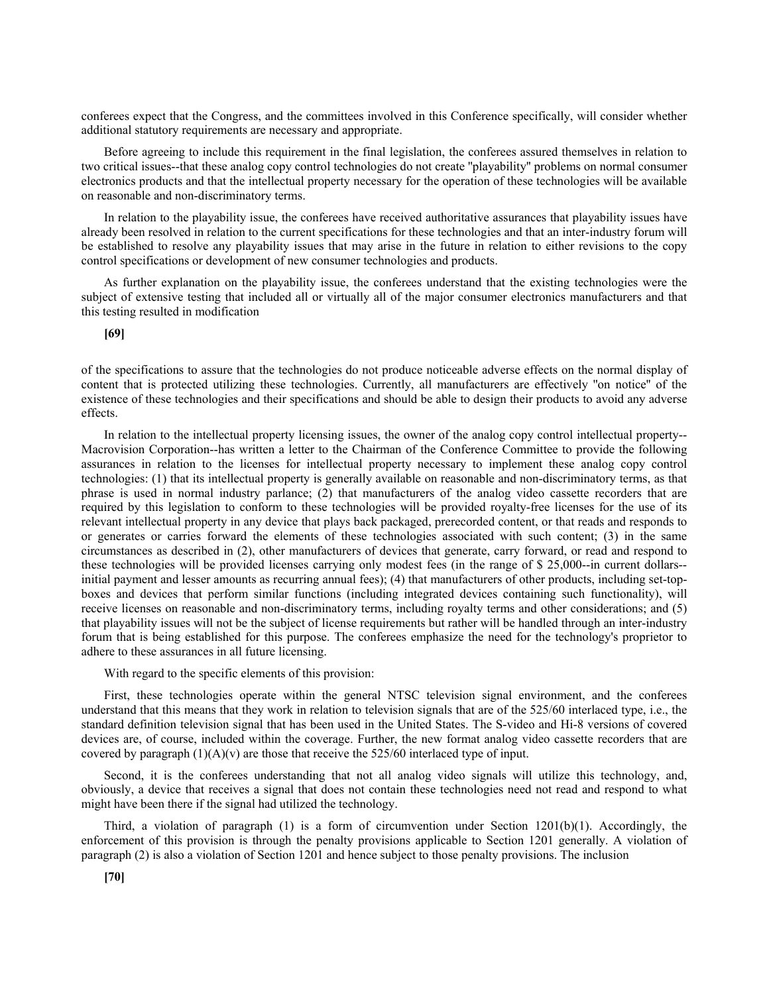conferees expect that the Congress, and the committees involved in this Conference specifically, will consider whether additional statutory requirements are necessary and appropriate.

Before agreeing to include this requirement in the final legislation, the conferees assured themselves in relation to two critical issues--that these analog copy control technologies do not create ''playability'' problems on normal consumer electronics products and that the intellectual property necessary for the operation of these technologies will be available on reasonable and non-discriminatory terms.

In relation to the playability issue, the conferees have received authoritative assurances that playability issues have already been resolved in relation to the current specifications for these technologies and that an inter-industry forum will be established to resolve any playability issues that may arise in the future in relation to either revisions to the copy control specifications or development of new consumer technologies and products.

As further explanation on the playability issue, the conferees understand that the existing technologies were the subject of extensive testing that included all or virtually all of the major consumer electronics manufacturers and that this testing resulted in modification

**[69]**

of the specifications to assure that the technologies do not produce noticeable adverse effects on the normal display of content that is protected utilizing these technologies. Currently, all manufacturers are effectively ''on notice'' of the existence of these technologies and their specifications and should be able to design their products to avoid any adverse effects.

In relation to the intellectual property licensing issues, the owner of the analog copy control intellectual property-- Macrovision Corporation--has written a letter to the Chairman of the Conference Committee to provide the following assurances in relation to the licenses for intellectual property necessary to implement these analog copy control technologies: (1) that its intellectual property is generally available on reasonable and non-discriminatory terms, as that phrase is used in normal industry parlance; (2) that manufacturers of the analog video cassette recorders that are required by this legislation to conform to these technologies will be provided royalty-free licenses for the use of its relevant intellectual property in any device that plays back packaged, prerecorded content, or that reads and responds to or generates or carries forward the elements of these technologies associated with such content; (3) in the same circumstances as described in (2), other manufacturers of devices that generate, carry forward, or read and respond to these technologies will be provided licenses carrying only modest fees (in the range of \$ 25,000--in current dollars- initial payment and lesser amounts as recurring annual fees); (4) that manufacturers of other products, including set-topboxes and devices that perform similar functions (including integrated devices containing such functionality), will receive licenses on reasonable and non-discriminatory terms, including royalty terms and other considerations; and (5) that playability issues will not be the subject of license requirements but rather will be handled through an inter-industry forum that is being established for this purpose. The conferees emphasize the need for the technology's proprietor to adhere to these assurances in all future licensing.

With regard to the specific elements of this provision:

First, these technologies operate within the general NTSC television signal environment, and the conferees understand that this means that they work in relation to television signals that are of the 525/60 interlaced type, i.e., the standard definition television signal that has been used in the United States. The S-video and Hi-8 versions of covered devices are, of course, included within the coverage. Further, the new format analog video cassette recorders that are covered by paragraph  $(1)(A)(v)$  are those that receive the 525/60 interlaced type of input.

Second, it is the conferees understanding that not all analog video signals will utilize this technology, and, obviously, a device that receives a signal that does not contain these technologies need not read and respond to what might have been there if the signal had utilized the technology.

Third, a violation of paragraph  $(1)$  is a form of circumvention under Section 1201(b) $(1)$ . Accordingly, the enforcement of this provision is through the penalty provisions applicable to Section 1201 generally. A violation of paragraph (2) is also a violation of Section 1201 and hence subject to those penalty provisions. The inclusion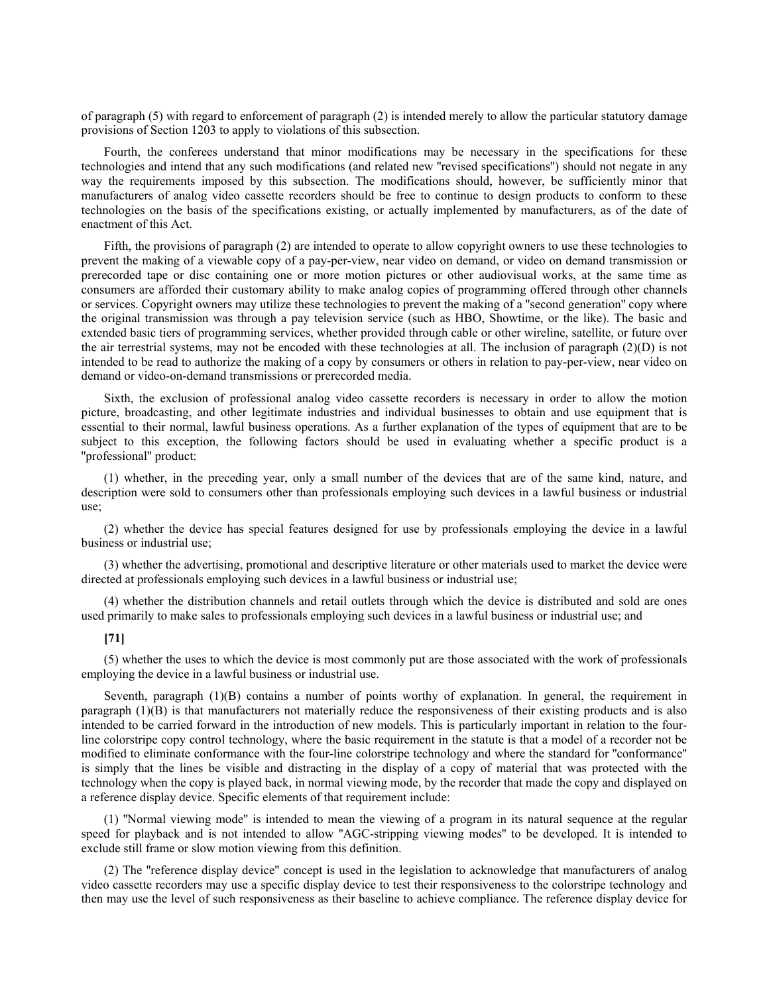of paragraph (5) with regard to enforcement of paragraph (2) is intended merely to allow the particular statutory damage provisions of Section 1203 to apply to violations of this subsection.

Fourth, the conferees understand that minor modifications may be necessary in the specifications for these technologies and intend that any such modifications (and related new ''revised specifications'') should not negate in any way the requirements imposed by this subsection. The modifications should, however, be sufficiently minor that manufacturers of analog video cassette recorders should be free to continue to design products to conform to these technologies on the basis of the specifications existing, or actually implemented by manufacturers, as of the date of enactment of this Act.

Fifth, the provisions of paragraph (2) are intended to operate to allow copyright owners to use these technologies to prevent the making of a viewable copy of a pay-per-view, near video on demand, or video on demand transmission or prerecorded tape or disc containing one or more motion pictures or other audiovisual works, at the same time as consumers are afforded their customary ability to make analog copies of programming offered through other channels or services. Copyright owners may utilize these technologies to prevent the making of a ''second generation'' copy where the original transmission was through a pay television service (such as HBO, Showtime, or the like). The basic and extended basic tiers of programming services, whether provided through cable or other wireline, satellite, or future over the air terrestrial systems, may not be encoded with these technologies at all. The inclusion of paragraph  $(2)(D)$  is not intended to be read to authorize the making of a copy by consumers or others in relation to pay-per-view, near video on demand or video-on-demand transmissions or prerecorded media.

Sixth, the exclusion of professional analog video cassette recorders is necessary in order to allow the motion picture, broadcasting, and other legitimate industries and individual businesses to obtain and use equipment that is essential to their normal, lawful business operations. As a further explanation of the types of equipment that are to be subject to this exception, the following factors should be used in evaluating whether a specific product is a ''professional'' product:

(1) whether, in the preceding year, only a small number of the devices that are of the same kind, nature, and description were sold to consumers other than professionals employing such devices in a lawful business or industrial use;

(2) whether the device has special features designed for use by professionals employing the device in a lawful business or industrial use;

(3) whether the advertising, promotional and descriptive literature or other materials used to market the device were directed at professionals employing such devices in a lawful business or industrial use;

(4) whether the distribution channels and retail outlets through which the device is distributed and sold are ones used primarily to make sales to professionals employing such devices in a lawful business or industrial use; and

### **[71]**

(5) whether the uses to which the device is most commonly put are those associated with the work of professionals employing the device in a lawful business or industrial use.

Seventh, paragraph (1)(B) contains a number of points worthy of explanation. In general, the requirement in paragraph (1)(B) is that manufacturers not materially reduce the responsiveness of their existing products and is also intended to be carried forward in the introduction of new models. This is particularly important in relation to the fourline colorstripe copy control technology, where the basic requirement in the statute is that a model of a recorder not be modified to eliminate conformance with the four-line colorstripe technology and where the standard for ''conformance'' is simply that the lines be visible and distracting in the display of a copy of material that was protected with the technology when the copy is played back, in normal viewing mode, by the recorder that made the copy and displayed on a reference display device. Specific elements of that requirement include:

(1) ''Normal viewing mode'' is intended to mean the viewing of a program in its natural sequence at the regular speed for playback and is not intended to allow ''AGC-stripping viewing modes'' to be developed. It is intended to exclude still frame or slow motion viewing from this definition.

(2) The ''reference display device'' concept is used in the legislation to acknowledge that manufacturers of analog video cassette recorders may use a specific display device to test their responsiveness to the colorstripe technology and then may use the level of such responsiveness as their baseline to achieve compliance. The reference display device for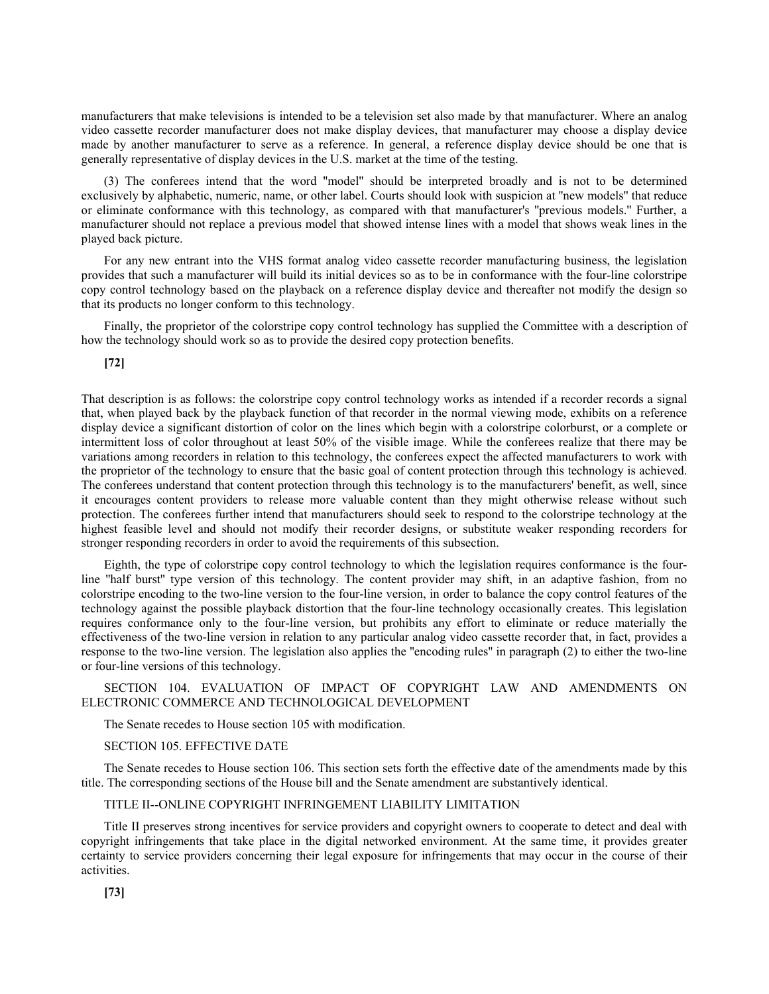manufacturers that make televisions is intended to be a television set also made by that manufacturer. Where an analog video cassette recorder manufacturer does not make display devices, that manufacturer may choose a display device made by another manufacturer to serve as a reference. In general, a reference display device should be one that is generally representative of display devices in the U.S. market at the time of the testing.

(3) The conferees intend that the word ''model'' should be interpreted broadly and is not to be determined exclusively by alphabetic, numeric, name, or other label. Courts should look with suspicion at ''new models'' that reduce or eliminate conformance with this technology, as compared with that manufacturer's ''previous models.'' Further, a manufacturer should not replace a previous model that showed intense lines with a model that shows weak lines in the played back picture.

For any new entrant into the VHS format analog video cassette recorder manufacturing business, the legislation provides that such a manufacturer will build its initial devices so as to be in conformance with the four-line colorstripe copy control technology based on the playback on a reference display device and thereafter not modify the design so that its products no longer conform to this technology.

Finally, the proprietor of the colorstripe copy control technology has supplied the Committee with a description of how the technology should work so as to provide the desired copy protection benefits.

**[72]**

That description is as follows: the colorstripe copy control technology works as intended if a recorder records a signal that, when played back by the playback function of that recorder in the normal viewing mode, exhibits on a reference display device a significant distortion of color on the lines which begin with a colorstripe colorburst, or a complete or intermittent loss of color throughout at least 50% of the visible image. While the conferees realize that there may be variations among recorders in relation to this technology, the conferees expect the affected manufacturers to work with the proprietor of the technology to ensure that the basic goal of content protection through this technology is achieved. The conferees understand that content protection through this technology is to the manufacturers' benefit, as well, since it encourages content providers to release more valuable content than they might otherwise release without such protection. The conferees further intend that manufacturers should seek to respond to the colorstripe technology at the highest feasible level and should not modify their recorder designs, or substitute weaker responding recorders for stronger responding recorders in order to avoid the requirements of this subsection.

Eighth, the type of colorstripe copy control technology to which the legislation requires conformance is the fourline ''half burst'' type version of this technology. The content provider may shift, in an adaptive fashion, from no colorstripe encoding to the two-line version to the four-line version, in order to balance the copy control features of the technology against the possible playback distortion that the four-line technology occasionally creates. This legislation requires conformance only to the four-line version, but prohibits any effort to eliminate or reduce materially the effectiveness of the two-line version in relation to any particular analog video cassette recorder that, in fact, provides a response to the two-line version. The legislation also applies the ''encoding rules'' in paragraph (2) to either the two-line or four-line versions of this technology.

# SECTION 104. EVALUATION OF IMPACT OF COPYRIGHT LAW AND AMENDMENTS ON ELECTRONIC COMMERCE AND TECHNOLOGICAL DEVELOPMENT

The Senate recedes to House section 105 with modification.

## SECTION 105. EFFECTIVE DATE

The Senate recedes to House section 106. This section sets forth the effective date of the amendments made by this title. The corresponding sections of the House bill and the Senate amendment are substantively identical.

#### TITLE II--ONLINE COPYRIGHT INFRINGEMENT LIABILITY LIMITATION

Title II preserves strong incentives for service providers and copyright owners to cooperate to detect and deal with copyright infringements that take place in the digital networked environment. At the same time, it provides greater certainty to service providers concerning their legal exposure for infringements that may occur in the course of their activities.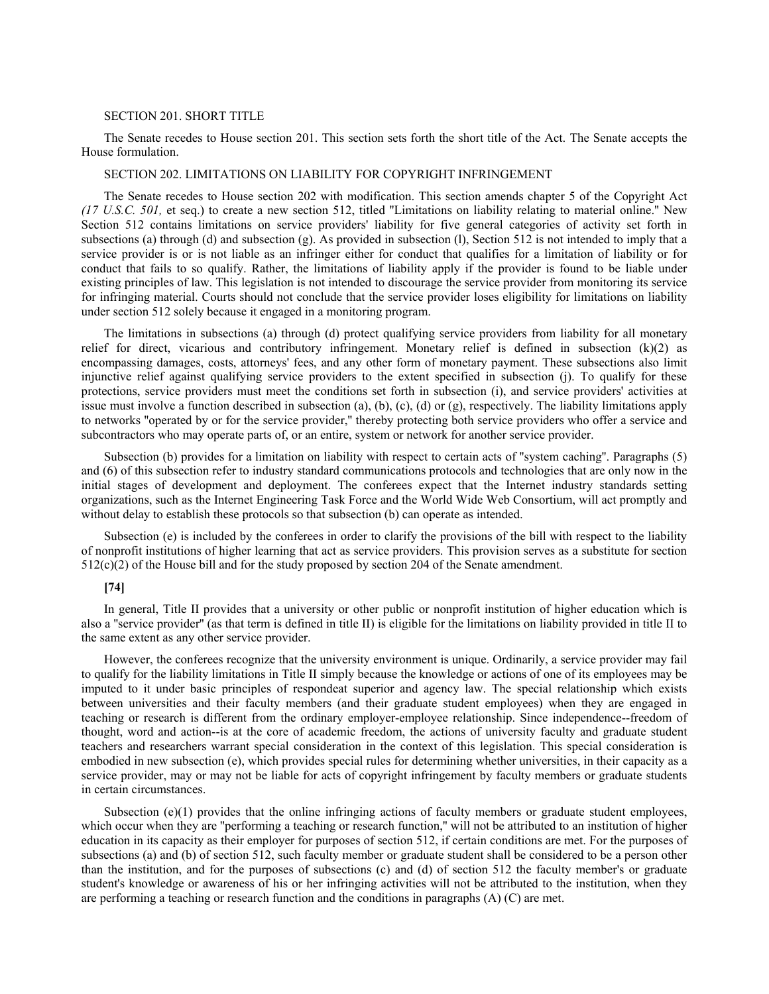#### SECTION 201. SHORT TITLE

The Senate recedes to House section 201. This section sets forth the short title of the Act. The Senate accepts the House formulation.

# SECTION 202. LIMITATIONS ON LIABILITY FOR COPYRIGHT INFRINGEMENT

The Senate recedes to House section 202 with modification. This section amends chapter 5 of the Copyright Act *(17 U.S.C. 501,* et seq.) to create a new section 512, titled ''Limitations on liability relating to material online.'' New Section 512 contains limitations on service providers' liability for five general categories of activity set forth in subsections (a) through (d) and subsection (g). As provided in subsection (l), Section 512 is not intended to imply that a service provider is or is not liable as an infringer either for conduct that qualifies for a limitation of liability or for conduct that fails to so qualify. Rather, the limitations of liability apply if the provider is found to be liable under existing principles of law. This legislation is not intended to discourage the service provider from monitoring its service for infringing material. Courts should not conclude that the service provider loses eligibility for limitations on liability under section 512 solely because it engaged in a monitoring program.

The limitations in subsections (a) through (d) protect qualifying service providers from liability for all monetary relief for direct, vicarious and contributory infringement. Monetary relief is defined in subsection (k)(2) as encompassing damages, costs, attorneys' fees, and any other form of monetary payment. These subsections also limit injunctive relief against qualifying service providers to the extent specified in subsection (j). To qualify for these protections, service providers must meet the conditions set forth in subsection (i), and service providers' activities at issue must involve a function described in subsection (a), (b), (c), (d) or (g), respectively. The liability limitations apply to networks ''operated by or for the service provider,'' thereby protecting both service providers who offer a service and subcontractors who may operate parts of, or an entire, system or network for another service provider.

Subsection (b) provides for a limitation on liability with respect to certain acts of ''system caching''. Paragraphs (5) and (6) of this subsection refer to industry standard communications protocols and technologies that are only now in the initial stages of development and deployment. The conferees expect that the Internet industry standards setting organizations, such as the Internet Engineering Task Force and the World Wide Web Consortium, will act promptly and without delay to establish these protocols so that subsection (b) can operate as intended.

Subsection (e) is included by the conferees in order to clarify the provisions of the bill with respect to the liability of nonprofit institutions of higher learning that act as service providers. This provision serves as a substitute for section  $512(c)(2)$  of the House bill and for the study proposed by section 204 of the Senate amendment.

## **[74]**

In general, Title II provides that a university or other public or nonprofit institution of higher education which is also a ''service provider'' (as that term is defined in title II) is eligible for the limitations on liability provided in title II to the same extent as any other service provider.

However, the conferees recognize that the university environment is unique. Ordinarily, a service provider may fail to qualify for the liability limitations in Title II simply because the knowledge or actions of one of its employees may be imputed to it under basic principles of respondeat superior and agency law. The special relationship which exists between universities and their faculty members (and their graduate student employees) when they are engaged in teaching or research is different from the ordinary employer-employee relationship. Since independence--freedom of thought, word and action--is at the core of academic freedom, the actions of university faculty and graduate student teachers and researchers warrant special consideration in the context of this legislation. This special consideration is embodied in new subsection (e), which provides special rules for determining whether universities, in their capacity as a service provider, may or may not be liable for acts of copyright infringement by faculty members or graduate students in certain circumstances.

Subsection  $(e)(1)$  provides that the online infringing actions of faculty members or graduate student employees, which occur when they are "performing a teaching or research function," will not be attributed to an institution of higher education in its capacity as their employer for purposes of section 512, if certain conditions are met. For the purposes of subsections (a) and (b) of section 512, such faculty member or graduate student shall be considered to be a person other than the institution, and for the purposes of subsections (c) and (d) of section 512 the faculty member's or graduate student's knowledge or awareness of his or her infringing activities will not be attributed to the institution, when they are performing a teaching or research function and the conditions in paragraphs (A) (C) are met.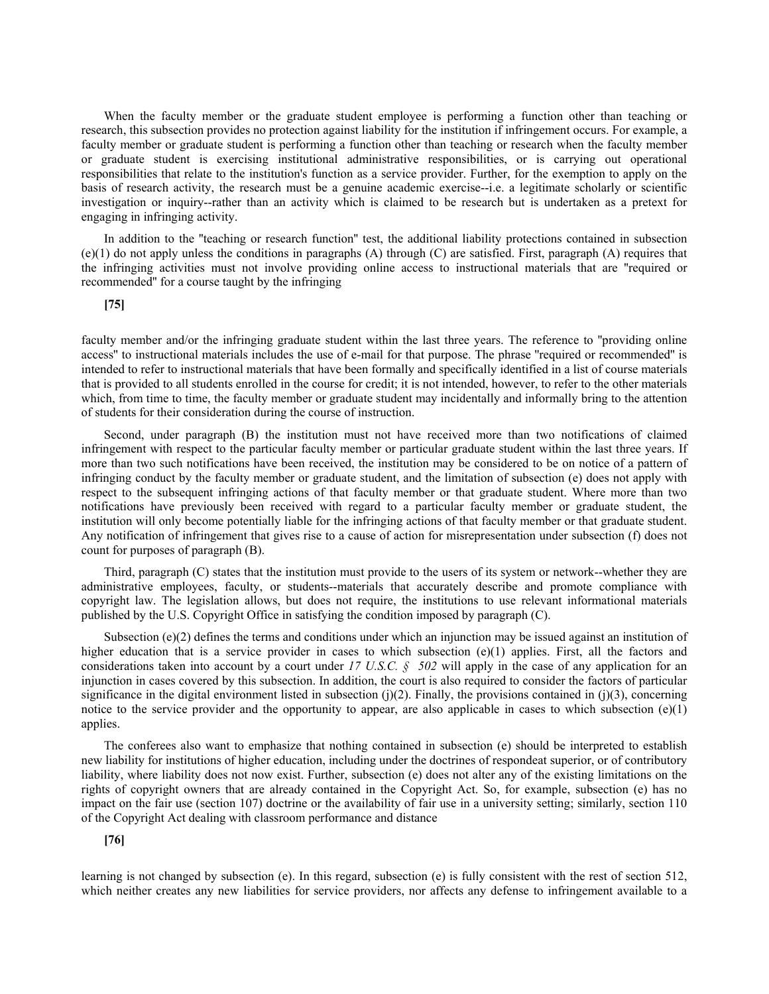When the faculty member or the graduate student employee is performing a function other than teaching or research, this subsection provides no protection against liability for the institution if infringement occurs. For example, a faculty member or graduate student is performing a function other than teaching or research when the faculty member or graduate student is exercising institutional administrative responsibilities, or is carrying out operational responsibilities that relate to the institution's function as a service provider. Further, for the exemption to apply on the basis of research activity, the research must be a genuine academic exercise--i.e. a legitimate scholarly or scientific investigation or inquiry--rather than an activity which is claimed to be research but is undertaken as a pretext for engaging in infringing activity.

In addition to the ''teaching or research function'' test, the additional liability protections contained in subsection  $(e)(1)$  do not apply unless the conditions in paragraphs  $(A)$  through  $(C)$  are satisfied. First, paragraph  $(A)$  requires that the infringing activities must not involve providing online access to instructional materials that are ''required or recommended'' for a course taught by the infringing

**[75]**

faculty member and/or the infringing graduate student within the last three years. The reference to "providing online" access'' to instructional materials includes the use of e-mail for that purpose. The phrase ''required or recommended'' is intended to refer to instructional materials that have been formally and specifically identified in a list of course materials that is provided to all students enrolled in the course for credit; it is not intended, however, to refer to the other materials which, from time to time, the faculty member or graduate student may incidentally and informally bring to the attention of students for their consideration during the course of instruction.

Second, under paragraph (B) the institution must not have received more than two notifications of claimed infringement with respect to the particular faculty member or particular graduate student within the last three years. If more than two such notifications have been received, the institution may be considered to be on notice of a pattern of infringing conduct by the faculty member or graduate student, and the limitation of subsection (e) does not apply with respect to the subsequent infringing actions of that faculty member or that graduate student. Where more than two notifications have previously been received with regard to a particular faculty member or graduate student, the institution will only become potentially liable for the infringing actions of that faculty member or that graduate student. Any notification of infringement that gives rise to a cause of action for misrepresentation under subsection (f) does not count for purposes of paragraph (B).

Third, paragraph (C) states that the institution must provide to the users of its system or network--whether they are administrative employees, faculty, or students--materials that accurately describe and promote compliance with copyright law. The legislation allows, but does not require, the institutions to use relevant informational materials published by the U.S. Copyright Office in satisfying the condition imposed by paragraph (C).

Subsection  $(e)(2)$  defines the terms and conditions under which an injunction may be issued against an institution of higher education that is a service provider in cases to which subsection  $(e)(1)$  applies. First, all the factors and considerations taken into account by a court under *17 U.S.C. § 502* will apply in the case of any application for an injunction in cases covered by this subsection. In addition, the court is also required to consider the factors of particular significance in the digital environment listed in subsection (j)(2). Finally, the provisions contained in (j)(3), concerning notice to the service provider and the opportunity to appear, are also applicable in cases to which subsection  $(e)(1)$ applies.

The conferees also want to emphasize that nothing contained in subsection (e) should be interpreted to establish new liability for institutions of higher education, including under the doctrines of respondeat superior, or of contributory liability, where liability does not now exist. Further, subsection (e) does not alter any of the existing limitations on the rights of copyright owners that are already contained in the Copyright Act. So, for example, subsection (e) has no impact on the fair use (section 107) doctrine or the availability of fair use in a university setting; similarly, section 110 of the Copyright Act dealing with classroom performance and distance

**[76]**

learning is not changed by subsection (e). In this regard, subsection (e) is fully consistent with the rest of section 512, which neither creates any new liabilities for service providers, nor affects any defense to infringement available to a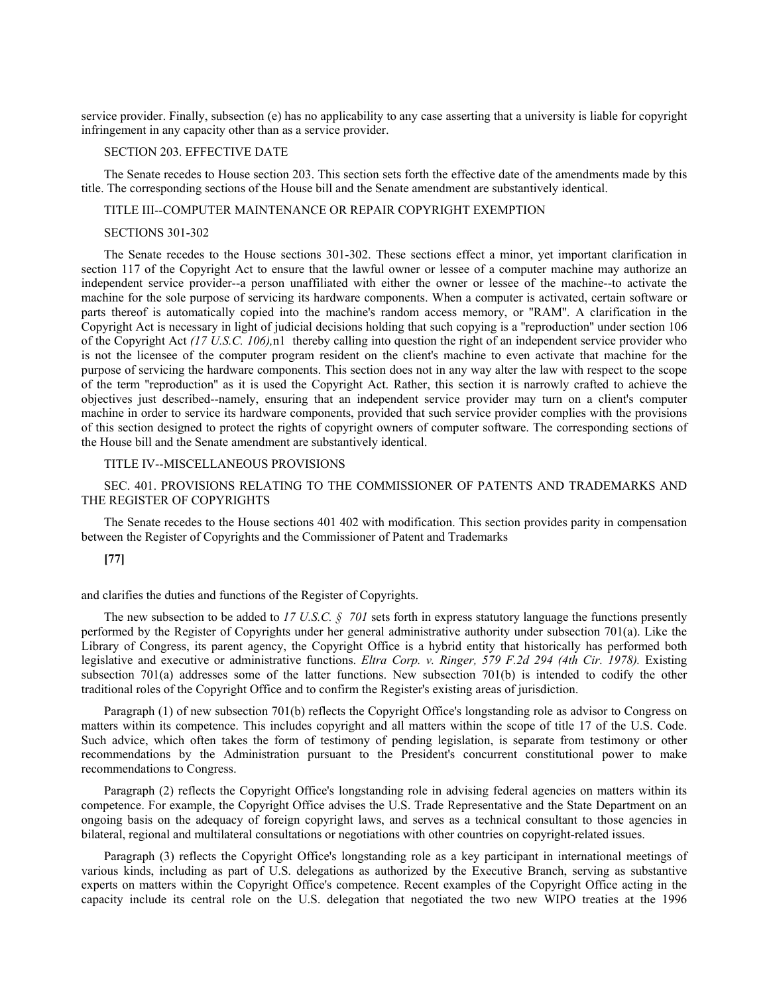service provider. Finally, subsection (e) has no applicability to any case asserting that a university is liable for copyright infringement in any capacity other than as a service provider.

# SECTION 203. EFFECTIVE DATE

The Senate recedes to House section 203. This section sets forth the effective date of the amendments made by this title. The corresponding sections of the House bill and the Senate amendment are substantively identical.

## TITLE III--COMPUTER MAINTENANCE OR REPAIR COPYRIGHT EXEMPTION

#### SECTIONS 301-302

The Senate recedes to the House sections 301-302. These sections effect a minor, yet important clarification in section 117 of the Copyright Act to ensure that the lawful owner or lessee of a computer machine may authorize an independent service provider--a person unaffiliated with either the owner or lessee of the machine--to activate the machine for the sole purpose of servicing its hardware components. When a computer is activated, certain software or parts thereof is automatically copied into the machine's random access memory, or ''RAM''. A clarification in the Copyright Act is necessary in light of judicial decisions holding that such copying is a ''reproduction'' under section 106 of the Copyright Act *(17 U.S.C. 106),*n1 thereby calling into question the right of an independent service provider who is not the licensee of the computer program resident on the client's machine to even activate that machine for the purpose of servicing the hardware components. This section does not in any way alter the law with respect to the scope of the term ''reproduction'' as it is used the Copyright Act. Rather, this section it is narrowly crafted to achieve the objectives just described--namely, ensuring that an independent service provider may turn on a client's computer machine in order to service its hardware components, provided that such service provider complies with the provisions of this section designed to protect the rights of copyright owners of computer software. The corresponding sections of the House bill and the Senate amendment are substantively identical.

### TITLE IV--MISCELLANEOUS PROVISIONS

SEC. 401. PROVISIONS RELATING TO THE COMMISSIONER OF PATENTS AND TRADEMARKS AND THE REGISTER OF COPYRIGHTS

The Senate recedes to the House sections 401 402 with modification. This section provides parity in compensation between the Register of Copyrights and the Commissioner of Patent and Trademarks

### **[77]**

and clarifies the duties and functions of the Register of Copyrights.

The new subsection to be added to *17 U.S.C. § 701* sets forth in express statutory language the functions presently performed by the Register of Copyrights under her general administrative authority under subsection 701(a). Like the Library of Congress, its parent agency, the Copyright Office is a hybrid entity that historically has performed both legislative and executive or administrative functions. *Eltra Corp. v. Ringer, 579 F.2d 294 (4th Cir. 1978).* Existing subsection 701(a) addresses some of the latter functions. New subsection 701(b) is intended to codify the other traditional roles of the Copyright Office and to confirm the Register's existing areas of jurisdiction.

Paragraph (1) of new subsection 701(b) reflects the Copyright Office's longstanding role as advisor to Congress on matters within its competence. This includes copyright and all matters within the scope of title 17 of the U.S. Code. Such advice, which often takes the form of testimony of pending legislation, is separate from testimony or other recommendations by the Administration pursuant to the President's concurrent constitutional power to make recommendations to Congress.

Paragraph (2) reflects the Copyright Office's longstanding role in advising federal agencies on matters within its competence. For example, the Copyright Office advises the U.S. Trade Representative and the State Department on an ongoing basis on the adequacy of foreign copyright laws, and serves as a technical consultant to those agencies in bilateral, regional and multilateral consultations or negotiations with other countries on copyright-related issues.

Paragraph (3) reflects the Copyright Office's longstanding role as a key participant in international meetings of various kinds, including as part of U.S. delegations as authorized by the Executive Branch, serving as substantive experts on matters within the Copyright Office's competence. Recent examples of the Copyright Office acting in the capacity include its central role on the U.S. delegation that negotiated the two new WIPO treaties at the 1996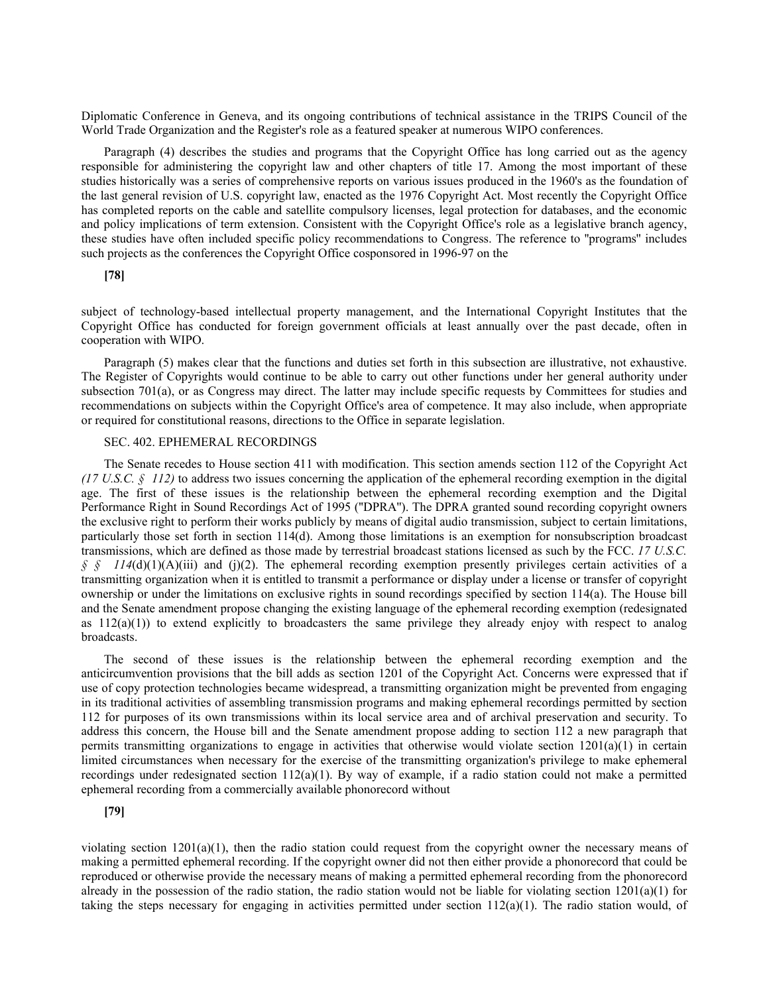Diplomatic Conference in Geneva, and its ongoing contributions of technical assistance in the TRIPS Council of the World Trade Organization and the Register's role as a featured speaker at numerous WIPO conferences.

Paragraph (4) describes the studies and programs that the Copyright Office has long carried out as the agency responsible for administering the copyright law and other chapters of title 17. Among the most important of these studies historically was a series of comprehensive reports on various issues produced in the 1960's as the foundation of the last general revision of U.S. copyright law, enacted as the 1976 Copyright Act. Most recently the Copyright Office has completed reports on the cable and satellite compulsory licenses, legal protection for databases, and the economic and policy implications of term extension. Consistent with the Copyright Office's role as a legislative branch agency, these studies have often included specific policy recommendations to Congress. The reference to ''programs'' includes such projects as the conferences the Copyright Office cosponsored in 1996-97 on the

# **[78]**

subject of technology-based intellectual property management, and the International Copyright Institutes that the Copyright Office has conducted for foreign government officials at least annually over the past decade, often in cooperation with WIPO.

Paragraph (5) makes clear that the functions and duties set forth in this subsection are illustrative, not exhaustive. The Register of Copyrights would continue to be able to carry out other functions under her general authority under subsection 701(a), or as Congress may direct. The latter may include specific requests by Committees for studies and recommendations on subjects within the Copyright Office's area of competence. It may also include, when appropriate or required for constitutional reasons, directions to the Office in separate legislation.

## SEC. 402. EPHEMERAL RECORDINGS

The Senate recedes to House section 411 with modification. This section amends section 112 of the Copyright Act  $(17 \text{ U.S. C. }$   $\frac{6}{5}$   $112)$  to address two issues concerning the application of the ephemeral recording exemption in the digital age. The first of these issues is the relationship between the ephemeral recording exemption and the Digital Performance Right in Sound Recordings Act of 1995 (''DPRA''). The DPRA granted sound recording copyright owners the exclusive right to perform their works publicly by means of digital audio transmission, subject to certain limitations, particularly those set forth in section 114(d). Among those limitations is an exemption for nonsubscription broadcast transmissions, which are defined as those made by terrestrial broadcast stations licensed as such by the FCC. *17 U.S.C. § § 114*(d)(1)(A)(iii) and (j)(2). The ephemeral recording exemption presently privileges certain activities of a transmitting organization when it is entitled to transmit a performance or display under a license or transfer of copyright ownership or under the limitations on exclusive rights in sound recordings specified by section 114(a). The House bill and the Senate amendment propose changing the existing language of the ephemeral recording exemption (redesignated as  $112(a)(1)$ ) to extend explicitly to broadcasters the same privilege they already enjoy with respect to analog broadcasts.

The second of these issues is the relationship between the ephemeral recording exemption and the anticircumvention provisions that the bill adds as section 1201 of the Copyright Act. Concerns were expressed that if use of copy protection technologies became widespread, a transmitting organization might be prevented from engaging in its traditional activities of assembling transmission programs and making ephemeral recordings permitted by section 112 for purposes of its own transmissions within its local service area and of archival preservation and security. To address this concern, the House bill and the Senate amendment propose adding to section 112 a new paragraph that permits transmitting organizations to engage in activities that otherwise would violate section  $1201(a)(1)$  in certain limited circumstances when necessary for the exercise of the transmitting organization's privilege to make ephemeral recordings under redesignated section  $112(a)(1)$ . By way of example, if a radio station could not make a permitted ephemeral recording from a commercially available phonorecord without

# **[79]**

violating section  $1201(a)(1)$ , then the radio station could request from the copyright owner the necessary means of making a permitted ephemeral recording. If the copyright owner did not then either provide a phonorecord that could be reproduced or otherwise provide the necessary means of making a permitted ephemeral recording from the phonorecord already in the possession of the radio station, the radio station would not be liable for violating section  $1201(a)(1)$  for taking the steps necessary for engaging in activities permitted under section  $112(a)(1)$ . The radio station would, of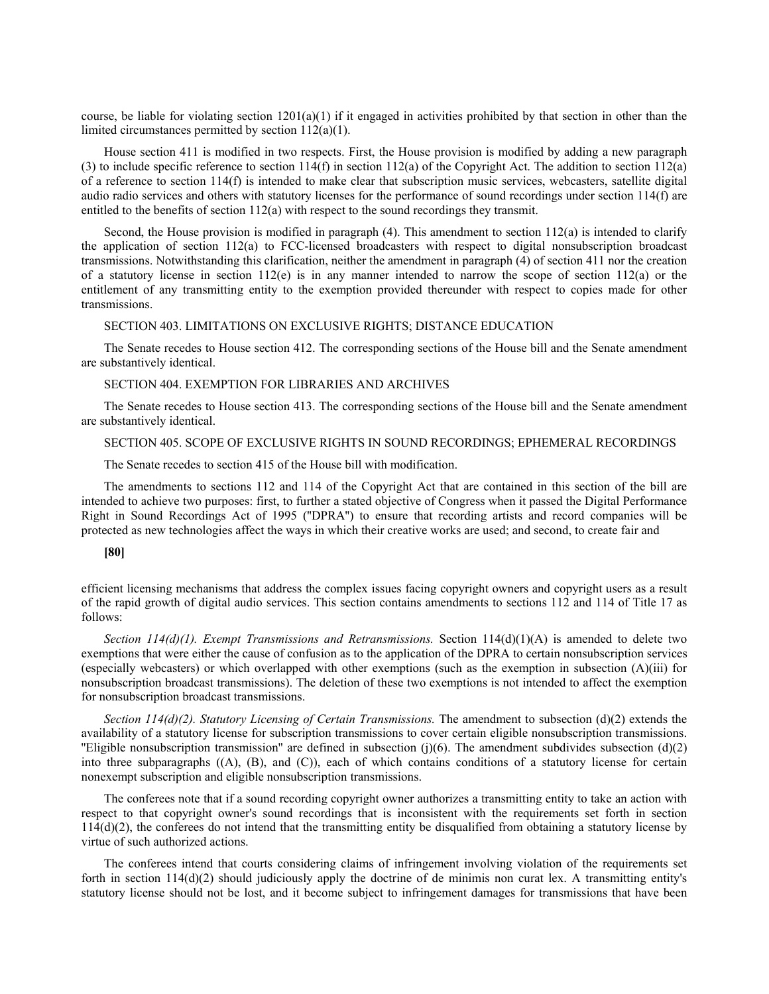course, be liable for violating section  $1201(a)(1)$  if it engaged in activities prohibited by that section in other than the limited circumstances permitted by section 112(a)(1).

House section 411 is modified in two respects. First, the House provision is modified by adding a new paragraph (3) to include specific reference to section 114(f) in section 112(a) of the Copyright Act. The addition to section 112(a) of a reference to section 114(f) is intended to make clear that subscription music services, webcasters, satellite digital audio radio services and others with statutory licenses for the performance of sound recordings under section 114(f) are entitled to the benefits of section  $112(a)$  with respect to the sound recordings they transmit.

Second, the House provision is modified in paragraph  $(4)$ . This amendment to section  $112(a)$  is intended to clarify the application of section 112(a) to FCC-licensed broadcasters with respect to digital nonsubscription broadcast transmissions. Notwithstanding this clarification, neither the amendment in paragraph (4) of section 411 nor the creation of a statutory license in section  $112(e)$  is in any manner intended to narrow the scope of section  $112(a)$  or the entitlement of any transmitting entity to the exemption provided thereunder with respect to copies made for other transmissions.

## SECTION 403. LIMITATIONS ON EXCLUSIVE RIGHTS; DISTANCE EDUCATION

The Senate recedes to House section 412. The corresponding sections of the House bill and the Senate amendment are substantively identical.

#### SECTION 404. EXEMPTION FOR LIBRARIES AND ARCHIVES

The Senate recedes to House section 413. The corresponding sections of the House bill and the Senate amendment are substantively identical.

### SECTION 405. SCOPE OF EXCLUSIVE RIGHTS IN SOUND RECORDINGS; EPHEMERAL RECORDINGS

The Senate recedes to section 415 of the House bill with modification.

The amendments to sections 112 and 114 of the Copyright Act that are contained in this section of the bill are intended to achieve two purposes: first, to further a stated objective of Congress when it passed the Digital Performance Right in Sound Recordings Act of 1995 (''DPRA'') to ensure that recording artists and record companies will be protected as new technologies affect the ways in which their creative works are used; and second, to create fair and

#### **[80]**

efficient licensing mechanisms that address the complex issues facing copyright owners and copyright users as a result of the rapid growth of digital audio services. This section contains amendments to sections 112 and 114 of Title 17 as follows:

*Section 114(d)(1). Exempt Transmissions and Retransmissions.* Section 114(d)(1)(A) is amended to delete two exemptions that were either the cause of confusion as to the application of the DPRA to certain nonsubscription services (especially webcasters) or which overlapped with other exemptions (such as the exemption in subsection (A)(iii) for nonsubscription broadcast transmissions). The deletion of these two exemptions is not intended to affect the exemption for nonsubscription broadcast transmissions.

*Section 114(d)(2). Statutory Licensing of Certain Transmissions.* The amendment to subsection (d)(2) extends the availability of a statutory license for subscription transmissions to cover certain eligible nonsubscription transmissions. "Eligible nonsubscription transmission" are defined in subsection  $(j)(6)$ . The amendment subdivides subsection  $(d)(2)$ into three subparagraphs ((A), (B), and (C)), each of which contains conditions of a statutory license for certain nonexempt subscription and eligible nonsubscription transmissions.

The conferees note that if a sound recording copyright owner authorizes a transmitting entity to take an action with respect to that copyright owner's sound recordings that is inconsistent with the requirements set forth in section 114(d)(2), the conferees do not intend that the transmitting entity be disqualified from obtaining a statutory license by virtue of such authorized actions.

The conferees intend that courts considering claims of infringement involving violation of the requirements set forth in section 114(d)(2) should judiciously apply the doctrine of de minimis non curat lex. A transmitting entity's statutory license should not be lost, and it become subject to infringement damages for transmissions that have been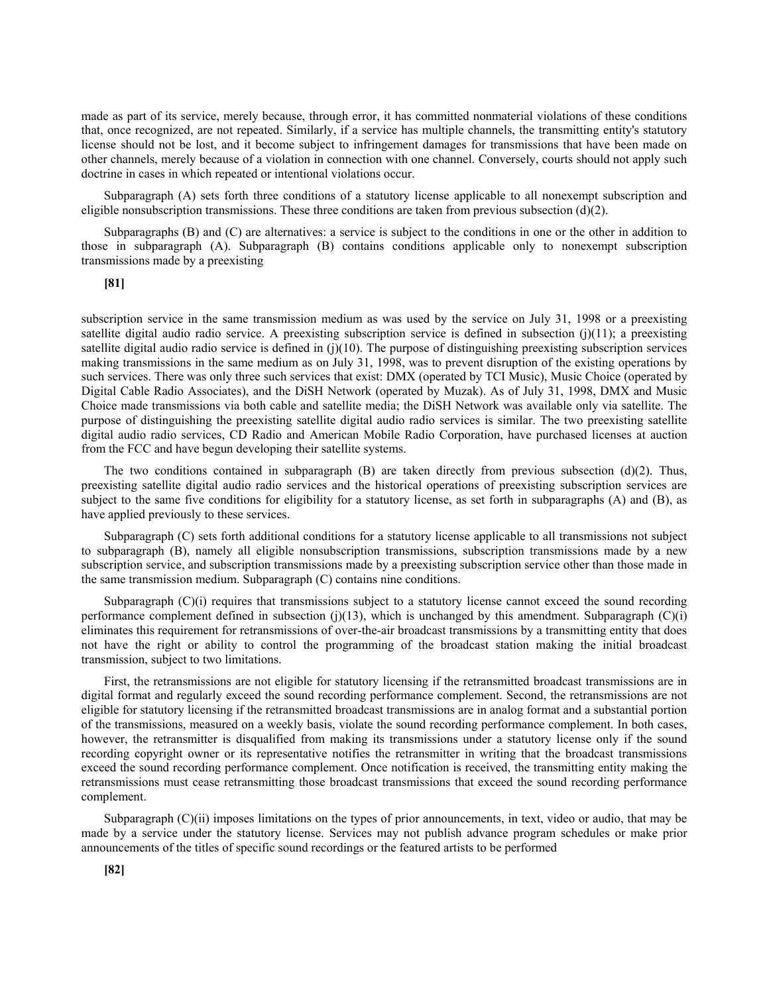made as part of its service, merely because, through error, it has committed nonmaterial violations of these conditions that, once recognized, are not repeated. Similarly, if a service has multiple channels, the transmitting entity's statutory license should not be lost, and it become subject to infringement damages for transmissions that have been made on other channels, merely because of a violation in connection with one channel. Conversely, courts should not apply such doctrine in cases in which repeated or intentional violations occur.

Subparagraph (A) sets forth three conditions of a statutory license applicable to all nonexempt subscription and eligible nonsubscription transmissions. These three conditions are taken from previous subsection  $(d)(2)$ .

Subparagraphs (B) and (C) are alternatives: a service is subject to the conditions in one or the other in addition to those in subparagraph (A). Subparagraph (B) contains conditions applicable only to nonexempt subscription transmissions made by a preexisting

### **[81]**

subscription service in the same transmission medium as was used by the service on July 31, 1998 or a preexisting satellite digital audio radio service. A preexisting subscription service is defined in subsection  $(j)(11)$ ; a preexisting satellite digital audio radio service is defined in  $(j)(10)$ . The purpose of distinguishing preexisting subscription services making transmissions in the same medium as on July 31, 1998, was to prevent disruption of the existing operations by such services. There was only three such services that exist: DMX (operated by TCI Music), Music Choice (operated by Digital Cable Radio Associates), and the DiSH Network (operated by Muzak). As of July 31, 1998, DMX and Music Choice made transmissions via both cable and satellite media; the DiSH Network was available only via satellite. The purpose of distinguishing the preexisting satellite digital audio radio services is similar. The two preexisting satellite digital audio radio services, CD Radio and American Mobile Radio Corporation, have purchased licenses at auction from the FCC and have begun developing their satellite systems.

The two conditions contained in subparagraph  $(B)$  are taken directly from previous subsection  $(d)(2)$ . Thus, preexisting satellite digital audio radio services and the historical operations of preexisting subscription services are subject to the same five conditions for eligibility for a statutory license, as set forth in subparagraphs (A) and (B), as have applied previously to these services.

Subparagraph (C) sets forth additional conditions for a statutory license applicable to all transmissions not subject to subparagraph (B), namely all eligible nonsubscription transmissions, subscription transmissions made by a new subscription service, and subscription transmissions made by a preexisting subscription service other than those made in the same transmission medium. Subparagraph (C) contains nine conditions.

Subparagraph  $(C)(i)$  requires that transmissions subject to a statutory license cannot exceed the sound recording performance complement defined in subsection (j)(13), which is unchanged by this amendment. Subparagraph  $(C)(i)$ eliminates this requirement for retransmissions of over-the-air broadcast transmissions by a transmitting entity that does not have the right or ability to control the programming of the broadcast station making the initial broadcast transmission, subject to two limitations.

First, the retransmissions are not eligible for statutory licensing if the retransmitted broadcast transmissions are in digital format and regularly exceed the sound recording performance complement. Second, the retransmissions are not eligible for statutory licensing if the retransmitted broadcast transmissions are in analog format and a substantial portion of the transmissions, measured on a weekly basis, violate the sound recording performance complement. In both cases, however, the retransmitter is disqualified from making its transmissions under a statutory license only if the sound recording copyright owner or its representative notifies the retransmitter in writing that the broadcast transmissions exceed the sound recording performance complement. Once notification is received, the transmitting entity making the retransmissions must cease retransmitting those broadcast transmissions that exceed the sound recording performance complement.

Subparagraph (C)(ii) imposes limitations on the types of prior announcements, in text, video or audio, that may be made by a service under the statutory license. Services may not publish advance program schedules or make prior announcements of the titles of specific sound recordings or the featured artists to be performed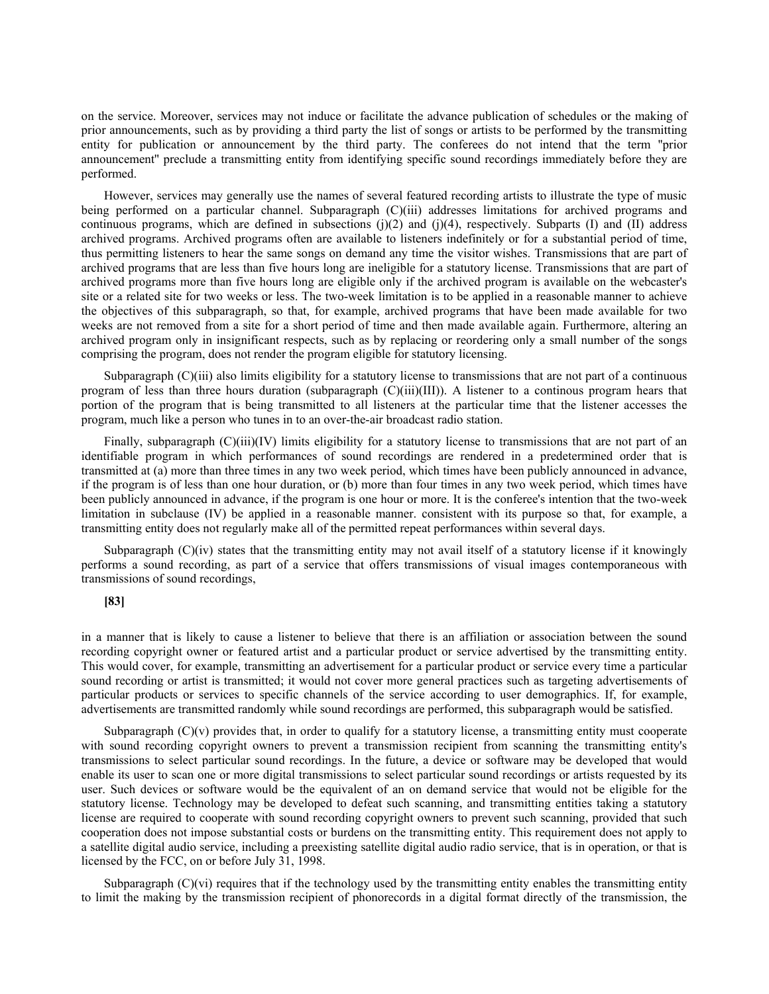on the service. Moreover, services may not induce or facilitate the advance publication of schedules or the making of prior announcements, such as by providing a third party the list of songs or artists to be performed by the transmitting entity for publication or announcement by the third party. The conferees do not intend that the term ''prior announcement'' preclude a transmitting entity from identifying specific sound recordings immediately before they are performed.

However, services may generally use the names of several featured recording artists to illustrate the type of music being performed on a particular channel. Subparagraph (C)(iii) addresses limitations for archived programs and continuous programs, which are defined in subsections  $(j)(2)$  and  $(j)(4)$ , respectively. Subparts (I) and (II) address archived programs. Archived programs often are available to listeners indefinitely or for a substantial period of time, thus permitting listeners to hear the same songs on demand any time the visitor wishes. Transmissions that are part of archived programs that are less than five hours long are ineligible for a statutory license. Transmissions that are part of archived programs more than five hours long are eligible only if the archived program is available on the webcaster's site or a related site for two weeks or less. The two-week limitation is to be applied in a reasonable manner to achieve the objectives of this subparagraph, so that, for example, archived programs that have been made available for two weeks are not removed from a site for a short period of time and then made available again. Furthermore, altering an archived program only in insignificant respects, such as by replacing or reordering only a small number of the songs comprising the program, does not render the program eligible for statutory licensing.

Subparagraph (C)(iii) also limits eligibility for a statutory license to transmissions that are not part of a continuous program of less than three hours duration (subparagraph  $(C)(iii)(III)$ ). A listener to a continous program hears that portion of the program that is being transmitted to all listeners at the particular time that the listener accesses the program, much like a person who tunes in to an over-the-air broadcast radio station.

Finally, subparagraph (C)(iii)(IV) limits eligibility for a statutory license to transmissions that are not part of an identifiable program in which performances of sound recordings are rendered in a predetermined order that is transmitted at (a) more than three times in any two week period, which times have been publicly announced in advance, if the program is of less than one hour duration, or (b) more than four times in any two week period, which times have been publicly announced in advance, if the program is one hour or more. It is the conferee's intention that the two-week limitation in subclause (IV) be applied in a reasonable manner. consistent with its purpose so that, for example, a transmitting entity does not regularly make all of the permitted repeat performances within several days.

Subparagraph  $(C)(iv)$  states that the transmitting entity may not avail itself of a statutory license if it knowingly performs a sound recording, as part of a service that offers transmissions of visual images contemporaneous with transmissions of sound recordings,

# **[83]**

in a manner that is likely to cause a listener to believe that there is an affiliation or association between the sound recording copyright owner or featured artist and a particular product or service advertised by the transmitting entity. This would cover, for example, transmitting an advertisement for a particular product or service every time a particular sound recording or artist is transmitted; it would not cover more general practices such as targeting advertisements of particular products or services to specific channels of the service according to user demographics. If, for example, advertisements are transmitted randomly while sound recordings are performed, this subparagraph would be satisfied.

Subparagraph  $(C)(v)$  provides that, in order to qualify for a statutory license, a transmitting entity must cooperate with sound recording copyright owners to prevent a transmission recipient from scanning the transmitting entity's transmissions to select particular sound recordings. In the future, a device or software may be developed that would enable its user to scan one or more digital transmissions to select particular sound recordings or artists requested by its user. Such devices or software would be the equivalent of an on demand service that would not be eligible for the statutory license. Technology may be developed to defeat such scanning, and transmitting entities taking a statutory license are required to cooperate with sound recording copyright owners to prevent such scanning, provided that such cooperation does not impose substantial costs or burdens on the transmitting entity. This requirement does not apply to a satellite digital audio service, including a preexisting satellite digital audio radio service, that is in operation, or that is licensed by the FCC, on or before July 31, 1998.

Subparagraph  $(C)(vi)$  requires that if the technology used by the transmitting entity enables the transmitting entity to limit the making by the transmission recipient of phonorecords in a digital format directly of the transmission, the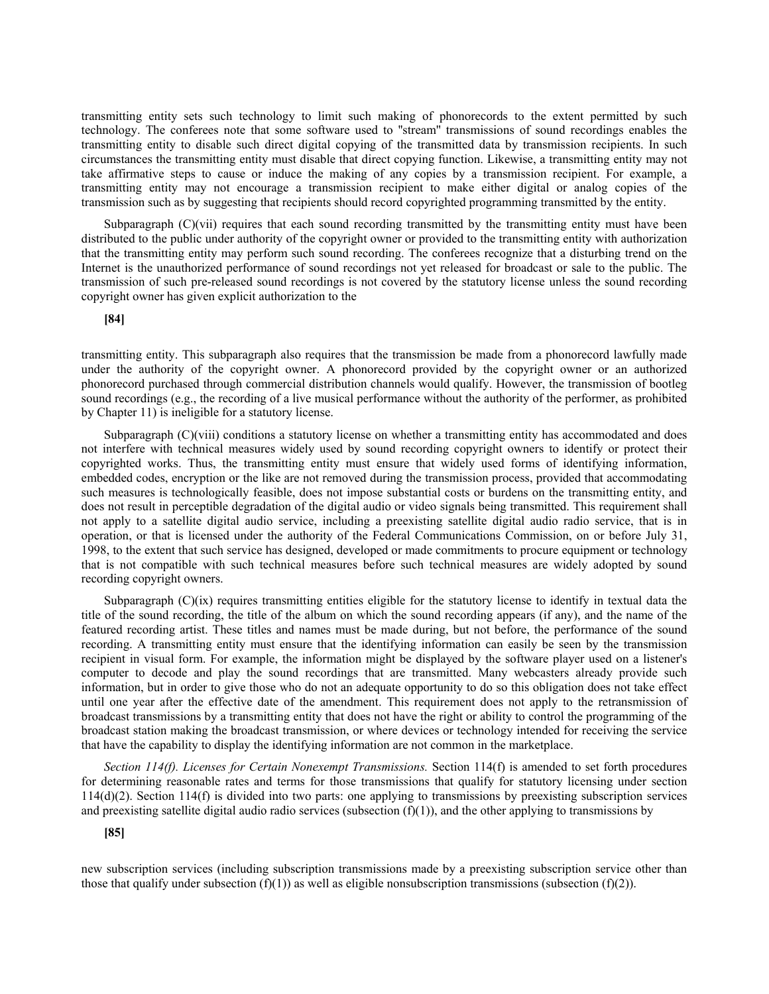transmitting entity sets such technology to limit such making of phonorecords to the extent permitted by such technology. The conferees note that some software used to ''stream'' transmissions of sound recordings enables the transmitting entity to disable such direct digital copying of the transmitted data by transmission recipients. In such circumstances the transmitting entity must disable that direct copying function. Likewise, a transmitting entity may not take affirmative steps to cause or induce the making of any copies by a transmission recipient. For example, a transmitting entity may not encourage a transmission recipient to make either digital or analog copies of the transmission such as by suggesting that recipients should record copyrighted programming transmitted by the entity.

Subparagraph  $(C)(vi)$  requires that each sound recording transmitted by the transmitting entity must have been distributed to the public under authority of the copyright owner or provided to the transmitting entity with authorization that the transmitting entity may perform such sound recording. The conferees recognize that a disturbing trend on the Internet is the unauthorized performance of sound recordings not yet released for broadcast or sale to the public. The transmission of such pre-released sound recordings is not covered by the statutory license unless the sound recording copyright owner has given explicit authorization to the

### **[84]**

transmitting entity. This subparagraph also requires that the transmission be made from a phonorecord lawfully made under the authority of the copyright owner. A phonorecord provided by the copyright owner or an authorized phonorecord purchased through commercial distribution channels would qualify. However, the transmission of bootleg sound recordings (e.g., the recording of a live musical performance without the authority of the performer, as prohibited by Chapter 11) is ineligible for a statutory license.

Subparagraph (C)(viii) conditions a statutory license on whether a transmitting entity has accommodated and does not interfere with technical measures widely used by sound recording copyright owners to identify or protect their copyrighted works. Thus, the transmitting entity must ensure that widely used forms of identifying information, embedded codes, encryption or the like are not removed during the transmission process, provided that accommodating such measures is technologically feasible, does not impose substantial costs or burdens on the transmitting entity, and does not result in perceptible degradation of the digital audio or video signals being transmitted. This requirement shall not apply to a satellite digital audio service, including a preexisting satellite digital audio radio service, that is in operation, or that is licensed under the authority of the Federal Communications Commission, on or before July 31, 1998, to the extent that such service has designed, developed or made commitments to procure equipment or technology that is not compatible with such technical measures before such technical measures are widely adopted by sound recording copyright owners.

Subparagraph  $(C)(ix)$  requires transmitting entities eligible for the statutory license to identify in textual data the title of the sound recording, the title of the album on which the sound recording appears (if any), and the name of the featured recording artist. These titles and names must be made during, but not before, the performance of the sound recording. A transmitting entity must ensure that the identifying information can easily be seen by the transmission recipient in visual form. For example, the information might be displayed by the software player used on a listener's computer to decode and play the sound recordings that are transmitted. Many webcasters already provide such information, but in order to give those who do not an adequate opportunity to do so this obligation does not take effect until one year after the effective date of the amendment. This requirement does not apply to the retransmission of broadcast transmissions by a transmitting entity that does not have the right or ability to control the programming of the broadcast station making the broadcast transmission, or where devices or technology intended for receiving the service that have the capability to display the identifying information are not common in the marketplace.

*Section 114(f). Licenses for Certain Nonexempt Transmissions.* Section 114(f) is amended to set forth procedures for determining reasonable rates and terms for those transmissions that qualify for statutory licensing under section 114(d)(2). Section 114(f) is divided into two parts: one applying to transmissions by preexisting subscription services and preexisting satellite digital audio radio services (subsection  $(f)(1)$ ), and the other applying to transmissions by

### **[85]**

new subscription services (including subscription transmissions made by a preexisting subscription service other than those that qualify under subsection  $(f)(1)$ ) as well as eligible nonsubscription transmissions (subsection  $(f)(2)$ ).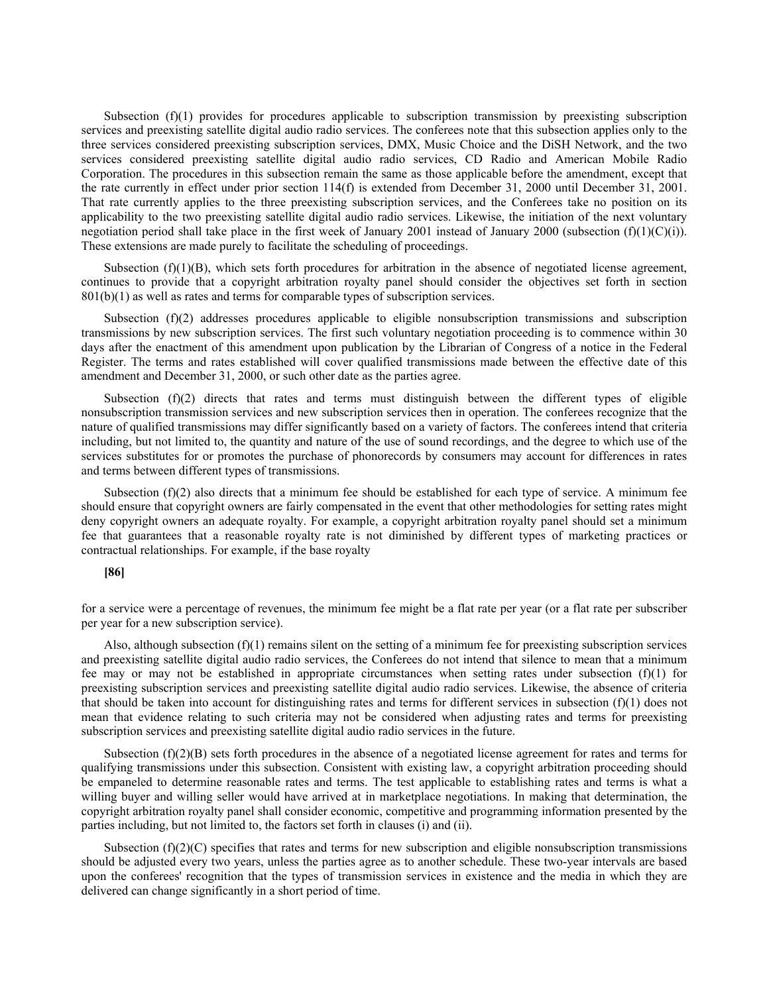Subsection (f)(1) provides for procedures applicable to subscription transmission by preexisting subscription services and preexisting satellite digital audio radio services. The conferees note that this subsection applies only to the three services considered preexisting subscription services, DMX, Music Choice and the DiSH Network, and the two services considered preexisting satellite digital audio radio services, CD Radio and American Mobile Radio Corporation. The procedures in this subsection remain the same as those applicable before the amendment, except that the rate currently in effect under prior section 114(f) is extended from December 31, 2000 until December 31, 2001. That rate currently applies to the three preexisting subscription services, and the Conferees take no position on its applicability to the two preexisting satellite digital audio radio services. Likewise, the initiation of the next voluntary negotiation period shall take place in the first week of January 2001 instead of January 2000 (subsection  $(f)(1)(C)(i)$ ). These extensions are made purely to facilitate the scheduling of proceedings.

Subsection  $(f)(1)(B)$ , which sets forth procedures for arbitration in the absence of negotiated license agreement, continues to provide that a copyright arbitration royalty panel should consider the objectives set forth in section 801(b)(1) as well as rates and terms for comparable types of subscription services.

Subsection (f)(2) addresses procedures applicable to eligible nonsubscription transmissions and subscription transmissions by new subscription services. The first such voluntary negotiation proceeding is to commence within 30 days after the enactment of this amendment upon publication by the Librarian of Congress of a notice in the Federal Register. The terms and rates established will cover qualified transmissions made between the effective date of this amendment and December 31, 2000, or such other date as the parties agree.

Subsection (f)(2) directs that rates and terms must distinguish between the different types of eligible nonsubscription transmission services and new subscription services then in operation. The conferees recognize that the nature of qualified transmissions may differ significantly based on a variety of factors. The conferees intend that criteria including, but not limited to, the quantity and nature of the use of sound recordings, and the degree to which use of the services substitutes for or promotes the purchase of phonorecords by consumers may account for differences in rates and terms between different types of transmissions.

Subsection  $(f)(2)$  also directs that a minimum fee should be established for each type of service. A minimum fee should ensure that copyright owners are fairly compensated in the event that other methodologies for setting rates might deny copyright owners an adequate royalty. For example, a copyright arbitration royalty panel should set a minimum fee that guarantees that a reasonable royalty rate is not diminished by different types of marketing practices or contractual relationships. For example, if the base royalty

### **[86]**

for a service were a percentage of revenues, the minimum fee might be a flat rate per year (or a flat rate per subscriber per year for a new subscription service).

Also, although subsection  $(f)(1)$  remains silent on the setting of a minimum fee for preexisting subscription services and preexisting satellite digital audio radio services, the Conferees do not intend that silence to mean that a minimum fee may or may not be established in appropriate circumstances when setting rates under subsection (f)(1) for preexisting subscription services and preexisting satellite digital audio radio services. Likewise, the absence of criteria that should be taken into account for distinguishing rates and terms for different services in subsection  $(f)(1)$  does not mean that evidence relating to such criteria may not be considered when adjusting rates and terms for preexisting subscription services and preexisting satellite digital audio radio services in the future.

Subsection  $(f)(2)(B)$  sets forth procedures in the absence of a negotiated license agreement for rates and terms for qualifying transmissions under this subsection. Consistent with existing law, a copyright arbitration proceeding should be empaneled to determine reasonable rates and terms. The test applicable to establishing rates and terms is what a willing buyer and willing seller would have arrived at in marketplace negotiations. In making that determination, the copyright arbitration royalty panel shall consider economic, competitive and programming information presented by the parties including, but not limited to, the factors set forth in clauses (i) and (ii).

Subsection  $(f)(2)(C)$  specifies that rates and terms for new subscription and eligible nonsubscription transmissions should be adjusted every two years, unless the parties agree as to another schedule. These two-year intervals are based upon the conferees' recognition that the types of transmission services in existence and the media in which they are delivered can change significantly in a short period of time.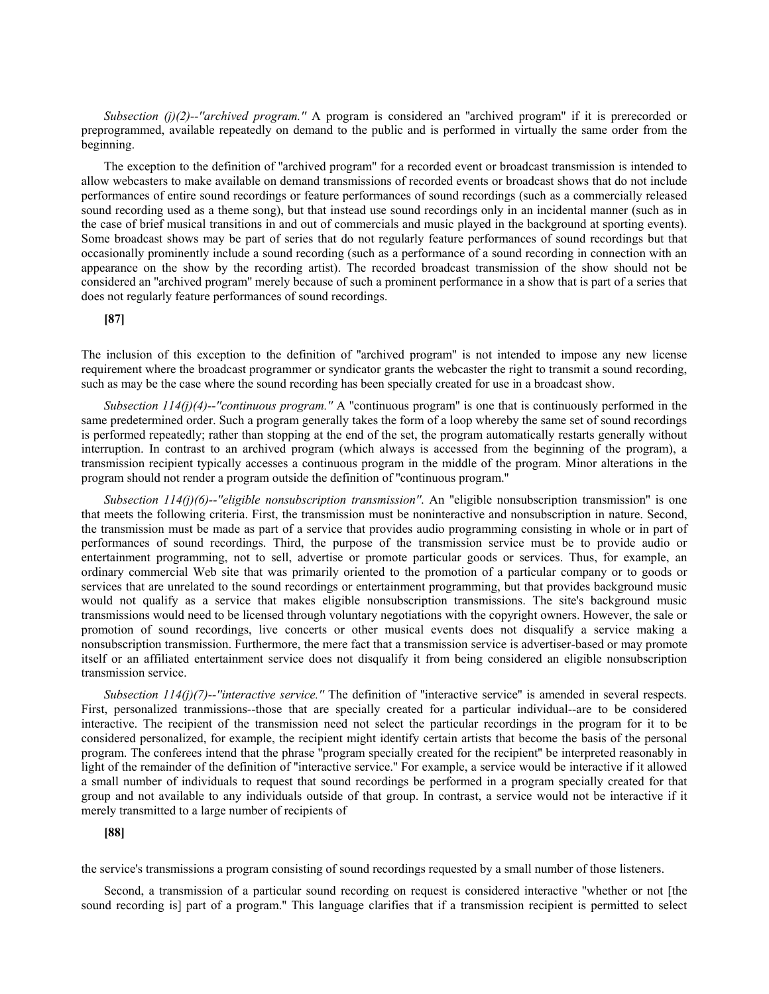*Subsection (j)(2)--''archived program.''* A program is considered an ''archived program'' if it is prerecorded or preprogrammed, available repeatedly on demand to the public and is performed in virtually the same order from the beginning.

The exception to the definition of ''archived program'' for a recorded event or broadcast transmission is intended to allow webcasters to make available on demand transmissions of recorded events or broadcast shows that do not include performances of entire sound recordings or feature performances of sound recordings (such as a commercially released sound recording used as a theme song), but that instead use sound recordings only in an incidental manner (such as in the case of brief musical transitions in and out of commercials and music played in the background at sporting events). Some broadcast shows may be part of series that do not regularly feature performances of sound recordings but that occasionally prominently include a sound recording (such as a performance of a sound recording in connection with an appearance on the show by the recording artist). The recorded broadcast transmission of the show should not be considered an ''archived program'' merely because of such a prominent performance in a show that is part of a series that does not regularly feature performances of sound recordings.

### **[87]**

The inclusion of this exception to the definition of ''archived program'' is not intended to impose any new license requirement where the broadcast programmer or syndicator grants the webcaster the right to transmit a sound recording, such as may be the case where the sound recording has been specially created for use in a broadcast show.

*Subsection 114(j)(4)--''continuous program.''* A ''continuous program'' is one that is continuously performed in the same predetermined order. Such a program generally takes the form of a loop whereby the same set of sound recordings is performed repeatedly; rather than stopping at the end of the set, the program automatically restarts generally without interruption. In contrast to an archived program (which always is accessed from the beginning of the program), a transmission recipient typically accesses a continuous program in the middle of the program. Minor alterations in the program should not render a program outside the definition of ''continuous program.''

*Subsection 114(j)(6)--''eligible nonsubscription transmission''*. An ''eligible nonsubscription transmission'' is one that meets the following criteria. First, the transmission must be noninteractive and nonsubscription in nature. Second, the transmission must be made as part of a service that provides audio programming consisting in whole or in part of performances of sound recordings. Third, the purpose of the transmission service must be to provide audio or entertainment programming, not to sell, advertise or promote particular goods or services. Thus, for example, an ordinary commercial Web site that was primarily oriented to the promotion of a particular company or to goods or services that are unrelated to the sound recordings or entertainment programming, but that provides background music would not qualify as a service that makes eligible nonsubscription transmissions. The site's background music transmissions would need to be licensed through voluntary negotiations with the copyright owners. However, the sale or promotion of sound recordings, live concerts or other musical events does not disqualify a service making a nonsubscription transmission. Furthermore, the mere fact that a transmission service is advertiser-based or may promote itself or an affiliated entertainment service does not disqualify it from being considered an eligible nonsubscription transmission service.

*Subsection 114(j)(7)--''interactive service.''* The definition of ''interactive service'' is amended in several respects. First, personalized tranmissions--those that are specially created for a particular individual--are to be considered interactive. The recipient of the transmission need not select the particular recordings in the program for it to be considered personalized, for example, the recipient might identify certain artists that become the basis of the personal program. The conferees intend that the phrase ''program specially created for the recipient'' be interpreted reasonably in light of the remainder of the definition of ''interactive service.'' For example, a service would be interactive if it allowed a small number of individuals to request that sound recordings be performed in a program specially created for that group and not available to any individuals outside of that group. In contrast, a service would not be interactive if it merely transmitted to a large number of recipients of

## **[88]**

the service's transmissions a program consisting of sound recordings requested by a small number of those listeners.

Second, a transmission of a particular sound recording on request is considered interactive ''whether or not [the sound recording is] part of a program." This language clarifies that if a transmission recipient is permitted to select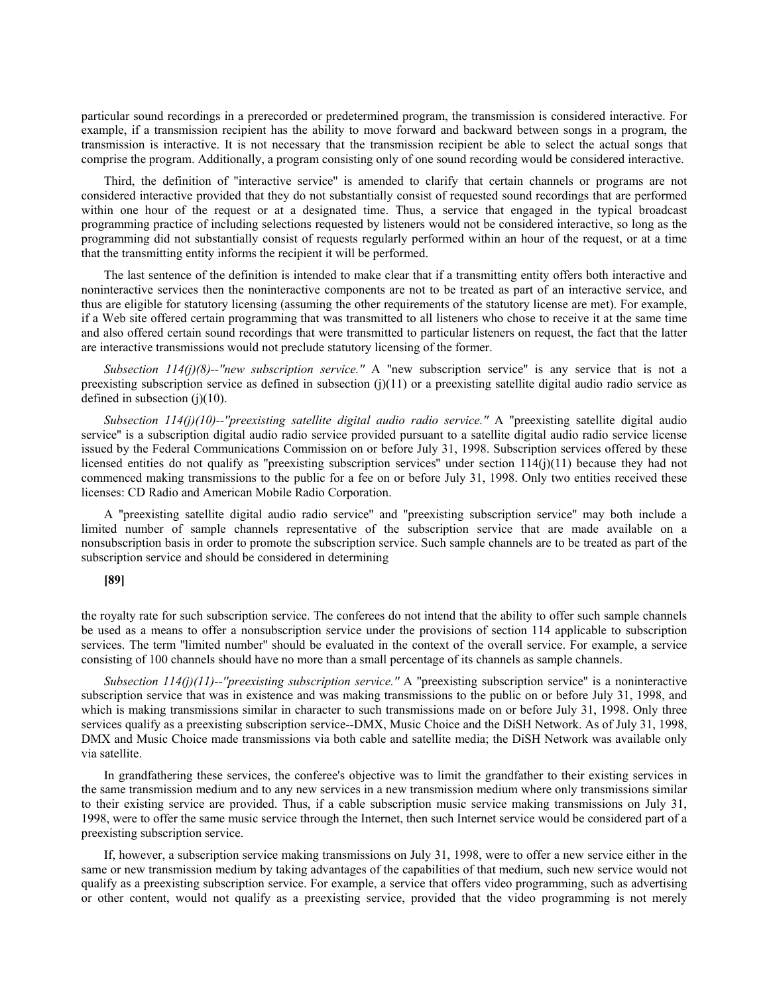particular sound recordings in a prerecorded or predetermined program, the transmission is considered interactive. For example, if a transmission recipient has the ability to move forward and backward between songs in a program, the transmission is interactive. It is not necessary that the transmission recipient be able to select the actual songs that comprise the program. Additionally, a program consisting only of one sound recording would be considered interactive.

Third, the definition of ''interactive service'' is amended to clarify that certain channels or programs are not considered interactive provided that they do not substantially consist of requested sound recordings that are performed within one hour of the request or at a designated time. Thus, a service that engaged in the typical broadcast programming practice of including selections requested by listeners would not be considered interactive, so long as the programming did not substantially consist of requests regularly performed within an hour of the request, or at a time that the transmitting entity informs the recipient it will be performed.

The last sentence of the definition is intended to make clear that if a transmitting entity offers both interactive and noninteractive services then the noninteractive components are not to be treated as part of an interactive service, and thus are eligible for statutory licensing (assuming the other requirements of the statutory license are met). For example, if a Web site offered certain programming that was transmitted to all listeners who chose to receive it at the same time and also offered certain sound recordings that were transmitted to particular listeners on request, the fact that the latter are interactive transmissions would not preclude statutory licensing of the former.

*Subsection 114(j)(8)--''new subscription service.''* A ''new subscription service'' is any service that is not a preexisting subscription service as defined in subsection  $(i)(11)$  or a preexisting satellite digital audio radio service as defined in subsection  $(j)(10)$ .

*Subsection 114(j)(10)--''preexisting satellite digital audio radio service.''* A ''preexisting satellite digital audio service'' is a subscription digital audio radio service provided pursuant to a satellite digital audio radio service license issued by the Federal Communications Commission on or before July 31, 1998. Subscription services offered by these licensed entities do not qualify as "preexisting subscription services" under section 114(j)(11) because they had not commenced making transmissions to the public for a fee on or before July 31, 1998. Only two entities received these licenses: CD Radio and American Mobile Radio Corporation.

A ''preexisting satellite digital audio radio service'' and ''preexisting subscription service'' may both include a limited number of sample channels representative of the subscription service that are made available on a nonsubscription basis in order to promote the subscription service. Such sample channels are to be treated as part of the subscription service and should be considered in determining

# **[89]**

the royalty rate for such subscription service. The conferees do not intend that the ability to offer such sample channels be used as a means to offer a nonsubscription service under the provisions of section 114 applicable to subscription services. The term ''limited number'' should be evaluated in the context of the overall service. For example, a service consisting of 100 channels should have no more than a small percentage of its channels as sample channels.

*Subsection*  $114(j)(11)$ *--"preexisting subscription service."* A "preexisting subscription service" is a noninteractive subscription service that was in existence and was making transmissions to the public on or before July 31, 1998, and which is making transmissions similar in character to such transmissions made on or before July 31, 1998. Only three services qualify as a preexisting subscription service--DMX, Music Choice and the DiSH Network. As of July 31, 1998, DMX and Music Choice made transmissions via both cable and satellite media; the DiSH Network was available only via satellite.

In grandfathering these services, the conferee's objective was to limit the grandfather to their existing services in the same transmission medium and to any new services in a new transmission medium where only transmissions similar to their existing service are provided. Thus, if a cable subscription music service making transmissions on July 31, 1998, were to offer the same music service through the Internet, then such Internet service would be considered part of a preexisting subscription service.

If, however, a subscription service making transmissions on July 31, 1998, were to offer a new service either in the same or new transmission medium by taking advantages of the capabilities of that medium, such new service would not qualify as a preexisting subscription service. For example, a service that offers video programming, such as advertising or other content, would not qualify as a preexisting service, provided that the video programming is not merely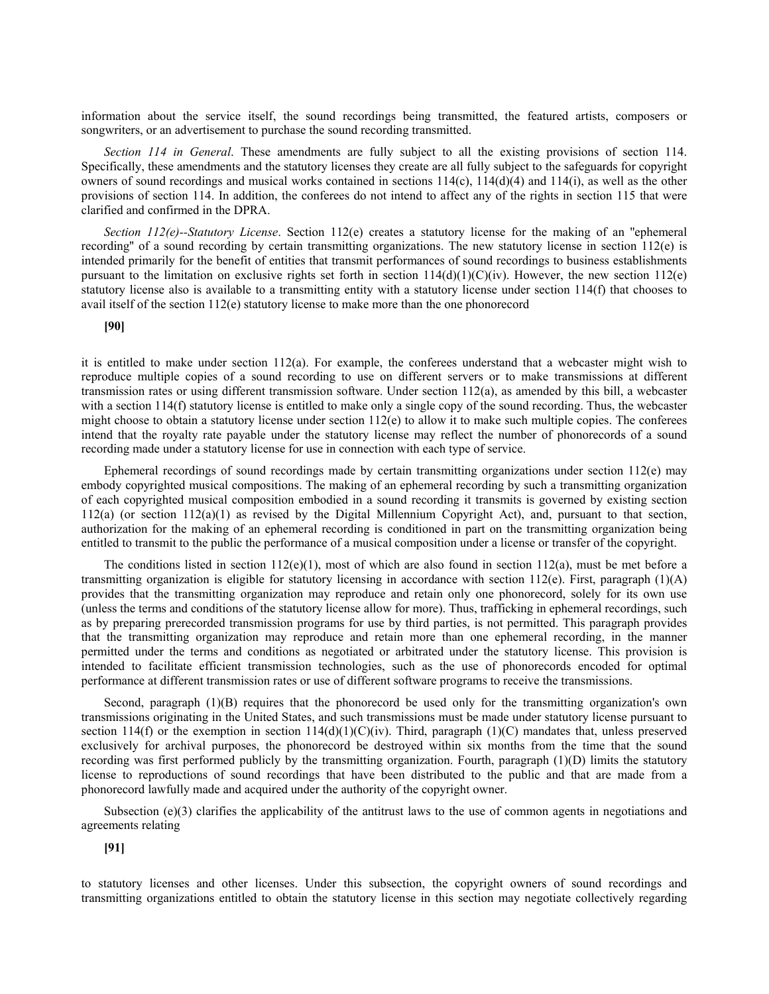information about the service itself, the sound recordings being transmitted, the featured artists, composers or songwriters, or an advertisement to purchase the sound recording transmitted.

*Section 114 in General*. These amendments are fully subject to all the existing provisions of section 114. Specifically, these amendments and the statutory licenses they create are all fully subject to the safeguards for copyright owners of sound recordings and musical works contained in sections 114(c), 114(d)(4) and 114(i), as well as the other provisions of section 114. In addition, the conferees do not intend to affect any of the rights in section 115 that were clarified and confirmed in the DPRA.

*Section 112(e)--Statutory License*. Section 112(e) creates a statutory license for the making of an ''ephemeral recording" of a sound recording by certain transmitting organizations. The new statutory license in section 112(e) is intended primarily for the benefit of entities that transmit performances of sound recordings to business establishments pursuant to the limitation on exclusive rights set forth in section  $114(d)(1)(C)(iv)$ . However, the new section  $112(e)$ statutory license also is available to a transmitting entity with a statutory license under section 114(f) that chooses to avail itself of the section 112(e) statutory license to make more than the one phonorecord

## **[90]**

it is entitled to make under section  $112(a)$ . For example, the conferees understand that a webcaster might wish to reproduce multiple copies of a sound recording to use on different servers or to make transmissions at different transmission rates or using different transmission software. Under section 112(a), as amended by this bill, a webcaster with a section 114(f) statutory license is entitled to make only a single copy of the sound recording. Thus, the webcaster might choose to obtain a statutory license under section  $112(e)$  to allow it to make such multiple copies. The conferees intend that the royalty rate payable under the statutory license may reflect the number of phonorecords of a sound recording made under a statutory license for use in connection with each type of service.

Ephemeral recordings of sound recordings made by certain transmitting organizations under section 112(e) may embody copyrighted musical compositions. The making of an ephemeral recording by such a transmitting organization of each copyrighted musical composition embodied in a sound recording it transmits is governed by existing section  $112(a)$  (or section  $112(a)(1)$  as revised by the Digital Millennium Copyright Act), and, pursuant to that section, authorization for the making of an ephemeral recording is conditioned in part on the transmitting organization being entitled to transmit to the public the performance of a musical composition under a license or transfer of the copyright.

The conditions listed in section  $112(e)(1)$ , most of which are also found in section  $112(a)$ , must be met before a transmitting organization is eligible for statutory licensing in accordance with section  $112(e)$ . First, paragraph  $(1)(A)$ provides that the transmitting organization may reproduce and retain only one phonorecord, solely for its own use (unless the terms and conditions of the statutory license allow for more). Thus, trafficking in ephemeral recordings, such as by preparing prerecorded transmission programs for use by third parties, is not permitted. This paragraph provides that the transmitting organization may reproduce and retain more than one ephemeral recording, in the manner permitted under the terms and conditions as negotiated or arbitrated under the statutory license. This provision is intended to facilitate efficient transmission technologies, such as the use of phonorecords encoded for optimal performance at different transmission rates or use of different software programs to receive the transmissions.

Second, paragraph (1)(B) requires that the phonorecord be used only for the transmitting organization's own transmissions originating in the United States, and such transmissions must be made under statutory license pursuant to section 114(f) or the exemption in section  $114(d)(1)(C)(iv)$ . Third, paragraph (1)(C) mandates that, unless preserved exclusively for archival purposes, the phonorecord be destroyed within six months from the time that the sound recording was first performed publicly by the transmitting organization. Fourth, paragraph (1)(D) limits the statutory license to reproductions of sound recordings that have been distributed to the public and that are made from a phonorecord lawfully made and acquired under the authority of the copyright owner.

Subsection  $(e)(3)$  clarifies the applicability of the antitrust laws to the use of common agents in negotiations and agreements relating

**[91]**

to statutory licenses and other licenses. Under this subsection, the copyright owners of sound recordings and transmitting organizations entitled to obtain the statutory license in this section may negotiate collectively regarding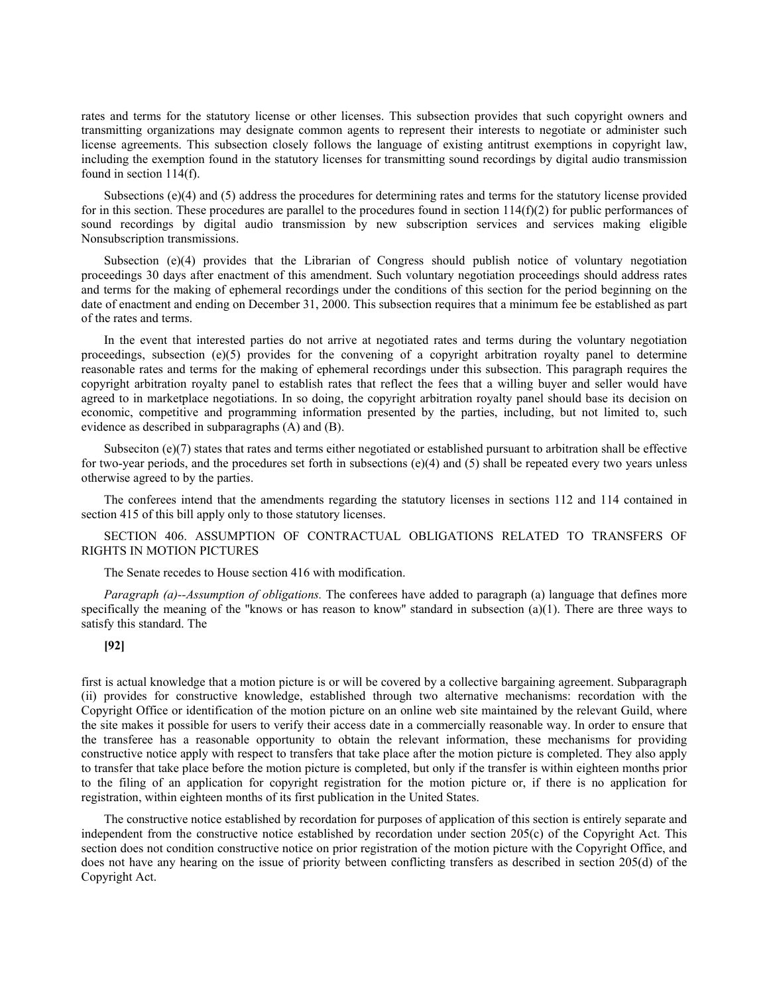rates and terms for the statutory license or other licenses. This subsection provides that such copyright owners and transmitting organizations may designate common agents to represent their interests to negotiate or administer such license agreements. This subsection closely follows the language of existing antitrust exemptions in copyright law, including the exemption found in the statutory licenses for transmitting sound recordings by digital audio transmission found in section 114(f).

Subsections (e)(4) and (5) address the procedures for determining rates and terms for the statutory license provided for in this section. These procedures are parallel to the procedures found in section  $114(f)(2)$  for public performances of sound recordings by digital audio transmission by new subscription services and services making eligible Nonsubscription transmissions.

Subsection (e)(4) provides that the Librarian of Congress should publish notice of voluntary negotiation proceedings 30 days after enactment of this amendment. Such voluntary negotiation proceedings should address rates and terms for the making of ephemeral recordings under the conditions of this section for the period beginning on the date of enactment and ending on December 31, 2000. This subsection requires that a minimum fee be established as part of the rates and terms.

In the event that interested parties do not arrive at negotiated rates and terms during the voluntary negotiation proceedings, subsection (e)(5) provides for the convening of a copyright arbitration royalty panel to determine reasonable rates and terms for the making of ephemeral recordings under this subsection. This paragraph requires the copyright arbitration royalty panel to establish rates that reflect the fees that a willing buyer and seller would have agreed to in marketplace negotiations. In so doing, the copyright arbitration royalty panel should base its decision on economic, competitive and programming information presented by the parties, including, but not limited to, such evidence as described in subparagraphs (A) and (B).

Subseciton  $(e)(7)$  states that rates and terms either negotiated or established pursuant to arbitration shall be effective for two-year periods, and the procedures set forth in subsections  $(e)(4)$  and  $(5)$  shall be repeated every two years unless otherwise agreed to by the parties.

The conferees intend that the amendments regarding the statutory licenses in sections 112 and 114 contained in section 415 of this bill apply only to those statutory licenses.

SECTION 406. ASSUMPTION OF CONTRACTUAL OBLIGATIONS RELATED TO TRANSFERS OF RIGHTS IN MOTION PICTURES

The Senate recedes to House section 416 with modification.

*Paragraph (a)--Assumption of obligations.* The conferees have added to paragraph (a) language that defines more specifically the meaning of the "knows or has reason to know" standard in subsection  $(a)(1)$ . There are three ways to satisfy this standard. The

### **[92]**

first is actual knowledge that a motion picture is or will be covered by a collective bargaining agreement. Subparagraph (ii) provides for constructive knowledge, established through two alternative mechanisms: recordation with the Copyright Office or identification of the motion picture on an online web site maintained by the relevant Guild, where the site makes it possible for users to verify their access date in a commercially reasonable way. In order to ensure that the transferee has a reasonable opportunity to obtain the relevant information, these mechanisms for providing constructive notice apply with respect to transfers that take place after the motion picture is completed. They also apply to transfer that take place before the motion picture is completed, but only if the transfer is within eighteen months prior to the filing of an application for copyright registration for the motion picture or, if there is no application for registration, within eighteen months of its first publication in the United States.

The constructive notice established by recordation for purposes of application of this section is entirely separate and independent from the constructive notice established by recordation under section 205(c) of the Copyright Act. This section does not condition constructive notice on prior registration of the motion picture with the Copyright Office, and does not have any hearing on the issue of priority between conflicting transfers as described in section 205(d) of the Copyright Act.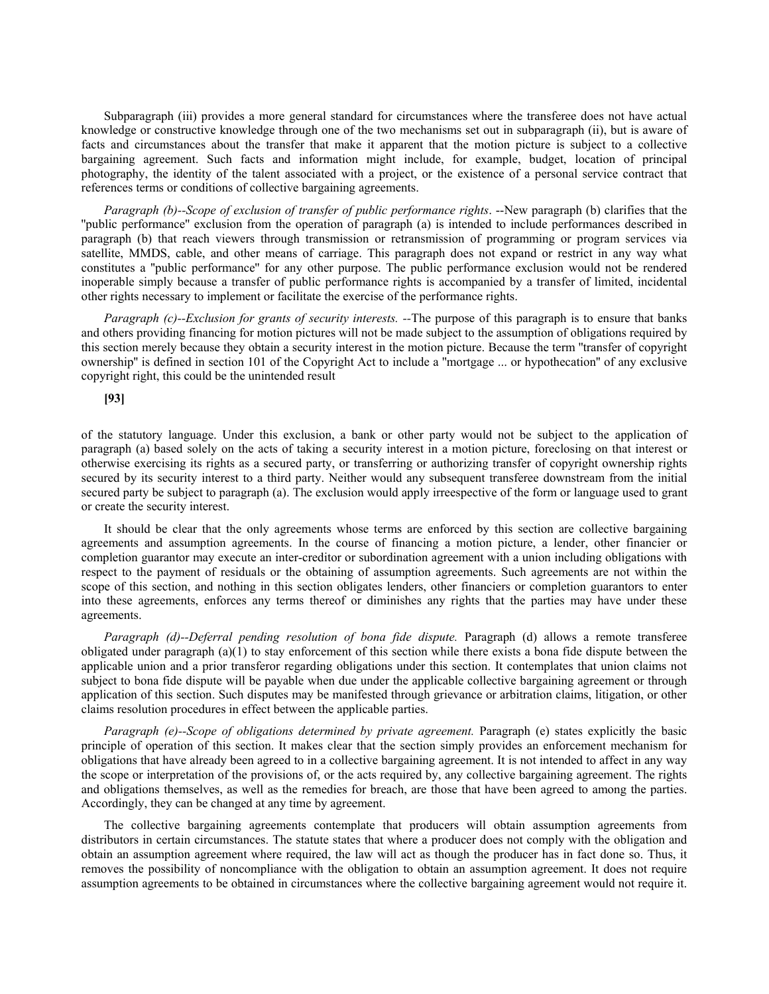Subparagraph (iii) provides a more general standard for circumstances where the transferee does not have actual knowledge or constructive knowledge through one of the two mechanisms set out in subparagraph (ii), but is aware of facts and circumstances about the transfer that make it apparent that the motion picture is subject to a collective bargaining agreement. Such facts and information might include, for example, budget, location of principal photography, the identity of the talent associated with a project, or the existence of a personal service contract that references terms or conditions of collective bargaining agreements.

*Paragraph (b)--Scope of exclusion of transfer of public performance rights*. --New paragraph (b) clarifies that the ''public performance'' exclusion from the operation of paragraph (a) is intended to include performances described in paragraph (b) that reach viewers through transmission or retransmission of programming or program services via satellite, MMDS, cable, and other means of carriage. This paragraph does not expand or restrict in any way what constitutes a ''public performance'' for any other purpose. The public performance exclusion would not be rendered inoperable simply because a transfer of public performance rights is accompanied by a transfer of limited, incidental other rights necessary to implement or facilitate the exercise of the performance rights.

*Paragraph (c)--Exclusion for grants of security interests. --*The purpose of this paragraph is to ensure that banks and others providing financing for motion pictures will not be made subject to the assumption of obligations required by this section merely because they obtain a security interest in the motion picture. Because the term ''transfer of copyright ownership'' is defined in section 101 of the Copyright Act to include a ''mortgage ... or hypothecation'' of any exclusive copyright right, this could be the unintended result

# **[93]**

of the statutory language. Under this exclusion, a bank or other party would not be subject to the application of paragraph (a) based solely on the acts of taking a security interest in a motion picture, foreclosing on that interest or otherwise exercising its rights as a secured party, or transferring or authorizing transfer of copyright ownership rights secured by its security interest to a third party. Neither would any subsequent transferee downstream from the initial secured party be subject to paragraph (a). The exclusion would apply irreespective of the form or language used to grant or create the security interest.

It should be clear that the only agreements whose terms are enforced by this section are collective bargaining agreements and assumption agreements. In the course of financing a motion picture, a lender, other financier or completion guarantor may execute an inter-creditor or subordination agreement with a union including obligations with respect to the payment of residuals or the obtaining of assumption agreements. Such agreements are not within the scope of this section, and nothing in this section obligates lenders, other financiers or completion guarantors to enter into these agreements, enforces any terms thereof or diminishes any rights that the parties may have under these agreements.

*Paragraph (d)--Deferral pending resolution of bona fide dispute.* Paragraph (d) allows a remote transferee obligated under paragraph  $(a)(1)$  to stay enforcement of this section while there exists a bona fide dispute between the applicable union and a prior transferor regarding obligations under this section. It contemplates that union claims not subject to bona fide dispute will be payable when due under the applicable collective bargaining agreement or through application of this section. Such disputes may be manifested through grievance or arbitration claims, litigation, or other claims resolution procedures in effect between the applicable parties.

*Paragraph (e)--Scope of obligations determined by private agreement.* Paragraph (e) states explicitly the basic principle of operation of this section. It makes clear that the section simply provides an enforcement mechanism for obligations that have already been agreed to in a collective bargaining agreement. It is not intended to affect in any way the scope or interpretation of the provisions of, or the acts required by, any collective bargaining agreement. The rights and obligations themselves, as well as the remedies for breach, are those that have been agreed to among the parties. Accordingly, they can be changed at any time by agreement.

The collective bargaining agreements contemplate that producers will obtain assumption agreements from distributors in certain circumstances. The statute states that where a producer does not comply with the obligation and obtain an assumption agreement where required, the law will act as though the producer has in fact done so. Thus, it removes the possibility of noncompliance with the obligation to obtain an assumption agreement. It does not require assumption agreements to be obtained in circumstances where the collective bargaining agreement would not require it.